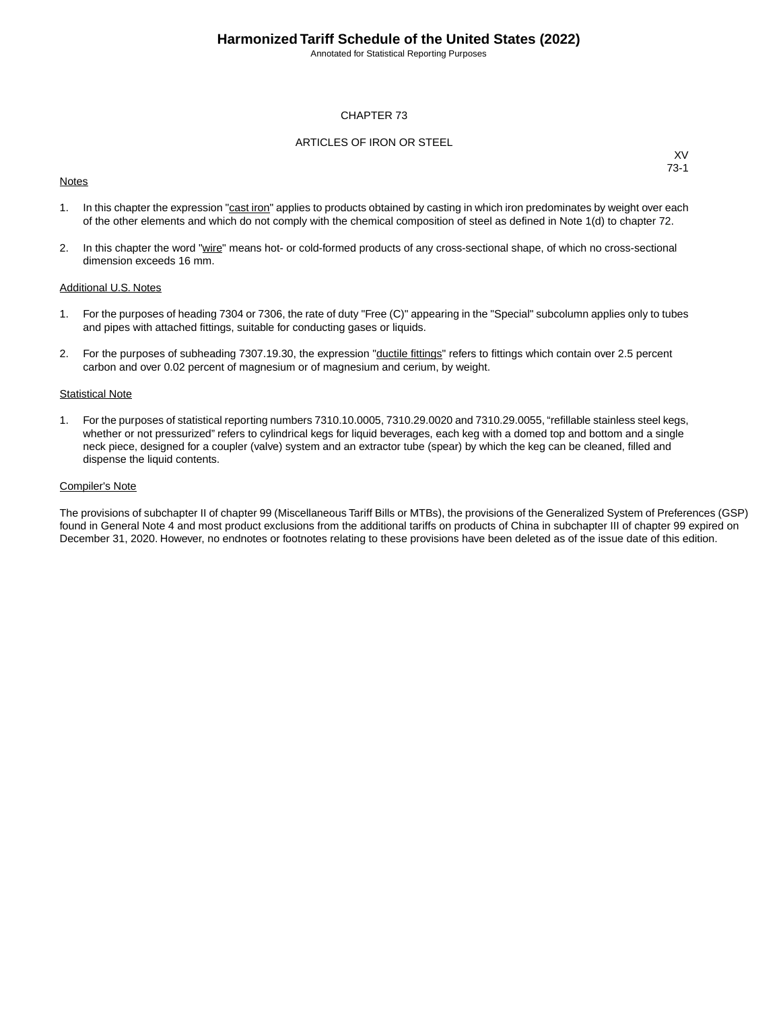Annotated for Statistical Reporting Purposes

#### CHAPTER 73

#### ARTICLES OF IRON OR STEEL

#### **Notes**

XV 73-1

- 1. In this chapter the expression "cast iron" applies to products obtained by casting in which iron predominates by weight over each of the other elements and which do not comply with the chemical composition of steel as defined in Note 1(d) to chapter 72.
- 2. In this chapter the word "wire" means hot- or cold-formed products of any cross-sectional shape, of which no cross-sectional dimension exceeds 16 mm.

#### Additional U.S. Notes

- 1. For the purposes of heading 7304 or 7306, the rate of duty "Free (C)" appearing in the "Special" subcolumn applies only to tubes and pipes with attached fittings, suitable for conducting gases or liquids.
- 2. For the purposes of subheading 7307.19.30, the expression "ductile fittings" refers to fittings which contain over 2.5 percent carbon and over 0.02 percent of magnesium or of magnesium and cerium, by weight.

#### **Statistical Note**

1. For the purposes of statistical reporting numbers 7310.10.0005, 7310.29.0020 and 7310.29.0055, "refillable stainless steel kegs, whether or not pressurized" refers to cylindrical kegs for liquid beverages, each keg with a domed top and bottom and a single neck piece, designed for a coupler (valve) system and an extractor tube (spear) by which the keg can be cleaned, filled and dispense the liquid contents.

#### Compiler's Note

The provisions of subchapter II of chapter 99 (Miscellaneous Tariff Bills or MTBs), the provisions of the Generalized System of Preferences (GSP) found in General Note 4 and most product exclusions from the additional tariffs on products of China in subchapter III of chapter 99 expired on December 31, 2020. However, no endnotes or footnotes relating to these provisions have been deleted as of the issue date of this edition.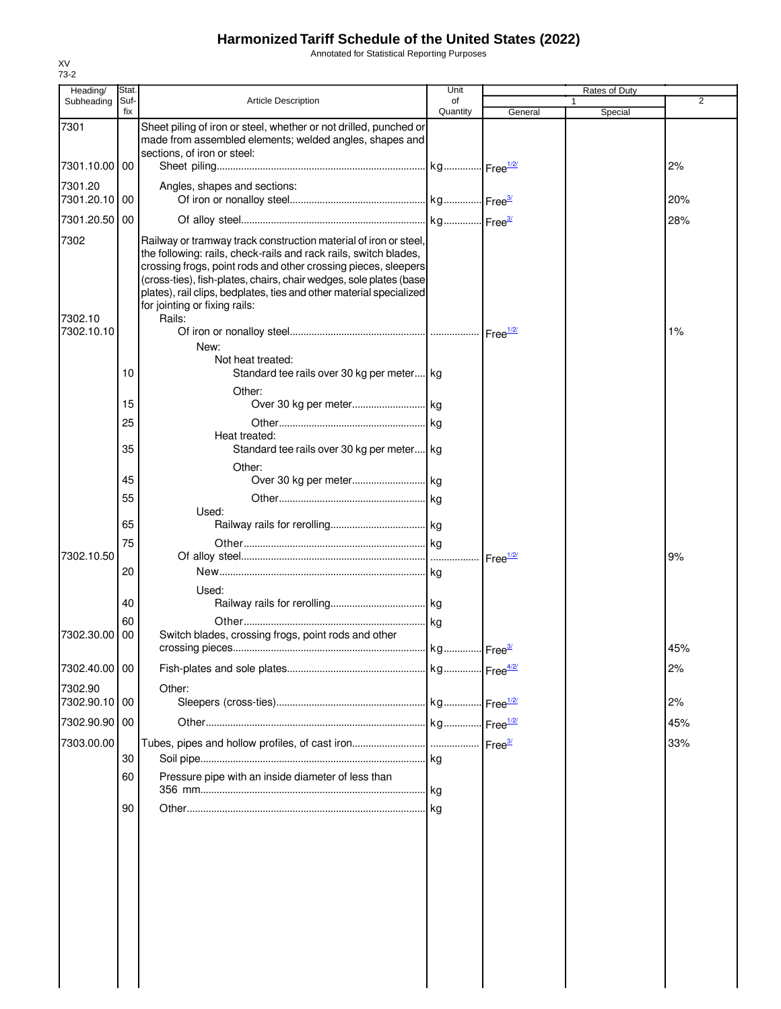Annotated for Statistical Reporting Purposes

| Heading/                      | Stat.       |                                                                                                                                                                                                                                                                                                                                                                                                | Unit           |                    | Rates of Duty |     |
|-------------------------------|-------------|------------------------------------------------------------------------------------------------------------------------------------------------------------------------------------------------------------------------------------------------------------------------------------------------------------------------------------------------------------------------------------------------|----------------|--------------------|---------------|-----|
| Subheading                    | Suf-<br>fix | <b>Article Description</b>                                                                                                                                                                                                                                                                                                                                                                     | of<br>Quantity | General            | 1<br>Special  | 2   |
| 7301                          |             | Sheet piling of iron or steel, whether or not drilled, punched or<br>made from assembled elements; welded angles, shapes and<br>sections, of iron or steel:                                                                                                                                                                                                                                    |                |                    |               |     |
| 7301.10.00                    | 00          |                                                                                                                                                                                                                                                                                                                                                                                                |                |                    |               | 2%  |
| 7301.20<br>7301.20.10         | 00          | Angles, shapes and sections:                                                                                                                                                                                                                                                                                                                                                                   |                |                    |               | 20% |
| 7301.20.50                    | 00          |                                                                                                                                                                                                                                                                                                                                                                                                |                |                    |               | 28% |
| 7302<br>7302.10<br>7302.10.10 |             | Railway or tramway track construction material of iron or steel,<br>the following: rails, check-rails and rack rails, switch blades,<br>crossing frogs, point rods and other crossing pieces, sleepers<br>(cross-ties), fish-plates, chairs, chair wedges, sole plates (base<br>plates), rail clips, bedplates, ties and other material specialized<br>for jointing or fixing rails:<br>Rails: |                |                    |               | 1%  |
|                               |             | New:<br>Not heat treated:                                                                                                                                                                                                                                                                                                                                                                      |                |                    |               |     |
|                               | 10          | Standard tee rails over 30 kg per meter kg                                                                                                                                                                                                                                                                                                                                                     |                |                    |               |     |
|                               | 15          | Other:                                                                                                                                                                                                                                                                                                                                                                                         |                |                    |               |     |
|                               | 25          |                                                                                                                                                                                                                                                                                                                                                                                                |                |                    |               |     |
|                               | 35          | Heat treated:<br>Standard tee rails over 30 kg per meter kg                                                                                                                                                                                                                                                                                                                                    |                |                    |               |     |
|                               | 45          | Other:                                                                                                                                                                                                                                                                                                                                                                                         |                |                    |               |     |
|                               | 55          |                                                                                                                                                                                                                                                                                                                                                                                                |                |                    |               |     |
|                               | 65          | Used:                                                                                                                                                                                                                                                                                                                                                                                          |                |                    |               |     |
|                               | 75          |                                                                                                                                                                                                                                                                                                                                                                                                |                |                    |               |     |
| 7302.10.50                    | 20          |                                                                                                                                                                                                                                                                                                                                                                                                |                | Free $\frac{1}{2}$ |               | 9%  |
|                               |             | Used:                                                                                                                                                                                                                                                                                                                                                                                          |                |                    |               |     |
|                               | 40          |                                                                                                                                                                                                                                                                                                                                                                                                |                |                    |               |     |
| 7302.30.00                    | 60<br>00    | Switch blades, crossing frogs, point rods and other                                                                                                                                                                                                                                                                                                                                            |                |                    |               |     |
|                               |             |                                                                                                                                                                                                                                                                                                                                                                                                |                |                    |               | 45% |
| 7302.40.00 00                 |             |                                                                                                                                                                                                                                                                                                                                                                                                |                |                    |               | 2%  |
| 7302.90<br>7302.90.10 00      |             | Other:                                                                                                                                                                                                                                                                                                                                                                                         |                |                    |               | 2%  |
| 7302.90.90                    | 00          |                                                                                                                                                                                                                                                                                                                                                                                                |                |                    |               | 45% |
| 7303.00.00                    |             |                                                                                                                                                                                                                                                                                                                                                                                                |                |                    |               | 33% |
|                               | 30<br>60    | Pressure pipe with an inside diameter of less than                                                                                                                                                                                                                                                                                                                                             |                |                    |               |     |
|                               |             |                                                                                                                                                                                                                                                                                                                                                                                                |                |                    |               |     |
|                               | 90          |                                                                                                                                                                                                                                                                                                                                                                                                |                |                    |               |     |
|                               |             |                                                                                                                                                                                                                                                                                                                                                                                                |                |                    |               |     |
|                               |             |                                                                                                                                                                                                                                                                                                                                                                                                |                |                    |               |     |
|                               |             |                                                                                                                                                                                                                                                                                                                                                                                                |                |                    |               |     |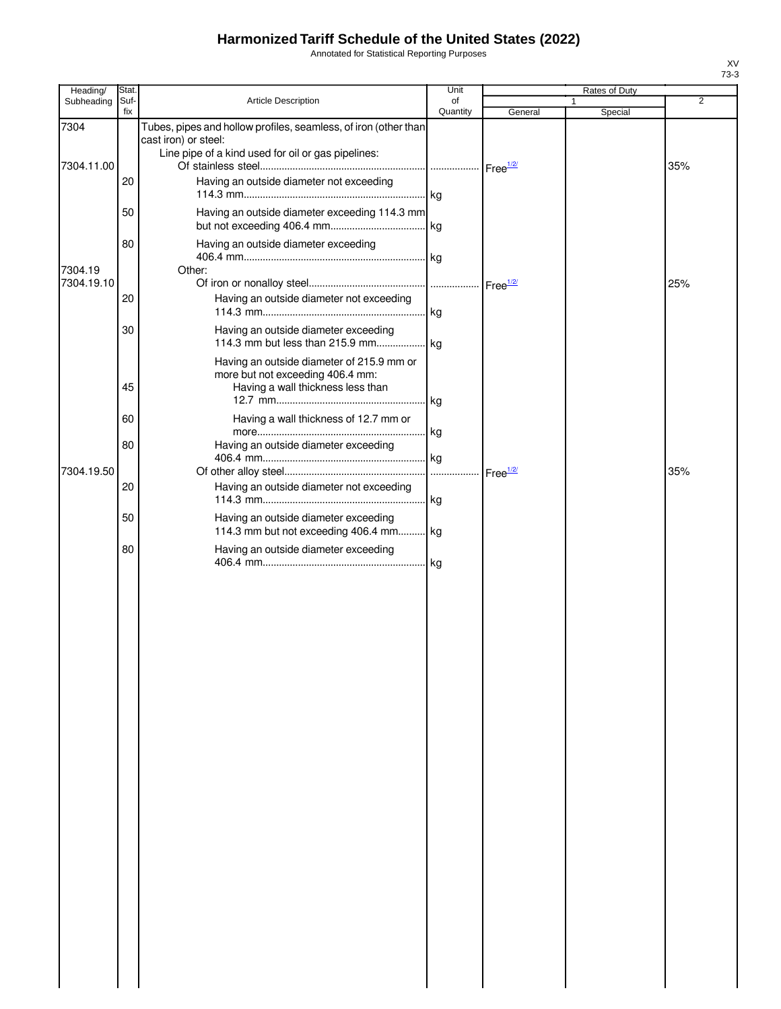Annotated for Statistical Reporting Purposes

| Heading/           | Stat.       |                                                                                                                                               | Unit           |                      | Rates of Duty |     |
|--------------------|-------------|-----------------------------------------------------------------------------------------------------------------------------------------------|----------------|----------------------|---------------|-----|
| Subheading         | Suf-<br>fix | Article Description                                                                                                                           | of<br>Quantity | General              | 1<br>Special  | 2   |
| 7304<br>7304.11.00 |             | Tubes, pipes and hollow profiles, seamless, of iron (other than<br>cast iron) or steel:<br>Line pipe of a kind used for oil or gas pipelines: |                |                      |               | 35% |
|                    | 20          | Having an outside diameter not exceeding                                                                                                      |                |                      |               |     |
|                    | 50          | Having an outside diameter exceeding 114.3 mm                                                                                                 |                |                      |               |     |
| 7304.19            | 80          | Having an outside diameter exceeding                                                                                                          |                |                      |               |     |
| 7304.19.10         | 20          | Other:<br>Having an outside diameter not exceeding                                                                                            |                |                      |               | 25% |
|                    | 30          | Having an outside diameter exceeding                                                                                                          |                |                      |               |     |
|                    | 45          | Having an outside diameter of 215.9 mm or<br>more but not exceeding 406.4 mm:<br>Having a wall thickness less than                            | l kg           |                      |               |     |
|                    | 60          | Having a wall thickness of 12.7 mm or                                                                                                         |                |                      |               |     |
| 7304.19.50         | 80          | Having an outside diameter exceeding                                                                                                          | . kg<br>.      | Free <sup>1/2/</sup> |               | 35% |
|                    | 20          | Having an outside diameter not exceeding                                                                                                      |                |                      |               |     |
|                    | 50          | Having an outside diameter exceeding<br>114.3 mm but not exceeding 406.4 mm kg                                                                |                |                      |               |     |
|                    | 80          | Having an outside diameter exceeding                                                                                                          | .lkg           |                      |               |     |
|                    |             |                                                                                                                                               |                |                      |               |     |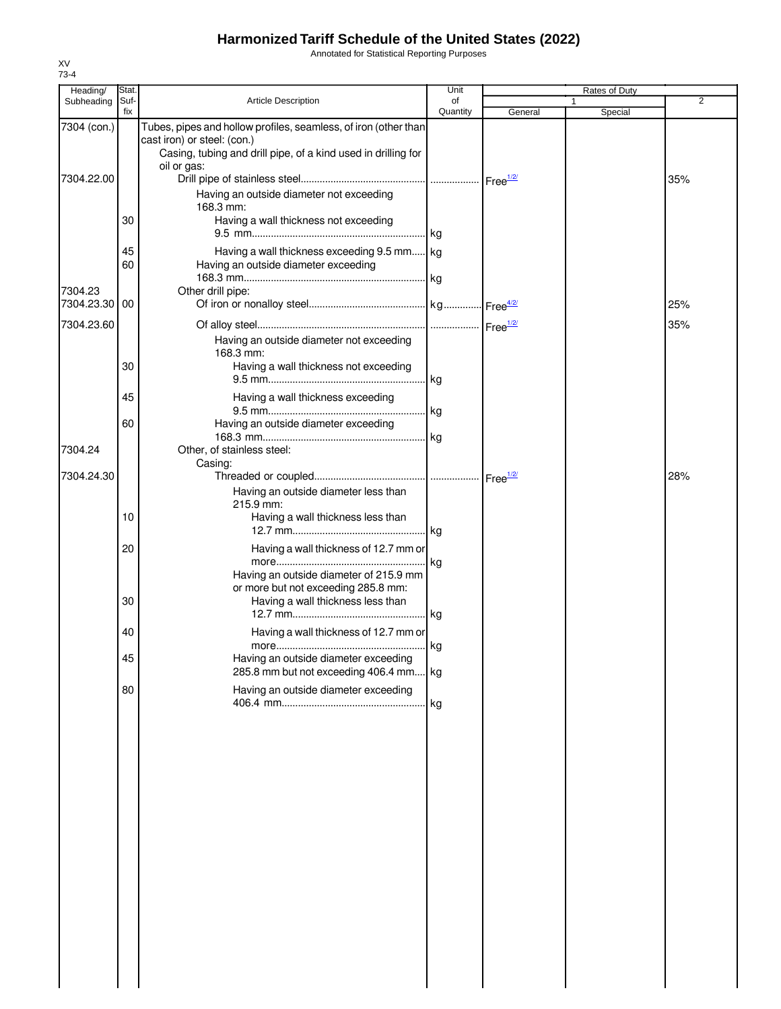Annotated for Statistical Reporting Purposes

| Heading/                  | Stat.       |                                                                                                                                                                                | Unit           |         | Rates of Duty |                |
|---------------------------|-------------|--------------------------------------------------------------------------------------------------------------------------------------------------------------------------------|----------------|---------|---------------|----------------|
| Subheading                | Suf-<br>fix | <b>Article Description</b>                                                                                                                                                     | of<br>Quantity | General | 1<br>Special  | $\overline{2}$ |
| 7304 (con.)<br>7304.22.00 |             | Tubes, pipes and hollow profiles, seamless, of iron (other than<br>cast iron) or steel: (con.)<br>Casing, tubing and drill pipe, of a kind used in drilling for<br>oil or gas: |                |         |               | 35%            |
|                           | 30          | Having an outside diameter not exceeding<br>168.3 mm:<br>Having a wall thickness not exceeding                                                                                 |                |         |               |                |
|                           | 45<br>60    | Having a wall thickness exceeding 9.5 mm kg                                                                                                                                    |                |         |               |                |
| 7304.23<br>7304.23.30     | 00          | Having an outside diameter exceeding<br>Other drill pipe:                                                                                                                      |                |         |               | 25%            |
| 7304.23.60                |             | Having an outside diameter not exceeding                                                                                                                                       |                |         |               | 35%            |
|                           | 30          | 168.3 mm:<br>Having a wall thickness not exceeding                                                                                                                             |                |         |               |                |
|                           | 45          | Having a wall thickness exceeding                                                                                                                                              |                |         |               |                |
| 7304.24                   | 60          | Having an outside diameter exceeding<br>Other, of stainless steel:                                                                                                             |                |         |               |                |
| 7304.24.30                |             | Casing:<br>Having an outside diameter less than                                                                                                                                |                |         |               | 28%            |
|                           | 10          | 215.9 mm:<br>Having a wall thickness less than                                                                                                                                 |                |         |               |                |
|                           | 20          | Having a wall thickness of 12.7 mm or                                                                                                                                          |                |         |               |                |
|                           | 30          | Having an outside diameter of 215.9 mm<br>or more but not exceeding 285.8 mm:<br>Having a wall thickness less than                                                             |                |         |               |                |
|                           | 40          | Having a wall thickness of 12.7 mm or                                                                                                                                          |                |         |               |                |
|                           | 45<br>80    | Having an outside diameter exceeding<br>285.8 mm but not exceeding 406.4 mm kg                                                                                                 |                |         |               |                |
|                           |             | Having an outside diameter exceeding                                                                                                                                           |                |         |               |                |
|                           |             |                                                                                                                                                                                |                |         |               |                |
|                           |             |                                                                                                                                                                                |                |         |               |                |
|                           |             |                                                                                                                                                                                |                |         |               |                |
|                           |             |                                                                                                                                                                                |                |         |               |                |
|                           |             |                                                                                                                                                                                |                |         |               |                |
|                           |             |                                                                                                                                                                                |                |         |               |                |
|                           |             |                                                                                                                                                                                |                |         |               |                |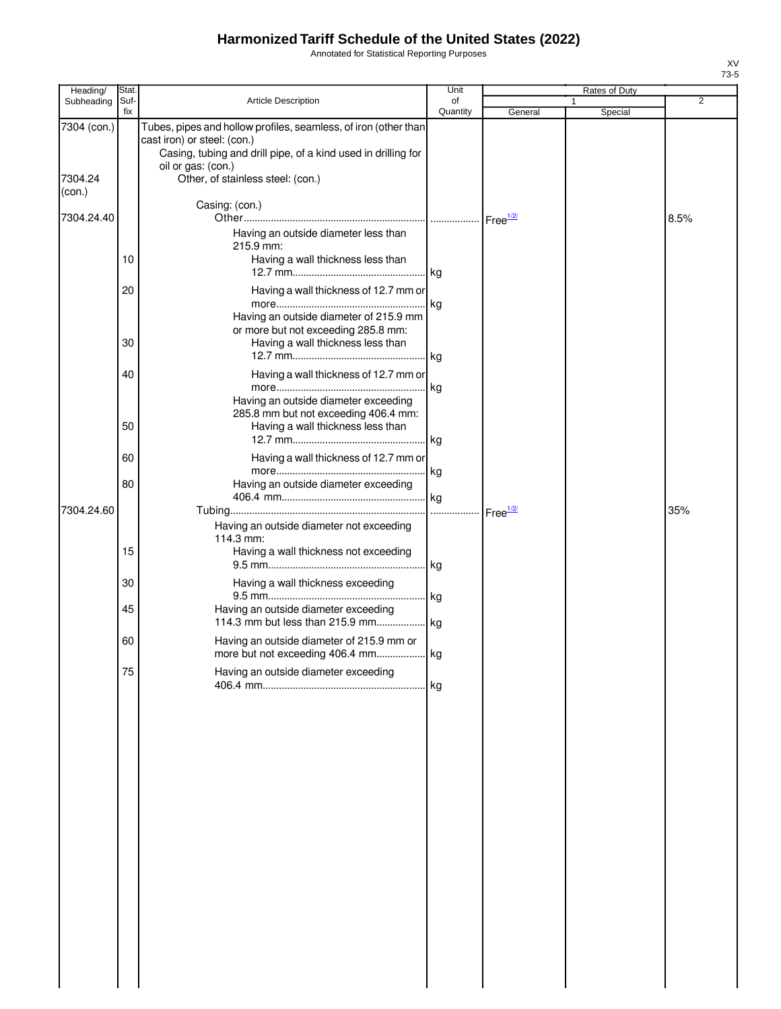Annotated for Statistical Reporting Purposes

| Heading/               | Stat.       |                                                                                                                                                                                                                            | Unit                 | Rates of Duty |   |         |      |
|------------------------|-------------|----------------------------------------------------------------------------------------------------------------------------------------------------------------------------------------------------------------------------|----------------------|---------------|---|---------|------|
| Subheading             | Suf-<br>fix | <b>Article Description</b>                                                                                                                                                                                                 | of<br>Quantity       | General       | 1 | Special | 2    |
| 7304 (con.)<br>7304.24 |             | Tubes, pipes and hollow profiles, seamless, of iron (other than<br>cast iron) or steel: (con.)<br>Casing, tubing and drill pipe, of a kind used in drilling for<br>oil or gas: (con.)<br>Other, of stainless steel: (con.) |                      |               |   |         |      |
| (con.)                 |             | Casing: (con.)                                                                                                                                                                                                             |                      |               |   |         |      |
| 7304.24.40             | 10          | Having an outside diameter less than<br>215.9 mm:<br>Having a wall thickness less than                                                                                                                                     |                      |               |   |         | 8.5% |
|                        | 20          | Having a wall thickness of 12.7 mm or                                                                                                                                                                                      |                      |               |   |         |      |
|                        | 30          | Having an outside diameter of 215.9 mm<br>or more but not exceeding 285.8 mm:<br>Having a wall thickness less than                                                                                                         |                      |               |   |         |      |
|                        | 40          | Having a wall thickness of 12.7 mm or<br>Having an outside diameter exceeding<br>285.8 mm but not exceeding 406.4 mm:                                                                                                      | kg                   |               |   |         |      |
|                        | 50          | Having a wall thickness less than                                                                                                                                                                                          |                      |               |   |         |      |
|                        | 60<br>80    | Having a wall thickness of 12.7 mm or<br>Having an outside diameter exceeding                                                                                                                                              |                      |               |   |         |      |
| 7304.24.60             |             |                                                                                                                                                                                                                            | Free <sup>1/2/</sup> |               |   |         | 35%  |
|                        | 15          | Having an outside diameter not exceeding<br>114.3 mm:<br>Having a wall thickness not exceeding                                                                                                                             |                      |               |   |         |      |
|                        | 30          | Having a wall thickness exceeding                                                                                                                                                                                          |                      |               |   |         |      |
|                        | 45          | Having an outside diameter exceeding                                                                                                                                                                                       | . kg                 |               |   |         |      |
|                        | 60          | Having an outside diameter of 215.9 mm or                                                                                                                                                                                  |                      |               |   |         |      |
|                        | 75          | Having an outside diameter exceeding                                                                                                                                                                                       |                      |               |   |         |      |
|                        |             |                                                                                                                                                                                                                            |                      |               |   |         |      |
|                        |             |                                                                                                                                                                                                                            |                      |               |   |         |      |
|                        |             |                                                                                                                                                                                                                            |                      |               |   |         |      |
|                        |             |                                                                                                                                                                                                                            |                      |               |   |         |      |
|                        |             |                                                                                                                                                                                                                            |                      |               |   |         |      |
|                        |             |                                                                                                                                                                                                                            |                      |               |   |         |      |
|                        |             |                                                                                                                                                                                                                            |                      |               |   |         |      |
|                        |             |                                                                                                                                                                                                                            |                      |               |   |         |      |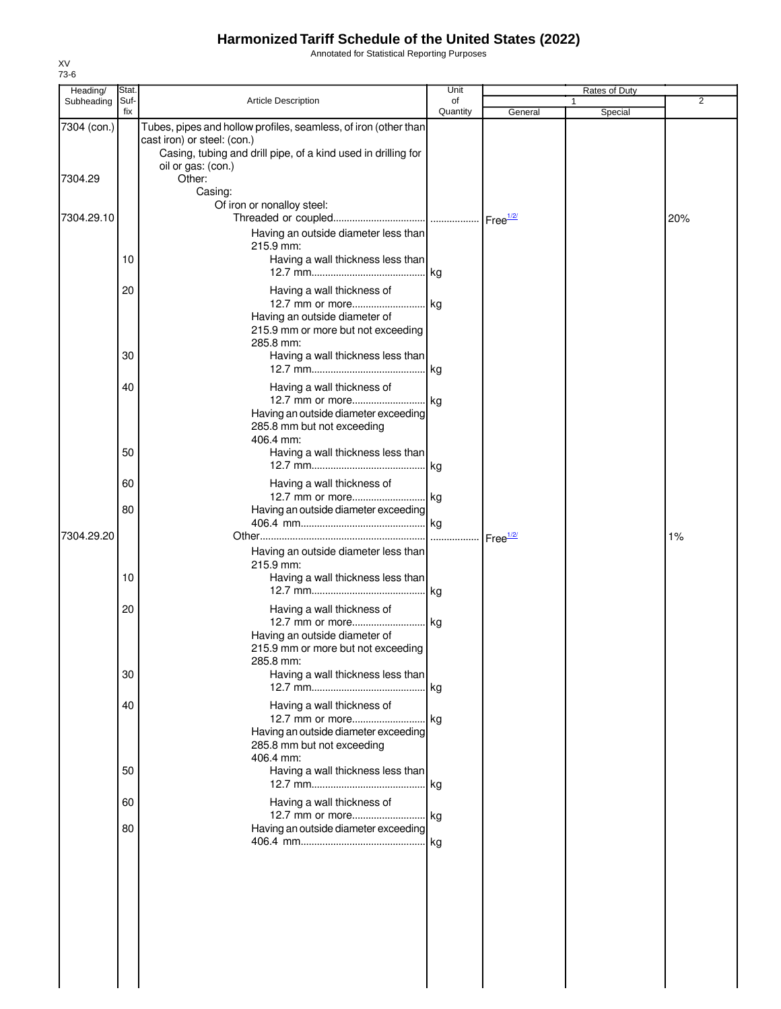Annotated for Statistical Reporting Purposes

| Heading/    | <b>Stat</b> |                                                                                                                                                                 | Unit           |                    | Rates of Duty |                |
|-------------|-------------|-----------------------------------------------------------------------------------------------------------------------------------------------------------------|----------------|--------------------|---------------|----------------|
| Subheading  | Suf-<br>fix | <b>Article Description</b>                                                                                                                                      | of<br>Quantity | General            | Special       | $\overline{2}$ |
| 7304 (con.) |             | Tubes, pipes and hollow profiles, seamless, of iron (other than<br>cast iron) or steel: (con.)<br>Casing, tubing and drill pipe, of a kind used in drilling for |                |                    |               |                |
| 7304.29     |             | oil or gas: (con.)<br>Other:<br>Casing:                                                                                                                         |                |                    |               |                |
| 7304.29.10  |             | Of iron or nonalloy steel:<br>Having an outside diameter less than                                                                                              |                |                    |               | 20%            |
|             | 10          | 215.9 mm:<br>Having a wall thickness less than                                                                                                                  |                |                    |               |                |
|             | 20          | Having a wall thickness of<br>12.7 mm or more kg                                                                                                                |                |                    |               |                |
|             |             | Having an outside diameter of<br>215.9 mm or more but not exceeding<br>285.8 mm:                                                                                |                |                    |               |                |
|             | 30          | Having a wall thickness less than                                                                                                                               |                |                    |               |                |
|             | 40          | Having a wall thickness of<br>Having an outside diameter exceeding<br>285.8 mm but not exceeding                                                                |                |                    |               |                |
|             | 50          | 406.4 mm:<br>Having a wall thickness less than                                                                                                                  |                |                    |               |                |
|             | 60          | Having a wall thickness of<br>12.7 mm or more kg                                                                                                                |                |                    |               |                |
| 7304.29.20  | 80          | Having an outside diameter exceeding                                                                                                                            |                | Free $\frac{1}{2}$ |               | 1%             |
|             | 10          | Having an outside diameter less than<br>215.9 mm:<br>Having a wall thickness less than                                                                          |                |                    |               |                |
|             | 20          | Having a wall thickness of<br>Having an outside diameter of<br>215.9 mm or more but not exceeding                                                               |                |                    |               |                |
|             | 30          | 285.8 mm:<br>Having a wall thickness less than                                                                                                                  | . kg           |                    |               |                |
|             | 40          | Having a wall thickness of<br>12.7 mm or more kg<br>Having an outside diameter exceeding<br>285.8 mm but not exceeding<br>406.4 mm:                             |                |                    |               |                |
|             | 50          | Having a wall thickness less than                                                                                                                               |                |                    |               |                |
|             | 60<br>80    | Having a wall thickness of<br>Having an outside diameter exceeding                                                                                              |                |                    |               |                |
|             |             |                                                                                                                                                                 |                |                    |               |                |
|             |             |                                                                                                                                                                 |                |                    |               |                |
|             |             |                                                                                                                                                                 |                |                    |               |                |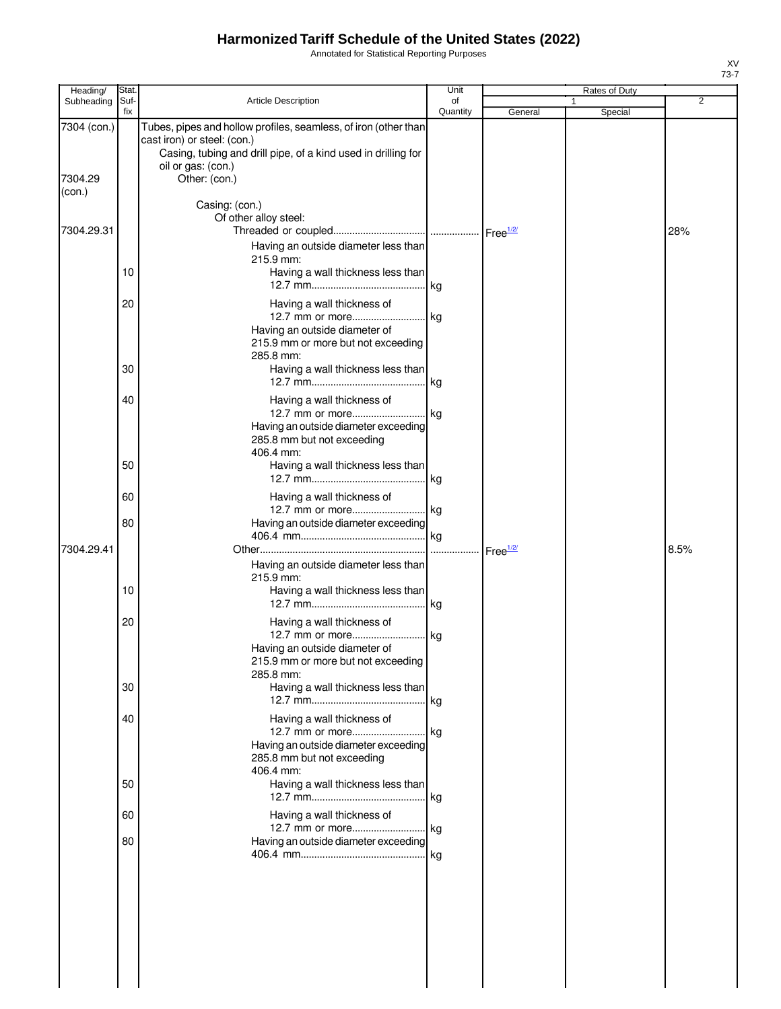Annotated for Statistical Reporting Purposes

| Heading/               | Stat.       |                                                                                                                                                                                                        | Unit           |                    | <b>Rates of Duty</b>    |                |
|------------------------|-------------|--------------------------------------------------------------------------------------------------------------------------------------------------------------------------------------------------------|----------------|--------------------|-------------------------|----------------|
| Subheading             | Suf-<br>fix | Article Description                                                                                                                                                                                    | of<br>Quantity | General            | $\mathbf{1}$<br>Special | $\overline{2}$ |
| 7304 (con.)<br>7304.29 |             | Tubes, pipes and hollow profiles, seamless, of iron (other than<br>cast iron) or steel: (con.)<br>Casing, tubing and drill pipe, of a kind used in drilling for<br>oil or gas: (con.)<br>Other: (con.) |                |                    |                         |                |
| (con.)                 |             |                                                                                                                                                                                                        |                |                    |                         |                |
| 7304.29.31             |             | Casing: (con.)<br>Of other alloy steel:                                                                                                                                                                |                |                    |                         | 28%            |
|                        | 10          | Having an outside diameter less than<br>215.9 mm:<br>Having a wall thickness less than                                                                                                                 |                |                    |                         |                |
|                        | 20          | Having a wall thickness of<br>Having an outside diameter of<br>215.9 mm or more but not exceeding<br>285.8 mm:                                                                                         |                |                    |                         |                |
|                        | 30          | Having a wall thickness less than                                                                                                                                                                      |                |                    |                         |                |
|                        | 40          | Having a wall thickness of<br>12.7 mm or more kg<br>Having an outside diameter exceeding<br>285.8 mm but not exceeding<br>406.4 mm:                                                                    |                |                    |                         |                |
|                        | 50          | Having a wall thickness less than                                                                                                                                                                      |                |                    |                         |                |
|                        | 60          | Having a wall thickness of<br>12.7 mm or more kg                                                                                                                                                       |                |                    |                         |                |
| 7304.29.41             | 80          | Having an outside diameter exceeding                                                                                                                                                                   |                | Free $\frac{1}{2}$ |                         | 8.5%           |
|                        | 10          | Having an outside diameter less than<br>215.9 mm:<br>Having a wall thickness less than                                                                                                                 |                |                    |                         |                |
|                        | 20          | Having a wall thickness of                                                                                                                                                                             |                |                    |                         |                |
|                        |             | 12.7 mm or more kg<br>Having an outside diameter of<br>215.9 mm or more but not exceeding<br>285.8 mm:                                                                                                 |                |                    |                         |                |
|                        | 30          | Having a wall thickness less than                                                                                                                                                                      |                |                    |                         |                |
|                        | 40          | Having a wall thickness of<br>12.7 mm or more kg<br>Having an outside diameter exceeding<br>285.8 mm but not exceeding<br>406.4 mm:                                                                    |                |                    |                         |                |
|                        | 50          | Having a wall thickness less than                                                                                                                                                                      |                |                    |                         |                |
|                        | 60          | Having a wall thickness of<br>12.7 mm or more kg                                                                                                                                                       |                |                    |                         |                |
|                        | 80          | Having an outside diameter exceeding                                                                                                                                                                   |                |                    |                         |                |
|                        |             |                                                                                                                                                                                                        |                |                    |                         |                |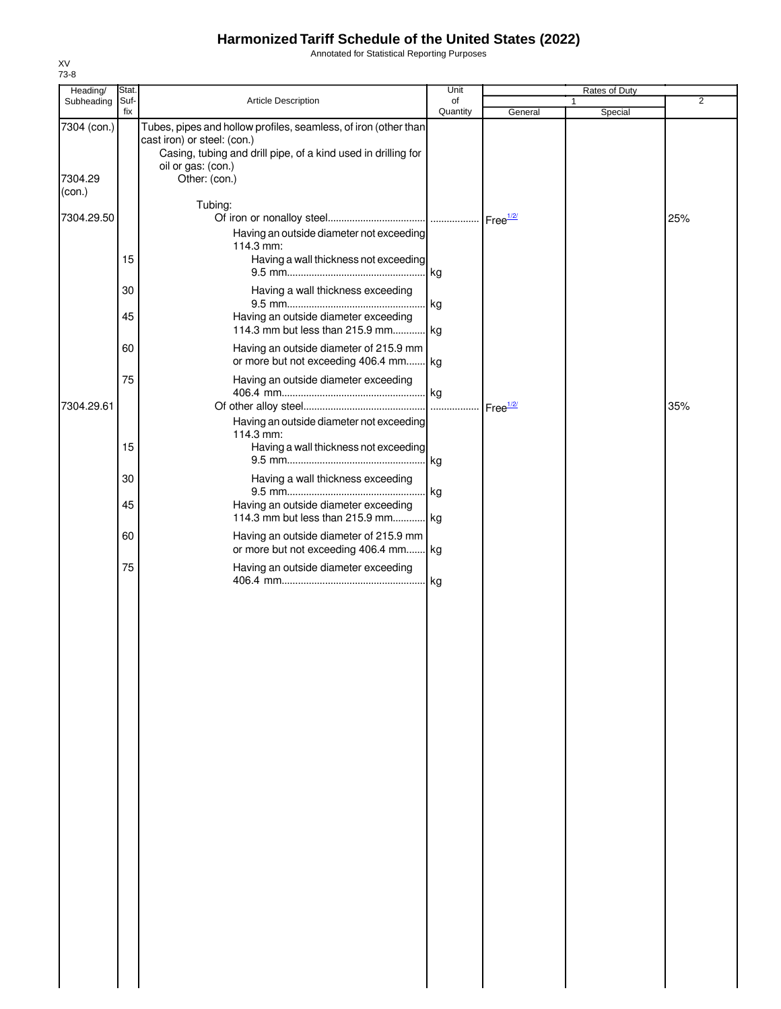Annotated for Statistical Reporting Purposes

| Heading/               | Stat.       |                                                                                                                                                                                                        | Unit           | Rates of Duty |              |         |                |
|------------------------|-------------|--------------------------------------------------------------------------------------------------------------------------------------------------------------------------------------------------------|----------------|---------------|--------------|---------|----------------|
| Subheading             | Suf-<br>fix | Article Description                                                                                                                                                                                    | of<br>Quantity | General       | $\mathbf{1}$ | Special | $\overline{2}$ |
| 7304 (con.)<br>7304.29 |             | Tubes, pipes and hollow profiles, seamless, of iron (other than<br>cast iron) or steel: (con.)<br>Casing, tubing and drill pipe, of a kind used in drilling for<br>oil or gas: (con.)<br>Other: (con.) |                |               |              |         |                |
| (con.)                 |             |                                                                                                                                                                                                        |                |               |              |         |                |
| 7304.29.50             |             | Tubing:<br>Having an outside diameter not exceeding                                                                                                                                                    |                |               |              |         | 25%            |
|                        | 15          | 114.3 mm:<br>Having a wall thickness not exceeding                                                                                                                                                     |                |               |              |         |                |
|                        | 30          | Having a wall thickness exceeding                                                                                                                                                                      |                |               |              |         |                |
|                        | 45          | Having an outside diameter exceeding<br>114.3 mm but less than 215.9 mm kg                                                                                                                             | kg             |               |              |         |                |
|                        | 60          | Having an outside diameter of 215.9 mm<br>or more but not exceeding 406.4 mm kg                                                                                                                        |                |               |              |         |                |
| 7304.29.61             | 75          | Having an outside diameter exceeding                                                                                                                                                                   |                |               |              |         | 35%            |
|                        | 15          | Having an outside diameter not exceeding<br>114.3 mm:<br>Having a wall thickness not exceeding                                                                                                         | kg             |               |              |         |                |
|                        | 30          | Having a wall thickness exceeding                                                                                                                                                                      |                |               |              |         |                |
|                        | 45          | Having an outside diameter exceeding<br>114.3 mm but less than 215.9 mm kg                                                                                                                             | kg             |               |              |         |                |
|                        | 60          | Having an outside diameter of 215.9 mm<br>or more but not exceeding 406.4 mm kg                                                                                                                        |                |               |              |         |                |
|                        | 75          | Having an outside diameter exceeding                                                                                                                                                                   | kg             |               |              |         |                |
|                        |             |                                                                                                                                                                                                        |                |               |              |         |                |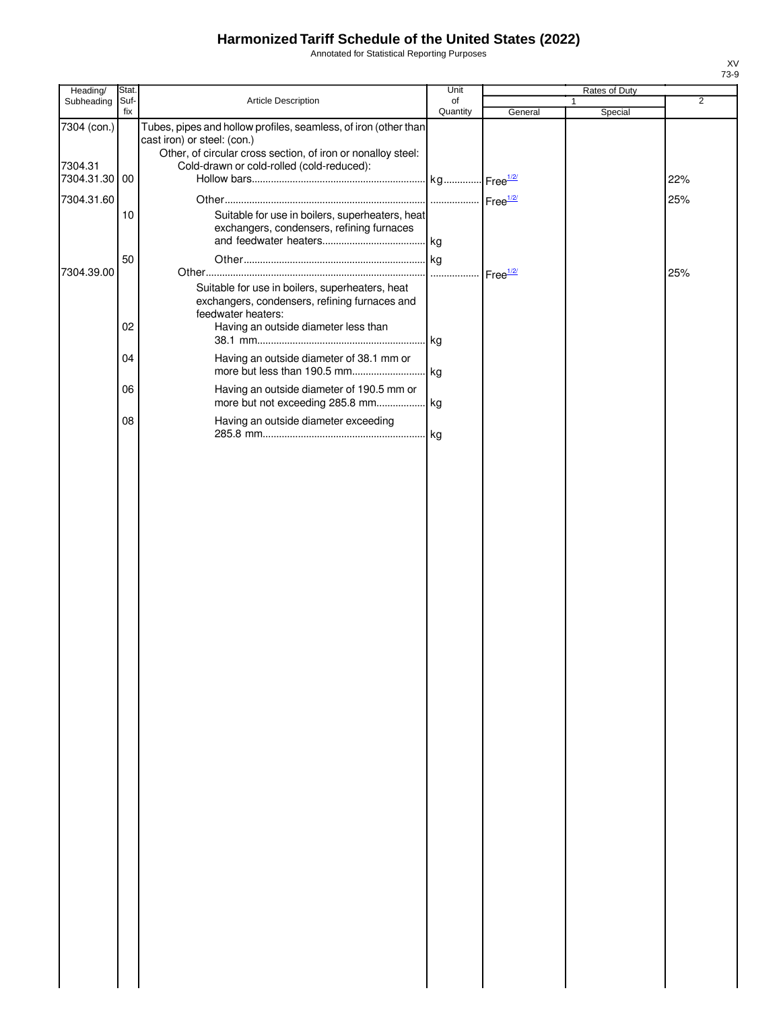Annotated for Statistical Reporting Purposes

| Heading/                             | Stat.       |                                                                                                                                                                                                             | Unit                    | Rates of Duty |                         |                |
|--------------------------------------|-------------|-------------------------------------------------------------------------------------------------------------------------------------------------------------------------------------------------------------|-------------------------|---------------|-------------------------|----------------|
| Subheading                           | Suf-<br>fix | Article Description                                                                                                                                                                                         | of<br>Quantity          | General       | $\mathbf{1}$<br>Special | $\overline{2}$ |
| 7304 (con.)<br>7304.31<br>7304.31.30 | 00          | Tubes, pipes and hollow profiles, seamless, of iron (other than<br>cast iron) or steel: (con.)<br>Other, of circular cross section, of iron or nonalloy steel:<br>Cold-drawn or cold-rolled (cold-reduced): |                         |               |                         | 22%            |
| 7304.31.60                           |             |                                                                                                                                                                                                             |                         |               |                         | 25%            |
|                                      | 10          | Suitable for use in boilers, superheaters, heat<br>exchangers, condensers, refining furnaces                                                                                                                |                         |               |                         |                |
|                                      | 50          |                                                                                                                                                                                                             |                         |               |                         |                |
| 7304.39.00                           |             | Suitable for use in boilers, superheaters, heat<br>exchangers, condensers, refining furnaces and<br>feedwater heaters:                                                                                      | -  Free <sup>1/2/</sup> |               |                         | 25%            |
|                                      | 02          | Having an outside diameter less than                                                                                                                                                                        | kg                      |               |                         |                |
|                                      | 04          | Having an outside diameter of 38.1 mm or                                                                                                                                                                    |                         |               |                         |                |
|                                      | 06          | Having an outside diameter of 190.5 mm or                                                                                                                                                                   |                         |               |                         |                |
|                                      | 08          | Having an outside diameter exceeding                                                                                                                                                                        |                         |               |                         |                |
|                                      |             |                                                                                                                                                                                                             |                         |               |                         |                |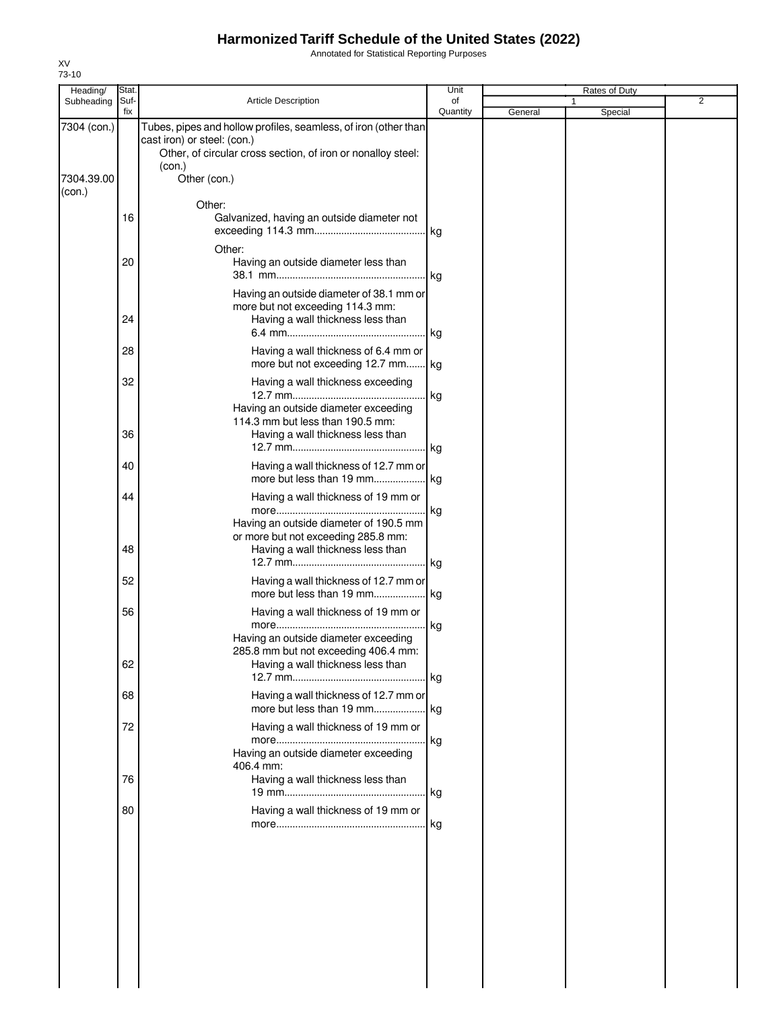Annotated for Statistical Reporting Purposes

| Heading/                            | Stat.       |                                                                                                                                                                                          | Unit           |         | Rates of Duty |   |
|-------------------------------------|-------------|------------------------------------------------------------------------------------------------------------------------------------------------------------------------------------------|----------------|---------|---------------|---|
| Subheading                          | Suf-<br>fix | <b>Article Description</b>                                                                                                                                                               | of<br>Quantity | General | 1<br>Special  | 2 |
| 7304 (con.)<br>7304.39.00<br>(con.) |             | Tubes, pipes and hollow profiles, seamless, of iron (other than<br>cast iron) or steel: (con.)<br>Other, of circular cross section, of iron or nonalloy steel:<br>(con.)<br>Other (con.) |                |         |               |   |
|                                     | 16          | Other:<br>Galvanized, having an outside diameter not                                                                                                                                     |                |         |               |   |
|                                     | 20          | Other:<br>Having an outside diameter less than                                                                                                                                           | lkg.           |         |               |   |
|                                     | 24          | Having an outside diameter of 38.1 mm or<br>more but not exceeding 114.3 mm:<br>Having a wall thickness less than                                                                        |                |         |               |   |
|                                     | 28          | Having a wall thickness of 6.4 mm or<br>more but not exceeding 12.7 mm kg                                                                                                                | . kg           |         |               |   |
|                                     | 32          | Having a wall thickness exceeding<br>Having an outside diameter exceeding                                                                                                                | kg             |         |               |   |
|                                     | 36          | 114.3 mm but less than 190.5 mm:<br>Having a wall thickness less than                                                                                                                    |                |         |               |   |
|                                     | 40          | Having a wall thickness of 12.7 mm or                                                                                                                                                    |                |         |               |   |
|                                     | 44          | Having a wall thickness of 19 mm or<br>Having an outside diameter of 190.5 mm<br>or more but not exceeding 285.8 mm:                                                                     | kg             |         |               |   |
|                                     | 48          | Having a wall thickness less than                                                                                                                                                        |                |         |               |   |
|                                     | 52          | Having a wall thickness of 12.7 mm or                                                                                                                                                    |                |         |               |   |
|                                     | 56          | Having a wall thickness of 19 mm or<br>Having an outside diameter exceeding<br>285.8 mm but not exceeding 406.4 mm:                                                                      | kg             |         |               |   |
|                                     | 62          | Having a wall thickness less than                                                                                                                                                        |                |         |               |   |
|                                     | 68          | Having a wall thickness of 12.7 mm or                                                                                                                                                    |                |         |               |   |
|                                     | 72          | Having a wall thickness of 19 mm or<br>Having an outside diameter exceeding<br>406.4 mm:                                                                                                 | kg             |         |               |   |
|                                     | 76          | Having a wall thickness less than                                                                                                                                                        |                |         |               |   |
|                                     | 80          | Having a wall thickness of 19 mm or                                                                                                                                                      | .  kg          |         |               |   |
|                                     |             |                                                                                                                                                                                          |                |         |               |   |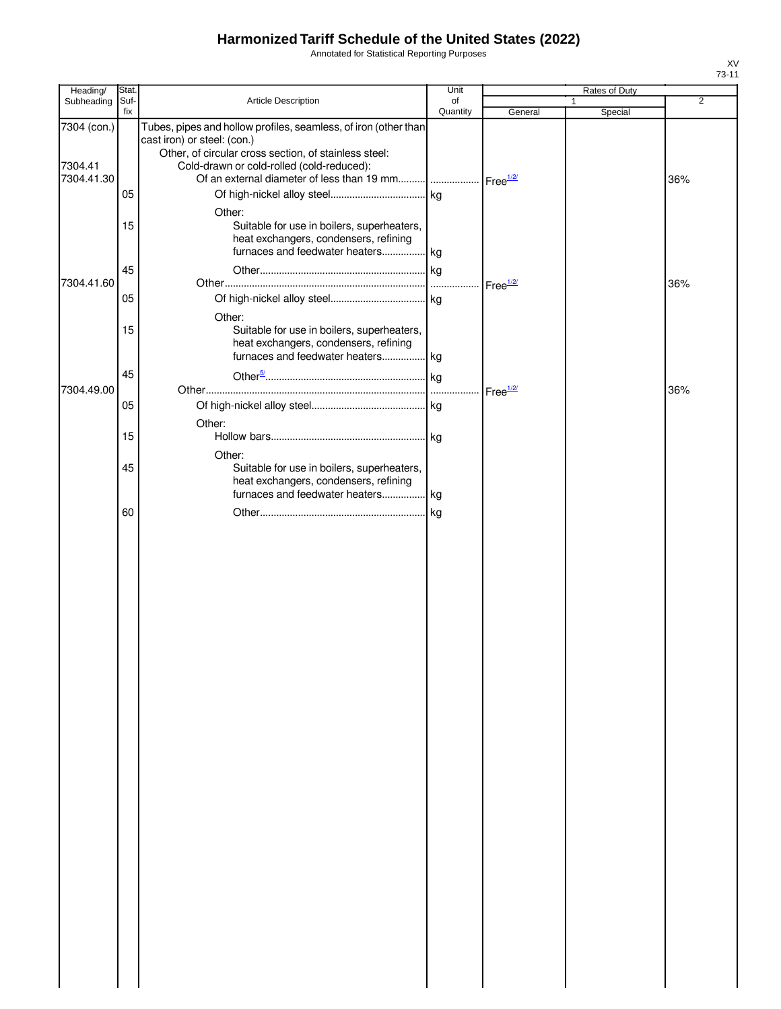Annotated for Statistical Reporting Purposes

| Heading/                             | Stat.                |                                                                                                                                                                                                                                                                | Unit           |                            | Rates of Duty |                |
|--------------------------------------|----------------------|----------------------------------------------------------------------------------------------------------------------------------------------------------------------------------------------------------------------------------------------------------------|----------------|----------------------------|---------------|----------------|
| Subheading                           | Suf-<br>fix          | Article Description                                                                                                                                                                                                                                            | of<br>Quantity | General                    | 1<br>Special  | $\overline{2}$ |
| 7304 (con.)<br>7304.41<br>7304.41.30 | 05                   | Tubes, pipes and hollow profiles, seamless, of iron (other than<br>cast iron) or steel: (con.)<br>Other, of circular cross section, of stainless steel:<br>Cold-drawn or cold-rolled (cold-reduced):<br>Other:                                                 |                |                            |               | 36%            |
| 7304.41.60                           | 15<br>45<br>05<br>15 | Suitable for use in boilers, superheaters,<br>heat exchangers, condensers, refining<br>furnaces and feedwater heaters kg<br>Other:<br>Suitable for use in boilers, superheaters,<br>heat exchangers, condensers, refining<br>furnaces and feedwater heaters kg |                | $\cdot$ Free $\frac{1}{2}$ |               | 36%            |
| 7304.49.00                           | 45<br>05             |                                                                                                                                                                                                                                                                |                |                            |               | 36%            |
|                                      | 15                   | Other:<br>Other:                                                                                                                                                                                                                                               |                |                            |               |                |
|                                      | 45<br>60             | Suitable for use in boilers, superheaters,<br>heat exchangers, condensers, refining<br>furnaces and feedwater heaters kg                                                                                                                                       |                |                            |               |                |
|                                      |                      |                                                                                                                                                                                                                                                                |                |                            |               |                |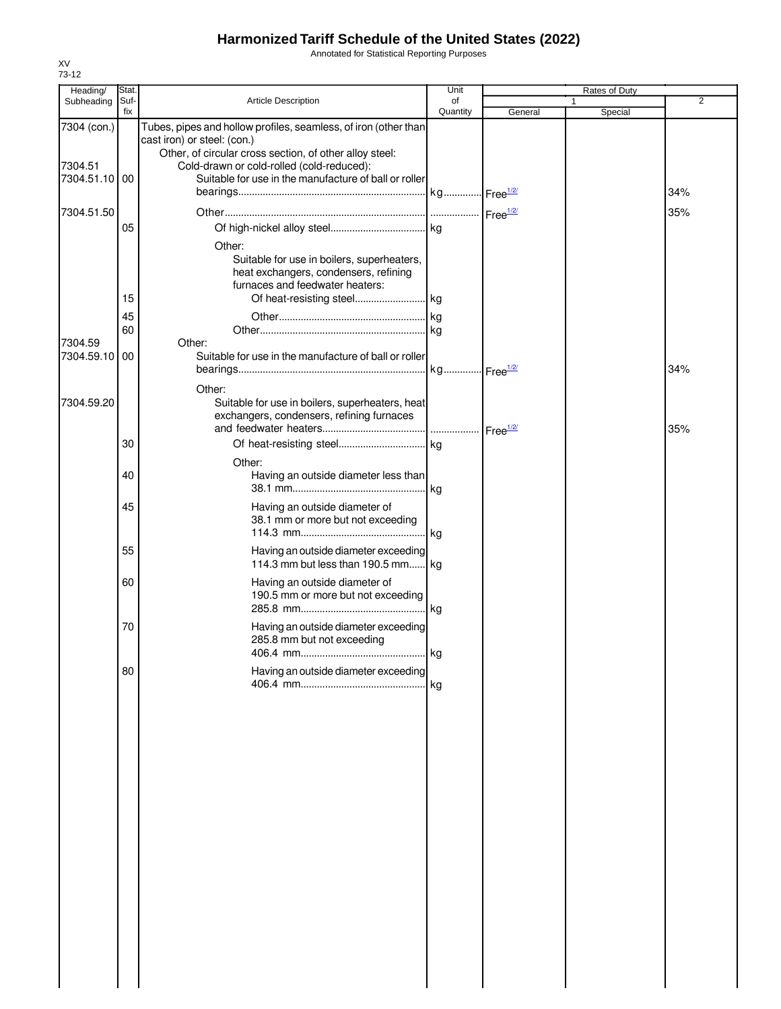Annotated for Statistical Reporting Purposes

| Heading/                 | Stat.       |                                                                                                    | Unit           |         | Rates of Duty |                |
|--------------------------|-------------|----------------------------------------------------------------------------------------------------|----------------|---------|---------------|----------------|
| Subheading               | Suf-<br>fix | <b>Article Description</b>                                                                         | of<br>Quantity | General | 1<br>Special  | $\overline{2}$ |
| 7304 (con.)              |             | Tubes, pipes and hollow profiles, seamless, of iron (other than                                    |                |         |               |                |
|                          |             | cast iron) or steel: (con.)                                                                        |                |         |               |                |
|                          |             | Other, of circular cross section, of other alloy steel:                                            |                |         |               |                |
| 7304.51<br>7304.51.10 00 |             | Cold-drawn or cold-rolled (cold-reduced):<br>Suitable for use in the manufacture of ball or roller |                |         |               |                |
|                          |             |                                                                                                    |                |         |               | 34%            |
|                          |             |                                                                                                    |                |         |               |                |
| 7304.51.50               |             |                                                                                                    |                |         |               | 35%            |
|                          | 05          |                                                                                                    |                |         |               |                |
|                          |             | Other:                                                                                             |                |         |               |                |
|                          |             | Suitable for use in boilers, superheaters,                                                         |                |         |               |                |
|                          |             | heat exchangers, condensers, refining<br>furnaces and feedwater heaters:                           |                |         |               |                |
|                          | 15          |                                                                                                    |                |         |               |                |
|                          | 45          |                                                                                                    |                |         |               |                |
|                          | 60          |                                                                                                    |                |         |               |                |
| 7304.59                  |             | Other:                                                                                             |                |         |               |                |
| 7304.59.10 00            |             | Suitable for use in the manufacture of ball or roller                                              |                |         |               |                |
|                          |             |                                                                                                    |                |         |               | 34%            |
|                          |             | Other:                                                                                             |                |         |               |                |
| 7304.59.20               |             | Suitable for use in boilers, superheaters, heat                                                    |                |         |               |                |
|                          |             | exchangers, condensers, refining furnaces                                                          |                |         |               |                |
|                          |             |                                                                                                    |                |         |               | 35%            |
|                          | 30          |                                                                                                    |                |         |               |                |
|                          |             | Other:                                                                                             |                |         |               |                |
|                          | 40          | Having an outside diameter less than                                                               |                |         |               |                |
|                          |             |                                                                                                    |                |         |               |                |
|                          | 45          | Having an outside diameter of<br>38.1 mm or more but not exceeding                                 |                |         |               |                |
|                          |             |                                                                                                    |                |         |               |                |
|                          | 55          |                                                                                                    |                |         |               |                |
|                          |             | Having an outside diameter exceeding<br>114.3 mm but less than 190.5 mm kg                         |                |         |               |                |
|                          | 60          | Having an outside diameter of                                                                      |                |         |               |                |
|                          |             | 190.5 mm or more but not exceeding                                                                 |                |         |               |                |
|                          |             |                                                                                                    |                |         |               |                |
|                          | 70          | Having an outside diameter exceeding                                                               |                |         |               |                |
|                          |             | 285.8 mm but not exceeding                                                                         |                |         |               |                |
|                          |             |                                                                                                    |                |         |               |                |
|                          | 80          | Having an outside diameter exceeding                                                               |                |         |               |                |
|                          |             |                                                                                                    | l kg           |         |               |                |
|                          |             |                                                                                                    |                |         |               |                |
|                          |             |                                                                                                    |                |         |               |                |
|                          |             |                                                                                                    |                |         |               |                |
|                          |             |                                                                                                    |                |         |               |                |
|                          |             |                                                                                                    |                |         |               |                |
|                          |             |                                                                                                    |                |         |               |                |
|                          |             |                                                                                                    |                |         |               |                |
|                          |             |                                                                                                    |                |         |               |                |
|                          |             |                                                                                                    |                |         |               |                |
|                          |             |                                                                                                    |                |         |               |                |
|                          |             |                                                                                                    |                |         |               |                |
|                          |             |                                                                                                    |                |         |               |                |
|                          |             |                                                                                                    |                |         |               |                |
|                          |             |                                                                                                    |                |         |               |                |
|                          |             |                                                                                                    |                |         |               |                |
|                          |             |                                                                                                    |                |         |               |                |
|                          |             |                                                                                                    |                |         |               |                |
|                          |             |                                                                                                    |                |         |               |                |
|                          |             |                                                                                                    |                |         |               |                |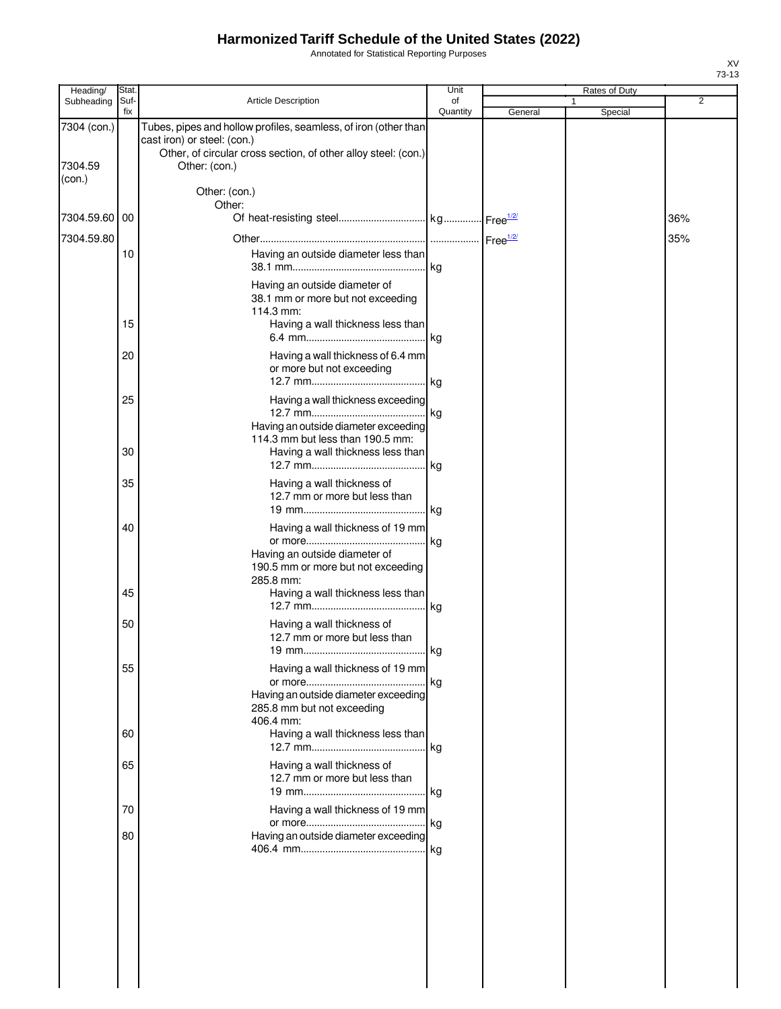Annotated for Statistical Reporting Purposes

| Heading/                         | Stat.       |                                                                                                                                                                                   | Unit           | Rates of Duty |              |                |
|----------------------------------|-------------|-----------------------------------------------------------------------------------------------------------------------------------------------------------------------------------|----------------|---------------|--------------|----------------|
| Subheading                       | Suf-<br>fix | <b>Article Description</b>                                                                                                                                                        | of<br>Quantity | General       | 1<br>Special | $\overline{2}$ |
| 7304 (con.)<br>7304.59<br>(con.) |             | Tubes, pipes and hollow profiles, seamless, of iron (other than<br>cast iron) or steel: (con.)<br>Other, of circular cross section, of other alloy steel: (con.)<br>Other: (con.) |                |               |              |                |
|                                  |             | Other: (con.)<br>Other:                                                                                                                                                           |                |               |              |                |
| 7304.59.60 00                    |             |                                                                                                                                                                                   |                |               |              | 36%            |
| 7304.59.80                       |             |                                                                                                                                                                                   |                |               |              | 35%            |
|                                  | 10          | Having an outside diameter less than                                                                                                                                              | kg             |               |              |                |
|                                  |             | Having an outside diameter of<br>38.1 mm or more but not exceeding<br>114.3 mm:                                                                                                   |                |               |              |                |
|                                  | 15          | Having a wall thickness less than                                                                                                                                                 | . kg           |               |              |                |
|                                  | 20          | Having a wall thickness of 6.4 mm<br>or more but not exceeding                                                                                                                    |                |               |              |                |
|                                  | 25          | Having a wall thickness exceeding<br>Having an outside diameter exceeding                                                                                                         | lkg.           |               |              |                |
|                                  | 30          | 114.3 mm but less than 190.5 mm:<br>Having a wall thickness less than                                                                                                             | kg             |               |              |                |
|                                  | 35          | Having a wall thickness of<br>12.7 mm or more but less than                                                                                                                       |                |               |              |                |
|                                  | 40          | Having a wall thickness of 19 mm                                                                                                                                                  | . kg           |               |              |                |
|                                  | 45          | Having an outside diameter of<br>190.5 mm or more but not exceeding<br>285.8 mm:<br>Having a wall thickness less than                                                             |                |               |              |                |
|                                  | 50          | Having a wall thickness of<br>12.7 mm or more but less than                                                                                                                       | . kg<br>l ka   |               |              |                |
|                                  | 55          | Having a wall thickness of 19 mm                                                                                                                                                  | . Ikg          |               |              |                |
|                                  |             | Having an outside diameter exceeding<br>285.8 mm but not exceeding<br>406.4 mm:                                                                                                   |                |               |              |                |
|                                  | 60          | Having a wall thickness less than                                                                                                                                                 | .Ikg           |               |              |                |
|                                  | 65          | Having a wall thickness of<br>12.7 mm or more but less than                                                                                                                       |                |               |              |                |
|                                  | 70          | Having a wall thickness of 19 mm                                                                                                                                                  | . I kg         |               |              |                |
|                                  | 80          | Having an outside diameter exceeding                                                                                                                                              | . kg           |               |              |                |
|                                  |             |                                                                                                                                                                                   |                |               |              |                |
|                                  |             |                                                                                                                                                                                   |                |               |              |                |
|                                  |             |                                                                                                                                                                                   |                |               |              |                |
|                                  |             |                                                                                                                                                                                   |                |               |              |                |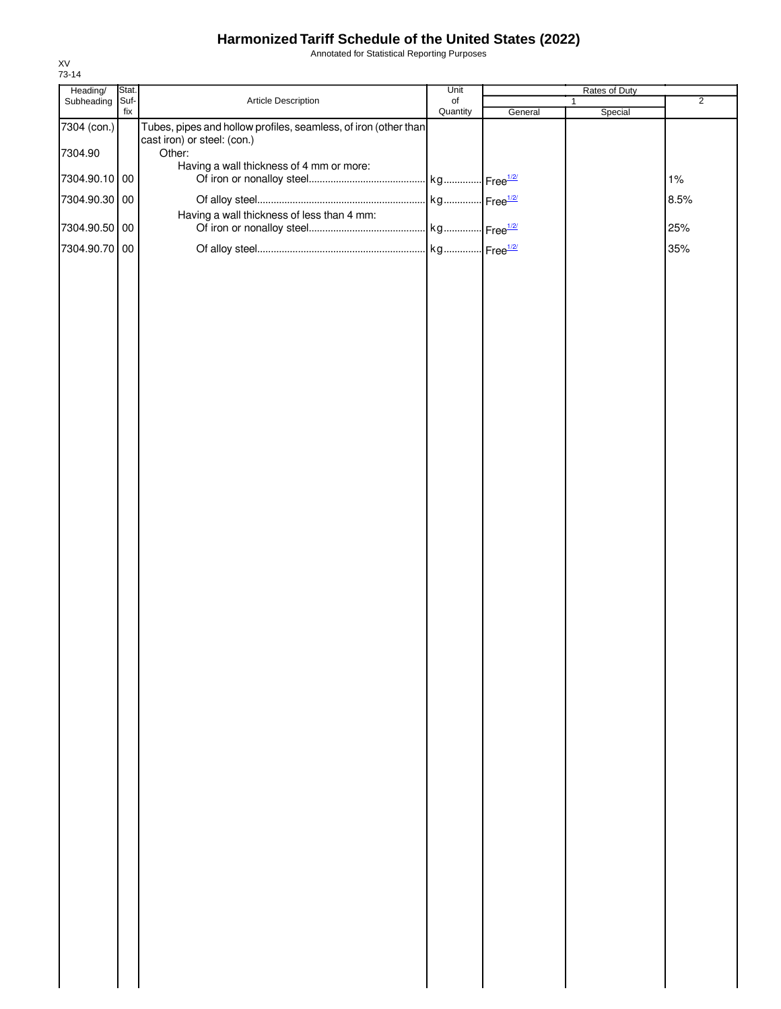Annotated for Statistical Reporting Purposes

| Heading/      | Stat.       |                                                                                                | Unit                  |         | Rates of Duty |                |
|---------------|-------------|------------------------------------------------------------------------------------------------|-----------------------|---------|---------------|----------------|
| Subheading    | Suf-<br>fix | Article Description                                                                            | $\circ$ f<br>Quantity | General | 1<br>Special  | $\overline{2}$ |
| 7304 (con.)   |             | Tubes, pipes and hollow profiles, seamless, of iron (other than<br>cast iron) or steel: (con.) |                       |         |               |                |
| 7304.90       |             | Other:                                                                                         |                       |         |               |                |
| 7304.90.10 00 |             | Having a wall thickness of 4 mm or more:                                                       |                       |         |               | 1%             |
| 7304.90.30 00 |             |                                                                                                |                       |         |               | 8.5%           |
|               |             | Having a wall thickness of less than 4 mm:                                                     |                       |         |               |                |
| 7304.90.50 00 |             |                                                                                                |                       |         |               | 25%            |
| 7304.90.70 00 |             |                                                                                                |                       |         |               | 35%            |
|               |             |                                                                                                |                       |         |               |                |
|               |             |                                                                                                |                       |         |               |                |
|               |             |                                                                                                |                       |         |               |                |
|               |             |                                                                                                |                       |         |               |                |
|               |             |                                                                                                |                       |         |               |                |
|               |             |                                                                                                |                       |         |               |                |
|               |             |                                                                                                |                       |         |               |                |
|               |             |                                                                                                |                       |         |               |                |
|               |             |                                                                                                |                       |         |               |                |
|               |             |                                                                                                |                       |         |               |                |
|               |             |                                                                                                |                       |         |               |                |
|               |             |                                                                                                |                       |         |               |                |
|               |             |                                                                                                |                       |         |               |                |
|               |             |                                                                                                |                       |         |               |                |
|               |             |                                                                                                |                       |         |               |                |
|               |             |                                                                                                |                       |         |               |                |
|               |             |                                                                                                |                       |         |               |                |
|               |             |                                                                                                |                       |         |               |                |
|               |             |                                                                                                |                       |         |               |                |
|               |             |                                                                                                |                       |         |               |                |
|               |             |                                                                                                |                       |         |               |                |
|               |             |                                                                                                |                       |         |               |                |
|               |             |                                                                                                |                       |         |               |                |
|               |             |                                                                                                |                       |         |               |                |
|               |             |                                                                                                |                       |         |               |                |
|               |             |                                                                                                |                       |         |               |                |
|               |             |                                                                                                |                       |         |               |                |
|               |             |                                                                                                |                       |         |               |                |
|               |             |                                                                                                |                       |         |               |                |
|               |             |                                                                                                |                       |         |               |                |
|               |             |                                                                                                |                       |         |               |                |
|               |             |                                                                                                |                       |         |               |                |
|               |             |                                                                                                |                       |         |               |                |
|               |             |                                                                                                |                       |         |               |                |
|               |             |                                                                                                |                       |         |               |                |
|               |             |                                                                                                |                       |         |               |                |
|               |             |                                                                                                |                       |         |               |                |
|               |             |                                                                                                |                       |         |               |                |
|               |             |                                                                                                |                       |         |               |                |
|               |             |                                                                                                |                       |         |               |                |
|               |             |                                                                                                |                       |         |               |                |
|               |             |                                                                                                |                       |         |               |                |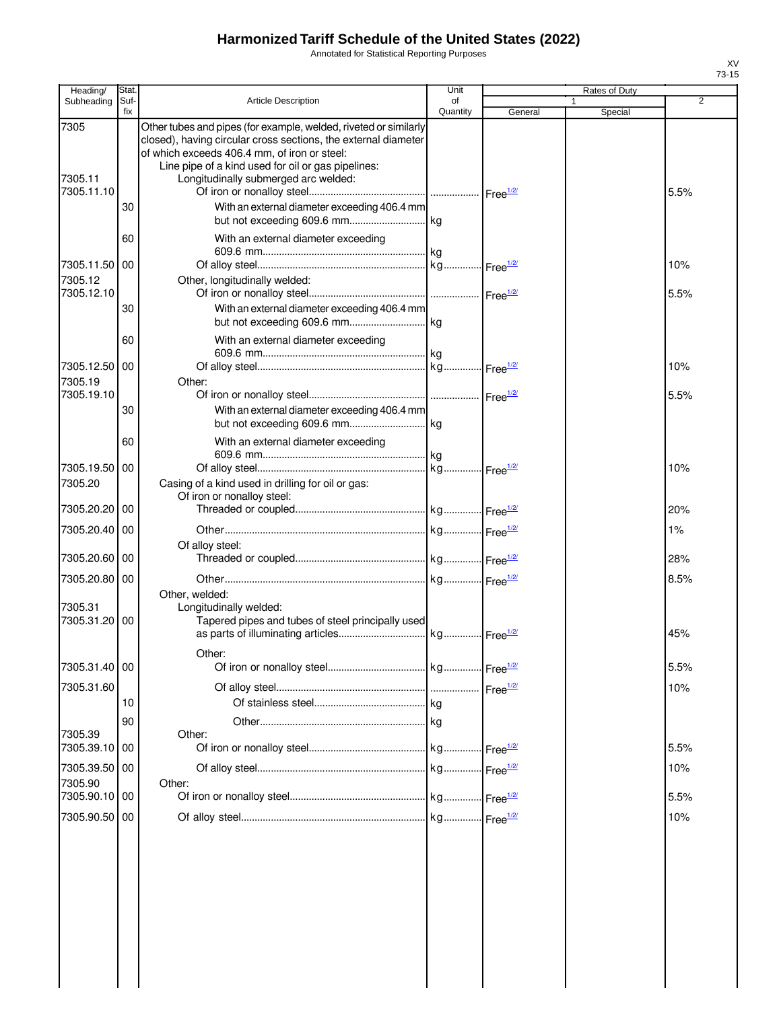Annotated for Statistical Reporting Purposes

| Heading/                            | Stat        |                                                                                                                                                                                                                                                                                  | Unit           |                    | Rates of Duty |             |
|-------------------------------------|-------------|----------------------------------------------------------------------------------------------------------------------------------------------------------------------------------------------------------------------------------------------------------------------------------|----------------|--------------------|---------------|-------------|
| Subheading                          | Suf-<br>fix | <b>Article Description</b>                                                                                                                                                                                                                                                       | of<br>Quantity | General            | 1             | 2           |
| 7305<br>7305.11<br>7305.11.10       |             | Other tubes and pipes (for example, welded, riveted or similarly<br>closed), having circular cross sections, the external diameter<br>of which exceeds 406.4 mm, of iron or steel:<br>Line pipe of a kind used for oil or gas pipelines:<br>Longitudinally submerged arc welded: |                |                    | Special       | 5.5%        |
|                                     | 30          | With an external diameter exceeding 406.4 mm                                                                                                                                                                                                                                     |                |                    |               |             |
|                                     | 60          | With an external diameter exceeding                                                                                                                                                                                                                                              |                |                    |               |             |
| 7305.11.50<br>7305.12<br>7305.12.10 | 00          | Other, longitudinally welded:                                                                                                                                                                                                                                                    |                |                    |               | 10%<br>5.5% |
|                                     | 30          | With an external diameter exceeding 406.4 mm                                                                                                                                                                                                                                     |                |                    |               |             |
|                                     | 60          | With an external diameter exceeding                                                                                                                                                                                                                                              |                |                    |               |             |
| 7305.12.50<br>7305.19<br>7305.19.10 | 00          | Other:                                                                                                                                                                                                                                                                           |                |                    |               | 10%         |
|                                     | 30          | With an external diameter exceeding 406.4 mm                                                                                                                                                                                                                                     |                |                    |               | 5.5%        |
|                                     | 60          | With an external diameter exceeding                                                                                                                                                                                                                                              |                |                    |               |             |
| 7305.19.50<br>7305.20               | 00          | Casing of a kind used in drilling for oil or gas:<br>Of iron or nonalloy steel:                                                                                                                                                                                                  |                |                    |               | 10%         |
| 7305.20.20                          | 00          |                                                                                                                                                                                                                                                                                  |                |                    |               | 20%         |
| 7305.20.40                          | 00          | Of alloy steel:                                                                                                                                                                                                                                                                  |                |                    |               | 1%          |
| 7305.20.60                          | 00          |                                                                                                                                                                                                                                                                                  |                |                    |               | 28%         |
| 7305.20.80<br>7305.31               | 00          | Other, welded:<br>Longitudinally welded:                                                                                                                                                                                                                                         |                |                    |               | 8.5%        |
| 7305.31.20                          | 00          | Tapered pipes and tubes of steel principally used                                                                                                                                                                                                                                |                |                    |               | 45%         |
| 7305.31.40 00                       |             | Other:                                                                                                                                                                                                                                                                           |                |                    |               | 5.5%        |
| 7305.31.60                          | 10          |                                                                                                                                                                                                                                                                                  |                | Free $\frac{1}{2}$ |               | 10%         |
| 7305.39<br>7305.39.10               | 90<br>00    | Other:                                                                                                                                                                                                                                                                           |                |                    |               | 5.5%        |
| 7305.39.50<br>7305.90               | 00          | Other:                                                                                                                                                                                                                                                                           |                |                    |               | 10%         |
| 7305.90.10                          | 00          |                                                                                                                                                                                                                                                                                  |                |                    |               | 5.5%        |
| 7305.90.50                          | 00          |                                                                                                                                                                                                                                                                                  |                |                    |               | 10%         |
|                                     |             |                                                                                                                                                                                                                                                                                  |                |                    |               |             |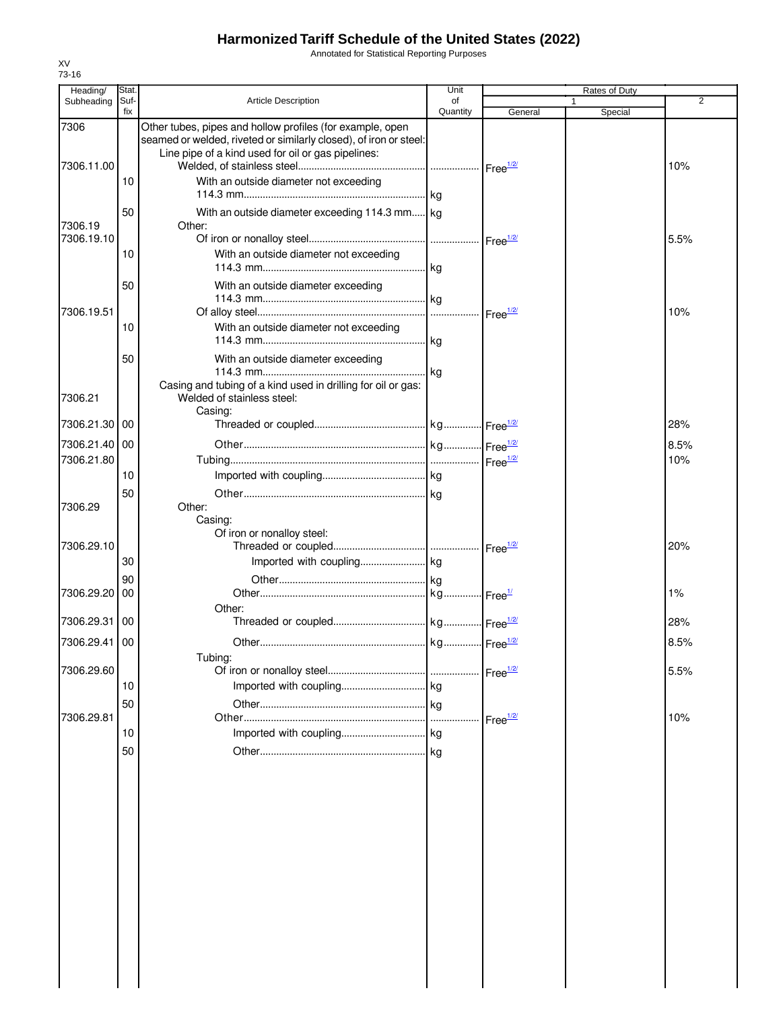Annotated for Statistical Reporting Purposes

| Heading/                    | Stat.       |                                                                                                                                                                                      | Unit           |                    | Rates of Duty |                |
|-----------------------------|-------------|--------------------------------------------------------------------------------------------------------------------------------------------------------------------------------------|----------------|--------------------|---------------|----------------|
| Subheading                  | Suf-<br>fix | <b>Article Description</b>                                                                                                                                                           | of<br>Quantity | General            | 1<br>Special  | $\overline{2}$ |
| 7306                        |             | Other tubes, pipes and hollow profiles (for example, open<br>seamed or welded, riveted or similarly closed), of iron or steel:<br>Line pipe of a kind used for oil or gas pipelines: |                |                    |               |                |
| 7306.11.00                  | 10          | With an outside diameter not exceeding                                                                                                                                               |                |                    |               | 10%            |
| 7306.19                     | 50          | With an outside diameter exceeding 114.3 mm kg<br>Other:                                                                                                                             |                |                    |               |                |
| 7306.19.10                  | 10          | With an outside diameter not exceeding                                                                                                                                               |                |                    |               | 5.5%           |
|                             | 50          | With an outside diameter exceeding                                                                                                                                                   |                |                    |               |                |
| 7306.19.51                  | 10          | With an outside diameter not exceeding                                                                                                                                               |                |                    |               | 10%            |
|                             | 50          | With an outside diameter exceeding<br>Casing and tubing of a kind used in drilling for oil or gas:                                                                                   |                |                    |               |                |
| 7306.21<br>7306.21.30       | 00          | Welded of stainless steel:<br>Casing:                                                                                                                                                |                |                    |               | 28%            |
| 7306.21.40 00<br>7306.21.80 |             |                                                                                                                                                                                      |                |                    |               | 8.5%<br>10%    |
|                             | 10<br>50    |                                                                                                                                                                                      |                |                    |               |                |
| 7306.29                     |             | Other:<br>Casing:<br>Of iron or nonalloy steel:                                                                                                                                      |                |                    |               |                |
| 7306.29.10                  | 30          |                                                                                                                                                                                      |                |                    |               | 20%            |
| 7306.29.20                  | 90<br>00    | Other:                                                                                                                                                                               |                |                    |               | 1%             |
| 7306.29.31                  | 00          |                                                                                                                                                                                      |                |                    |               | 28%            |
| 7306.29.41 00               |             | Tubing:                                                                                                                                                                              |                |                    |               | 8.5%           |
| 7306.29.60                  | 10<br>50    |                                                                                                                                                                                      |                |                    |               | 5.5%           |
| 7306.29.81                  | 10          |                                                                                                                                                                                      | .              | Free $\frac{1}{2}$ |               | 10%            |
|                             | 50          |                                                                                                                                                                                      |                |                    |               |                |
|                             |             |                                                                                                                                                                                      |                |                    |               |                |
|                             |             |                                                                                                                                                                                      |                |                    |               |                |
|                             |             |                                                                                                                                                                                      |                |                    |               |                |
|                             |             |                                                                                                                                                                                      |                |                    |               |                |
|                             |             |                                                                                                                                                                                      |                |                    |               |                |
|                             |             |                                                                                                                                                                                      |                |                    |               |                |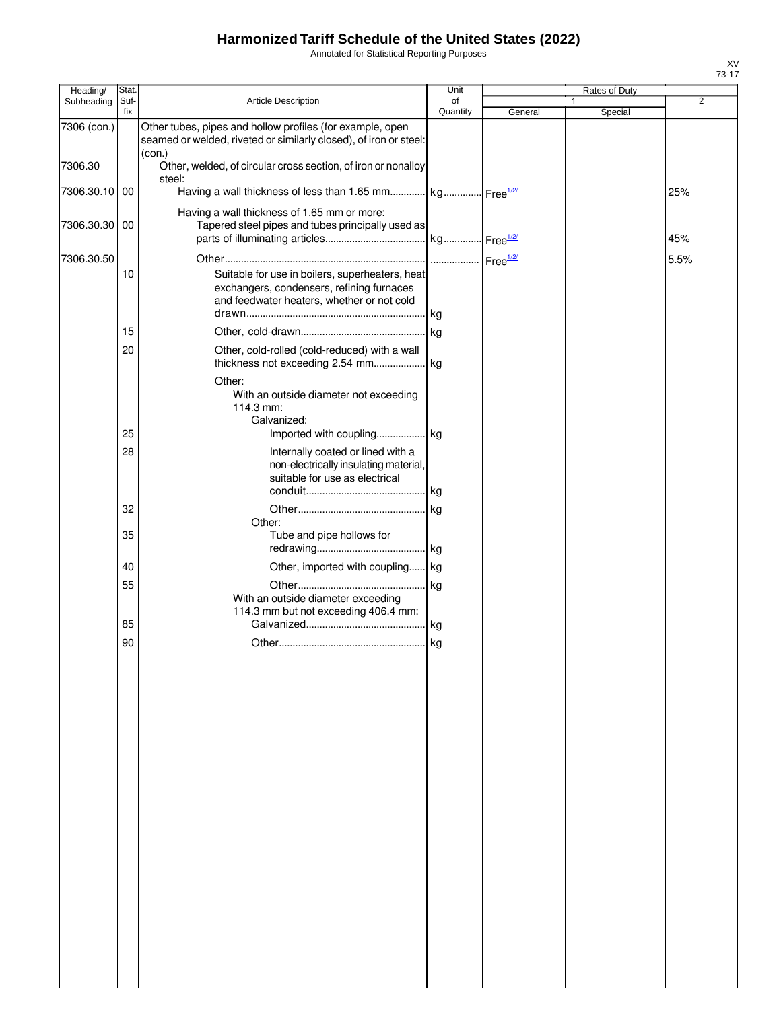Annotated for Statistical Reporting Purposes

| Heading/    | Stat.       |                                                                                                                                            | Unit           |         | <b>Rates of Duty</b>    |      |
|-------------|-------------|--------------------------------------------------------------------------------------------------------------------------------------------|----------------|---------|-------------------------|------|
| Subheading  | Suf-<br>fix | Article Description                                                                                                                        | of<br>Quantity | General | $\mathbf{1}$<br>Special | 2    |
| 7306 (con.) |             | Other tubes, pipes and hollow profiles (for example, open<br>seamed or welded, riveted or similarly closed), of iron or steel:             |                |         |                         |      |
| 7306.30     |             | (con.)<br>Other, welded, of circular cross section, of iron or nonalloy                                                                    |                |         |                         |      |
| 7306.30.10  | 00          | steel:<br>Having a wall thickness of less than 1.65 mm kg Free <sup>1/2/</sup>                                                             |                |         |                         | 25%  |
| 7306.30.30  | 00          | Having a wall thickness of 1.65 mm or more:<br>Tapered steel pipes and tubes principally used as                                           |                |         |                         | 45%  |
| 7306.30.50  |             |                                                                                                                                            |                |         |                         | 5.5% |
|             | 10          | Suitable for use in boilers, superheaters, heat<br>exchangers, condensers, refining furnaces<br>and feedwater heaters, whether or not cold | . kg           |         |                         |      |
|             | 15          |                                                                                                                                            |                |         |                         |      |
|             | 20          | Other, cold-rolled (cold-reduced) with a wall                                                                                              |                |         |                         |      |
|             |             | Other:<br>With an outside diameter not exceeding<br>114.3 mm:<br>Galvanized:                                                               |                |         |                         |      |
|             | 25          |                                                                                                                                            |                |         |                         |      |
|             | 28          | Internally coated or lined with a<br>non-electrically insulating material,<br>suitable for use as electrical                               |                |         |                         |      |
|             |             |                                                                                                                                            |                |         |                         |      |
|             | 32          | Other:                                                                                                                                     | .lkg           |         |                         |      |
|             | 35          | Tube and pipe hollows for                                                                                                                  |                |         |                         |      |
|             |             |                                                                                                                                            | . kg           |         |                         |      |
|             | 40          | Other, imported with coupling kg                                                                                                           |                |         |                         |      |
|             | 55          | With an outside diameter exceeding<br>114.3 mm but not exceeding 406.4 mm:                                                                 | kg.            |         |                         |      |
|             | 85          |                                                                                                                                            |                |         |                         |      |
|             | 90          |                                                                                                                                            |                |         |                         |      |
|             |             |                                                                                                                                            |                |         |                         |      |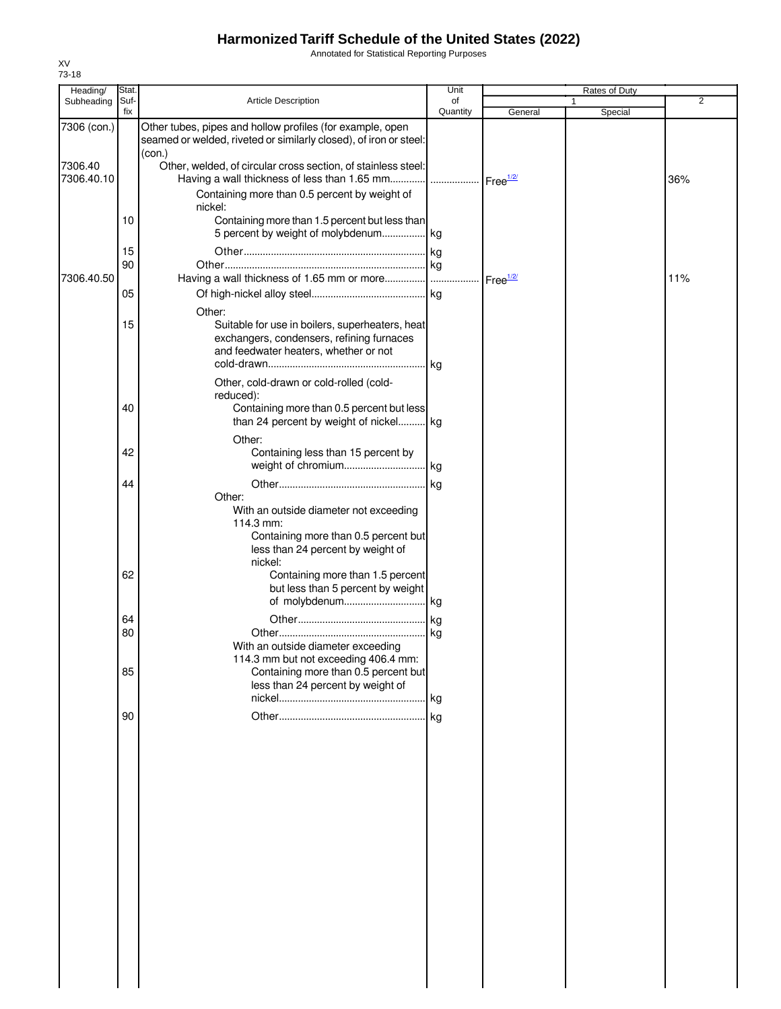Annotated for Statistical Reporting Purposes

| Heading/              | Stat.       |                                                                                                                                                       | Unit           |                      | Rates of Duty |                |
|-----------------------|-------------|-------------------------------------------------------------------------------------------------------------------------------------------------------|----------------|----------------------|---------------|----------------|
| Subheading            | Suf-<br>fix | Article Description                                                                                                                                   | of<br>Quantity | General              | 1<br>Special  | $\overline{2}$ |
| 7306 (con.)           |             | Other tubes, pipes and hollow profiles (for example, open<br>seamed or welded, riveted or similarly closed), of iron or steel:<br>(con.)              |                |                      |               |                |
| 7306.40<br>7306.40.10 |             | Other, welded, of circular cross section, of stainless steel:                                                                                         |                |                      |               | 36%            |
|                       |             | Containing more than 0.5 percent by weight of<br>nickel:                                                                                              |                |                      |               |                |
|                       | 10          | Containing more than 1.5 percent but less than<br>5 percent by weight of molybdenum kg                                                                |                |                      |               |                |
|                       | 15          |                                                                                                                                                       |                |                      |               |                |
| 7306.40.50            | 90          |                                                                                                                                                       |                | Free <sup>1/2/</sup> |               | 11%            |
|                       | 05          | Other:                                                                                                                                                |                |                      |               |                |
|                       | 15          | Suitable for use in boilers, superheaters, heat<br>exchangers, condensers, refining furnaces<br>and feedwater heaters, whether or not                 |                |                      |               |                |
|                       | 40          | Other, cold-drawn or cold-rolled (cold-<br>reduced):<br>Containing more than 0.5 percent but less<br>than 24 percent by weight of nickel kg           |                |                      |               |                |
|                       |             | Other:                                                                                                                                                |                |                      |               |                |
|                       | 42          | Containing less than 15 percent by                                                                                                                    |                |                      |               |                |
|                       | 44          | Other:<br>With an outside diameter not exceeding<br>114.3 mm:<br>Containing more than 0.5 percent but<br>less than 24 percent by weight of<br>nickel: |                |                      |               |                |
|                       | 62          | Containing more than 1.5 percent<br>but less than 5 percent by weight                                                                                 |                |                      |               |                |
|                       | 64          |                                                                                                                                                       |                |                      |               |                |
|                       | 80          | With an outside diameter exceeding                                                                                                                    |                |                      |               |                |
|                       | 85          | 114.3 mm but not exceeding 406.4 mm:<br>Containing more than 0.5 percent but<br>less than 24 percent by weight of                                     |                |                      |               |                |
|                       | 90          |                                                                                                                                                       | kg             |                      |               |                |
|                       |             |                                                                                                                                                       |                |                      |               |                |

XV 73-18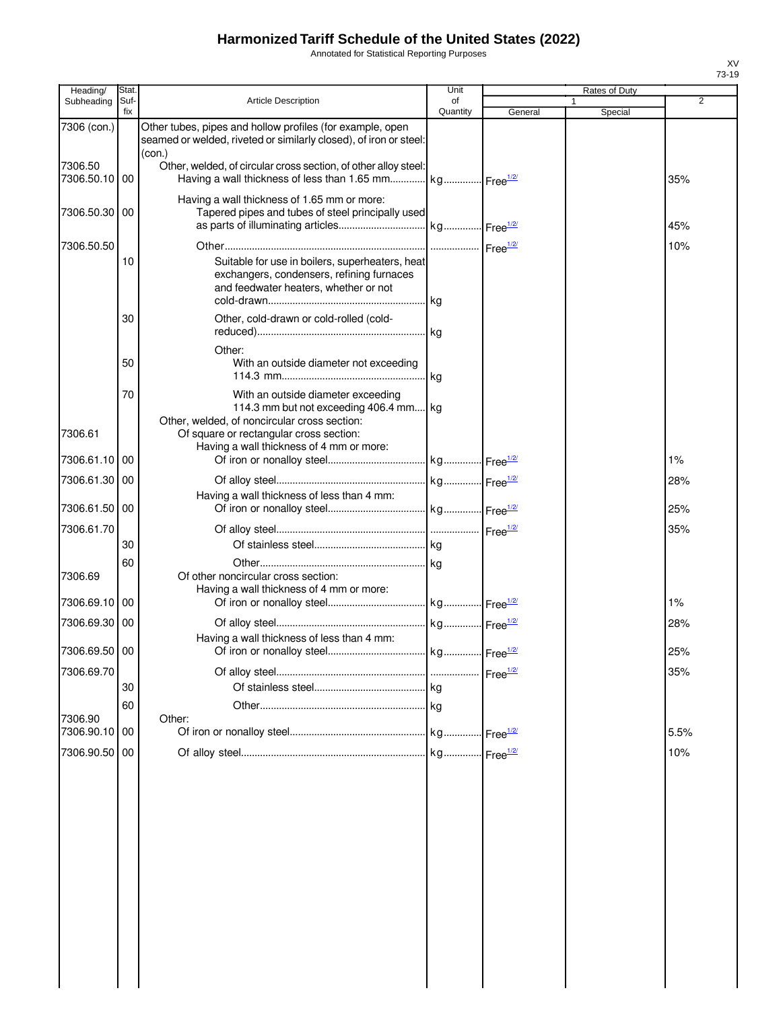Annotated for Statistical Reporting Purposes

| fix<br>Quantity<br>General<br>Special<br>7306 (con.)<br>Other tubes, pipes and hollow profiles (for example, open<br>seamed or welded, riveted or similarly closed), of iron or steel:<br>(con.)<br>7306.50<br>Other, welded, of circular cross section, of other alloy steel:<br>Having a wall thickness of less than 1.65 mm kg Free <sup>1/2/</sup><br>7306.50.10<br>00<br>35%<br>Having a wall thickness of 1.65 mm or more:<br>Tapered pipes and tubes of steel principally used<br>7306.50.30<br>00<br>45%<br>7306.50.50<br>10%<br>Suitable for use in boilers, superheaters, heat<br>10<br>exchangers, condensers, refining furnaces<br>and feedwater heaters, whether or not<br>. kg<br>Other, cold-drawn or cold-rolled (cold-<br>30<br>. kg<br>Other:<br>50<br>With an outside diameter not exceeding<br>. kg<br>70<br>With an outside diameter exceeding<br>114.3 mm but not exceeding 406.4 mm kg<br>Other, welded, of noncircular cross section:<br>7306.61<br>Of square or rectangular cross section:<br>Having a wall thickness of 4 mm or more:<br>7306.61.10<br>00<br>1%<br>7306.61.30<br>00<br>28%<br>Having a wall thickness of less than 4 mm:<br>7306.61.50<br>25%<br>00<br>7306.61.70<br>35%<br>30<br>60<br>7306.69<br>Of other noncircular cross section:<br>Having a wall thickness of 4 mm or more:<br>7306.69.10<br>00<br>1%<br>7306.69.30 00<br>28%<br>Having a wall thickness of less than 4 mm:<br>7306.69.50 00<br>25%<br>7306.69.70<br>35%<br>30<br>60<br>7306.90<br>Other:<br>7306.90.10<br>5.5%<br>00<br>7306.90.50<br>10%<br>00 | Heading/   | Stat. |                            | Unit |  | Rates of Duty |                |
|-------------------------------------------------------------------------------------------------------------------------------------------------------------------------------------------------------------------------------------------------------------------------------------------------------------------------------------------------------------------------------------------------------------------------------------------------------------------------------------------------------------------------------------------------------------------------------------------------------------------------------------------------------------------------------------------------------------------------------------------------------------------------------------------------------------------------------------------------------------------------------------------------------------------------------------------------------------------------------------------------------------------------------------------------------------------------------------------------------------------------------------------------------------------------------------------------------------------------------------------------------------------------------------------------------------------------------------------------------------------------------------------------------------------------------------------------------------------------------------------------------------------------------------------------------------------|------------|-------|----------------------------|------|--|---------------|----------------|
|                                                                                                                                                                                                                                                                                                                                                                                                                                                                                                                                                                                                                                                                                                                                                                                                                                                                                                                                                                                                                                                                                                                                                                                                                                                                                                                                                                                                                                                                                                                                                                   | Subheading | Suf-  | <b>Article Description</b> | of   |  |               | $\overline{2}$ |
|                                                                                                                                                                                                                                                                                                                                                                                                                                                                                                                                                                                                                                                                                                                                                                                                                                                                                                                                                                                                                                                                                                                                                                                                                                                                                                                                                                                                                                                                                                                                                                   |            |       |                            |      |  |               |                |
|                                                                                                                                                                                                                                                                                                                                                                                                                                                                                                                                                                                                                                                                                                                                                                                                                                                                                                                                                                                                                                                                                                                                                                                                                                                                                                                                                                                                                                                                                                                                                                   |            |       |                            |      |  |               |                |
|                                                                                                                                                                                                                                                                                                                                                                                                                                                                                                                                                                                                                                                                                                                                                                                                                                                                                                                                                                                                                                                                                                                                                                                                                                                                                                                                                                                                                                                                                                                                                                   |            |       |                            |      |  |               |                |
|                                                                                                                                                                                                                                                                                                                                                                                                                                                                                                                                                                                                                                                                                                                                                                                                                                                                                                                                                                                                                                                                                                                                                                                                                                                                                                                                                                                                                                                                                                                                                                   |            |       |                            |      |  |               |                |
|                                                                                                                                                                                                                                                                                                                                                                                                                                                                                                                                                                                                                                                                                                                                                                                                                                                                                                                                                                                                                                                                                                                                                                                                                                                                                                                                                                                                                                                                                                                                                                   |            |       |                            |      |  |               |                |
|                                                                                                                                                                                                                                                                                                                                                                                                                                                                                                                                                                                                                                                                                                                                                                                                                                                                                                                                                                                                                                                                                                                                                                                                                                                                                                                                                                                                                                                                                                                                                                   |            |       |                            |      |  |               |                |
|                                                                                                                                                                                                                                                                                                                                                                                                                                                                                                                                                                                                                                                                                                                                                                                                                                                                                                                                                                                                                                                                                                                                                                                                                                                                                                                                                                                                                                                                                                                                                                   |            |       |                            |      |  |               |                |
|                                                                                                                                                                                                                                                                                                                                                                                                                                                                                                                                                                                                                                                                                                                                                                                                                                                                                                                                                                                                                                                                                                                                                                                                                                                                                                                                                                                                                                                                                                                                                                   |            |       |                            |      |  |               |                |
|                                                                                                                                                                                                                                                                                                                                                                                                                                                                                                                                                                                                                                                                                                                                                                                                                                                                                                                                                                                                                                                                                                                                                                                                                                                                                                                                                                                                                                                                                                                                                                   |            |       |                            |      |  |               |                |
|                                                                                                                                                                                                                                                                                                                                                                                                                                                                                                                                                                                                                                                                                                                                                                                                                                                                                                                                                                                                                                                                                                                                                                                                                                                                                                                                                                                                                                                                                                                                                                   |            |       |                            |      |  |               |                |
|                                                                                                                                                                                                                                                                                                                                                                                                                                                                                                                                                                                                                                                                                                                                                                                                                                                                                                                                                                                                                                                                                                                                                                                                                                                                                                                                                                                                                                                                                                                                                                   |            |       |                            |      |  |               |                |
|                                                                                                                                                                                                                                                                                                                                                                                                                                                                                                                                                                                                                                                                                                                                                                                                                                                                                                                                                                                                                                                                                                                                                                                                                                                                                                                                                                                                                                                                                                                                                                   |            |       |                            |      |  |               |                |
|                                                                                                                                                                                                                                                                                                                                                                                                                                                                                                                                                                                                                                                                                                                                                                                                                                                                                                                                                                                                                                                                                                                                                                                                                                                                                                                                                                                                                                                                                                                                                                   |            |       |                            |      |  |               |                |
|                                                                                                                                                                                                                                                                                                                                                                                                                                                                                                                                                                                                                                                                                                                                                                                                                                                                                                                                                                                                                                                                                                                                                                                                                                                                                                                                                                                                                                                                                                                                                                   |            |       |                            |      |  |               |                |
|                                                                                                                                                                                                                                                                                                                                                                                                                                                                                                                                                                                                                                                                                                                                                                                                                                                                                                                                                                                                                                                                                                                                                                                                                                                                                                                                                                                                                                                                                                                                                                   |            |       |                            |      |  |               |                |
|                                                                                                                                                                                                                                                                                                                                                                                                                                                                                                                                                                                                                                                                                                                                                                                                                                                                                                                                                                                                                                                                                                                                                                                                                                                                                                                                                                                                                                                                                                                                                                   |            |       |                            |      |  |               |                |
|                                                                                                                                                                                                                                                                                                                                                                                                                                                                                                                                                                                                                                                                                                                                                                                                                                                                                                                                                                                                                                                                                                                                                                                                                                                                                                                                                                                                                                                                                                                                                                   |            |       |                            |      |  |               |                |
|                                                                                                                                                                                                                                                                                                                                                                                                                                                                                                                                                                                                                                                                                                                                                                                                                                                                                                                                                                                                                                                                                                                                                                                                                                                                                                                                                                                                                                                                                                                                                                   |            |       |                            |      |  |               |                |
|                                                                                                                                                                                                                                                                                                                                                                                                                                                                                                                                                                                                                                                                                                                                                                                                                                                                                                                                                                                                                                                                                                                                                                                                                                                                                                                                                                                                                                                                                                                                                                   |            |       |                            |      |  |               |                |
|                                                                                                                                                                                                                                                                                                                                                                                                                                                                                                                                                                                                                                                                                                                                                                                                                                                                                                                                                                                                                                                                                                                                                                                                                                                                                                                                                                                                                                                                                                                                                                   |            |       |                            |      |  |               |                |
|                                                                                                                                                                                                                                                                                                                                                                                                                                                                                                                                                                                                                                                                                                                                                                                                                                                                                                                                                                                                                                                                                                                                                                                                                                                                                                                                                                                                                                                                                                                                                                   |            |       |                            |      |  |               |                |
|                                                                                                                                                                                                                                                                                                                                                                                                                                                                                                                                                                                                                                                                                                                                                                                                                                                                                                                                                                                                                                                                                                                                                                                                                                                                                                                                                                                                                                                                                                                                                                   |            |       |                            |      |  |               |                |
|                                                                                                                                                                                                                                                                                                                                                                                                                                                                                                                                                                                                                                                                                                                                                                                                                                                                                                                                                                                                                                                                                                                                                                                                                                                                                                                                                                                                                                                                                                                                                                   |            |       |                            |      |  |               |                |
|                                                                                                                                                                                                                                                                                                                                                                                                                                                                                                                                                                                                                                                                                                                                                                                                                                                                                                                                                                                                                                                                                                                                                                                                                                                                                                                                                                                                                                                                                                                                                                   |            |       |                            |      |  |               |                |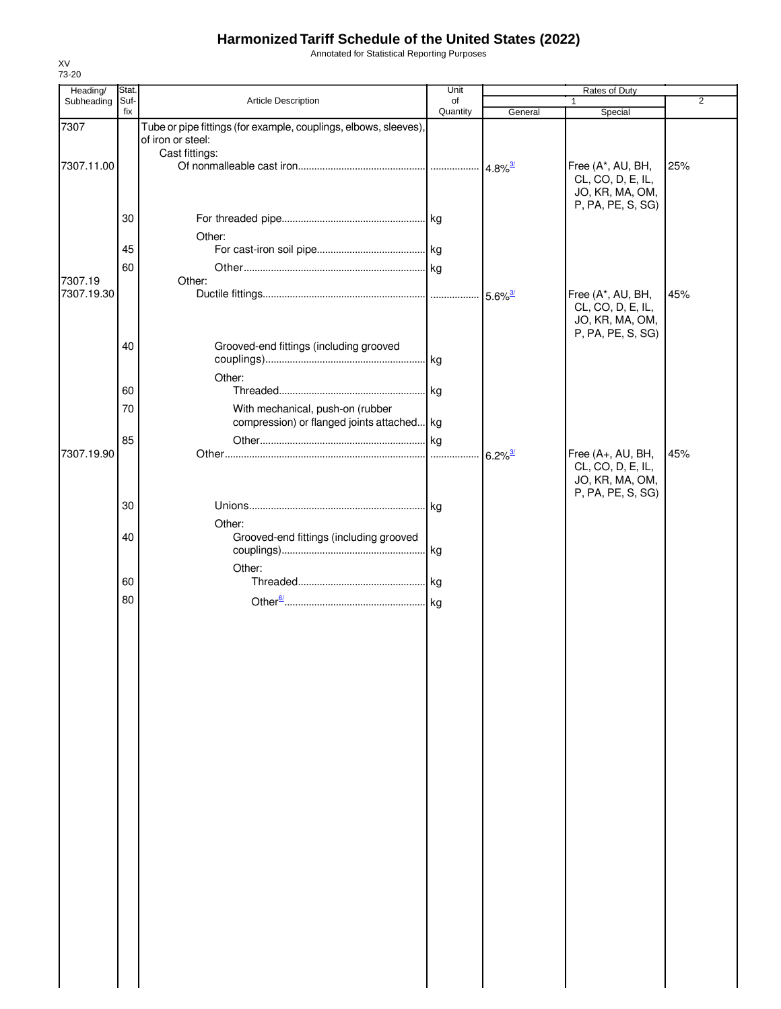Annotated for Statistical Reporting Purposes

| Heading/              | Stat.       |                                                                                       | Unit           | Rates of Duty         |                                                                                |                |
|-----------------------|-------------|---------------------------------------------------------------------------------------|----------------|-----------------------|--------------------------------------------------------------------------------|----------------|
| Subheading            | Suf-<br>fix | Article Description                                                                   | of<br>Quantity | General               | 1.<br>Special                                                                  | $\overline{2}$ |
| 7307                  |             | Tube or pipe fittings (for example, couplings, elbows, sleeves),<br>of iron or steel: |                |                       |                                                                                |                |
| 7307.11.00            |             | Cast fittings:                                                                        |                |                       | Free (A*, AU, BH,<br>CL, CO, D, E, IL,<br>JO, KR, MA, OM,                      | 25%            |
|                       | 30          |                                                                                       |                |                       | P, PA, PE, S, SG)                                                              |                |
|                       | 45<br>60    | Other:                                                                                |                |                       |                                                                                |                |
| 7307.19<br>7307.19.30 |             | Other:                                                                                |                |                       | Free (A*, AU, BH,<br>CL, CO, D, E, IL,<br>JO, KR, MA, OM,                      | 45%            |
|                       | 40          | Grooved-end fittings (including grooved<br>Other:                                     |                |                       | P, PA, PE, S, SG)                                                              |                |
|                       | 60<br>70    | With mechanical, push-on (rubber                                                      | . kg           |                       |                                                                                |                |
|                       | 85          | compression) or flanged joints attached kg                                            | .lkg           |                       |                                                                                |                |
| 7307.19.90            |             |                                                                                       |                | $6.2\%$ <sup>3/</sup> | Free (A+, AU, BH,<br>CL, CO, D, E, IL,<br>JO, KR, MA, OM,<br>P, PA, PE, S, SG) | 45%            |
|                       | 30          | Other:                                                                                |                |                       |                                                                                |                |
|                       | 40          | Grooved-end fittings (including grooved<br>Other:                                     | . kg           |                       |                                                                                |                |
|                       | 60          |                                                                                       |                |                       |                                                                                |                |
|                       | 80          |                                                                                       |                |                       |                                                                                |                |
|                       |             |                                                                                       |                |                       |                                                                                |                |
|                       |             |                                                                                       |                |                       |                                                                                |                |
|                       |             |                                                                                       |                |                       |                                                                                |                |
|                       |             |                                                                                       |                |                       |                                                                                |                |
|                       |             |                                                                                       |                |                       |                                                                                |                |
|                       |             |                                                                                       |                |                       |                                                                                |                |
|                       |             |                                                                                       |                |                       |                                                                                |                |
|                       |             |                                                                                       |                |                       |                                                                                |                |
|                       |             |                                                                                       |                |                       |                                                                                |                |
|                       |             |                                                                                       |                |                       |                                                                                |                |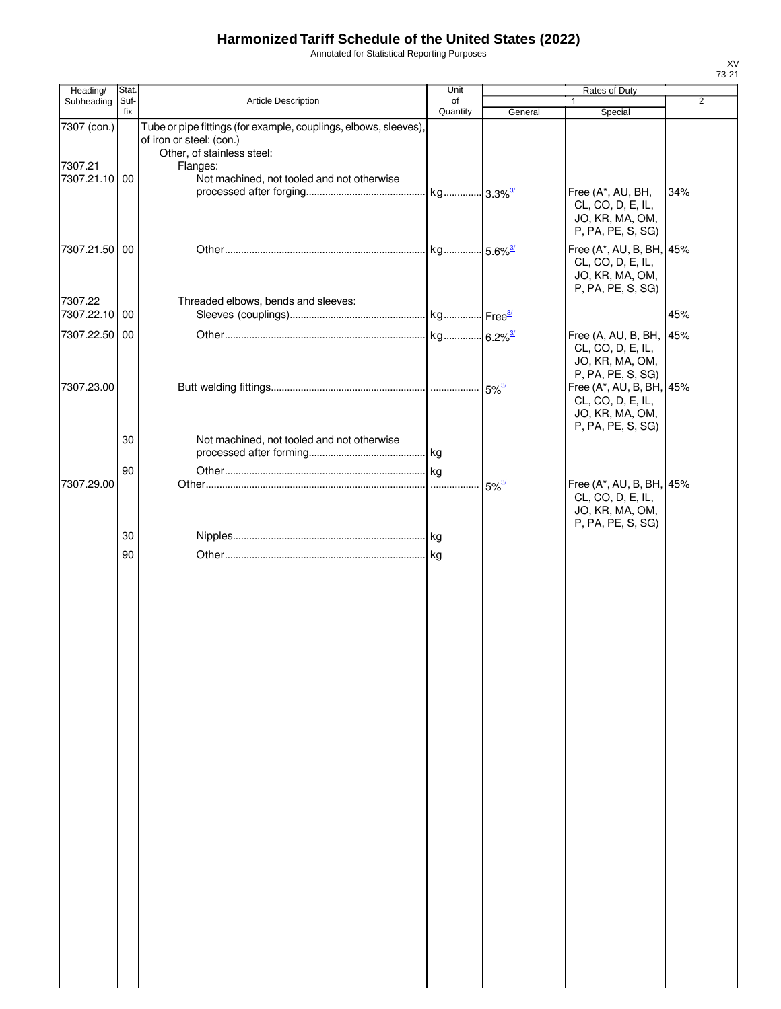Annotated for Statistical Reporting Purposes

| Heading/      | Stat. |                                                                  | Unit                    | Rates of Duty       |                                               |                |
|---------------|-------|------------------------------------------------------------------|-------------------------|---------------------|-----------------------------------------------|----------------|
| Subheading    | Suf-  | Article Description                                              | of                      |                     | 1                                             | $\overline{2}$ |
| 7307 (con.)   | fix   | Tube or pipe fittings (for example, couplings, elbows, sleeves), | Quantity                | General             | Special                                       |                |
|               |       | of iron or steel: (con.)                                         |                         |                     |                                               |                |
|               |       | Other, of stainless steel:                                       |                         |                     |                                               |                |
| 7307.21       |       | Flanges:                                                         |                         |                     |                                               |                |
| 7307.21.10 00 |       | Not machined, not tooled and not otherwise                       | . kg 3.3% <sup>3/</sup> |                     | Free (A*, AU, BH,                             | 34%            |
|               |       |                                                                  |                         |                     | CL, CO, D, E, IL,                             |                |
|               |       |                                                                  |                         |                     | JO, KR, MA, OM,                               |                |
|               |       |                                                                  |                         |                     | P, PA, PE, S, SG)                             |                |
| 7307.21.50 00 |       |                                                                  | kg 5.6% <sup>3/</sup>   |                     | Free (A*, AU, B, BH, 45%                      |                |
|               |       |                                                                  |                         |                     | CL, CO, D, E, IL,                             |                |
|               |       |                                                                  |                         |                     | JO, KR, MA, OM,<br>P, PA, PE, S, SG)          |                |
| 7307.22       |       | Threaded elbows, bends and sleeves:                              |                         |                     |                                               |                |
| 7307.22.10 00 |       |                                                                  |                         |                     |                                               | 45%            |
| 7307.22.50 00 |       |                                                                  |                         |                     | Free (A, AU, B, BH, 45%                       |                |
|               |       |                                                                  |                         |                     | CL, CO, D, E, IL,                             |                |
|               |       |                                                                  |                         |                     | JO, KR, MA, OM,                               |                |
|               |       |                                                                  |                         |                     | P, PA, PE, S, SG)                             |                |
| 7307.23.00    |       |                                                                  |                         | $5\%^{3/2}$         | Free (A*, AU, B, BH, 45%<br>CL, CO, D, E, IL, |                |
|               |       |                                                                  |                         |                     | JO, KR, MA, OM,                               |                |
|               |       |                                                                  |                         |                     | P, PA, PE, S, SG)                             |                |
|               | 30    | Not machined, not tooled and not otherwise                       |                         |                     |                                               |                |
|               |       |                                                                  |                         |                     |                                               |                |
|               | 90    |                                                                  | .lkg                    |                     |                                               |                |
| 7307.29.00    |       |                                                                  | .                       | $5\%$ <sup>3/</sup> | Free (A*, AU, B, BH, 45%<br>CL, CO, D, E, IL, |                |
|               |       |                                                                  |                         |                     | JO, KR, MA, OM,                               |                |
|               |       |                                                                  |                         |                     | P, PA, PE, S, SG)                             |                |
|               | 30    |                                                                  |                         |                     |                                               |                |
|               | 90    |                                                                  |                         |                     |                                               |                |
|               |       |                                                                  |                         |                     |                                               |                |
|               |       |                                                                  |                         |                     |                                               |                |
|               |       |                                                                  |                         |                     |                                               |                |
|               |       |                                                                  |                         |                     |                                               |                |
|               |       |                                                                  |                         |                     |                                               |                |
|               |       |                                                                  |                         |                     |                                               |                |
|               |       |                                                                  |                         |                     |                                               |                |
|               |       |                                                                  |                         |                     |                                               |                |
|               |       |                                                                  |                         |                     |                                               |                |
|               |       |                                                                  |                         |                     |                                               |                |
|               |       |                                                                  |                         |                     |                                               |                |
|               |       |                                                                  |                         |                     |                                               |                |
|               |       |                                                                  |                         |                     |                                               |                |
|               |       |                                                                  |                         |                     |                                               |                |
|               |       |                                                                  |                         |                     |                                               |                |
|               |       |                                                                  |                         |                     |                                               |                |
|               |       |                                                                  |                         |                     |                                               |                |
|               |       |                                                                  |                         |                     |                                               |                |
|               |       |                                                                  |                         |                     |                                               |                |
|               |       |                                                                  |                         |                     |                                               |                |
|               |       |                                                                  |                         |                     |                                               |                |
|               |       |                                                                  |                         |                     |                                               |                |
|               |       |                                                                  |                         |                     |                                               |                |
|               |       |                                                                  |                         |                     |                                               |                |
|               |       |                                                                  |                         |                     |                                               |                |
|               |       |                                                                  |                         |                     |                                               |                |
|               |       |                                                                  |                         |                     |                                               |                |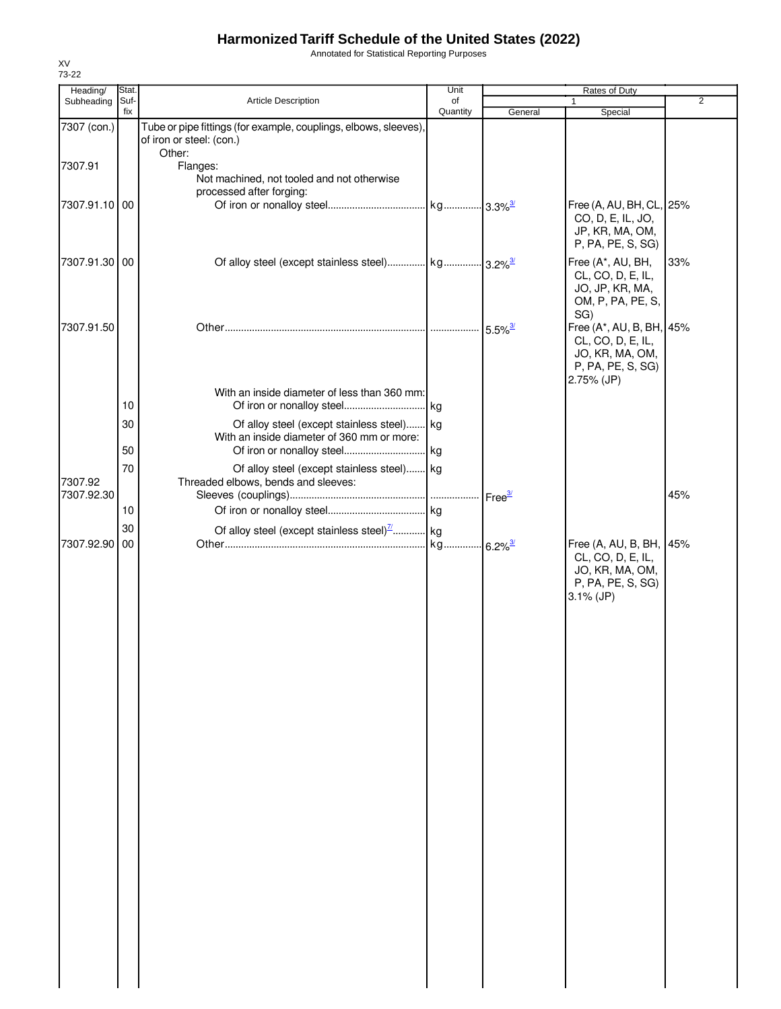Annotated for Statistical Reporting Purposes

| Heading/              | Stat.       |                                                                                                        | Unit           |                       | Rates of Duty                                                                                              |                |
|-----------------------|-------------|--------------------------------------------------------------------------------------------------------|----------------|-----------------------|------------------------------------------------------------------------------------------------------------|----------------|
| Subheading            | Suf-<br>fix | <b>Article Description</b>                                                                             | of<br>Quantity | General               | 1<br>Special                                                                                               | $\overline{2}$ |
| 7307 (con.)           |             | Tube or pipe fittings (for example, couplings, elbows, sleeves),<br>of iron or steel: (con.)<br>Other: |                |                       |                                                                                                            |                |
| 7307.91               |             | Flanges:<br>Not machined, not tooled and not otherwise<br>processed after forging:                     |                |                       |                                                                                                            |                |
| 7307.91.10 00         |             |                                                                                                        |                |                       | Free (A, AU, BH, CL, 25%<br>CO, D, E, IL, JO,<br>JP, KR, MA, OM,<br>P, PA, PE, S, SG)                      |                |
| 7307.91.30 00         |             |                                                                                                        |                |                       | Free (A*, AU, BH,<br>CL, CO, D, E, IL,<br>JO, JP, KR, MA,<br>OM, P, PA, PE, S,                             | 33%            |
| 7307.91.50            |             |                                                                                                        |                | $5.5\%$ <sup>3/</sup> | SG)<br>Free (A*, AU, B, BH, 45%<br>CL, CO, D, E, IL,<br>JO, KR, MA, OM,<br>P, PA, PE, S, SG)<br>2.75% (JP) |                |
|                       | 10          | With an inside diameter of less than 360 mm:                                                           |                |                       |                                                                                                            |                |
|                       | 30          | Of alloy steel (except stainless steel) kg                                                             |                |                       |                                                                                                            |                |
|                       |             | With an inside diameter of 360 mm or more:                                                             |                |                       |                                                                                                            |                |
|                       | 50          |                                                                                                        |                |                       |                                                                                                            |                |
| 7307.92<br>7307.92.30 | 70          | Of alloy steel (except stainless steel) kg<br>Threaded elbows, bends and sleeves:                      |                | Free <sup>3/</sup>    |                                                                                                            | 45%            |
|                       | 10          |                                                                                                        |                |                       |                                                                                                            |                |
|                       | 30          | Of alloy steel (except stainless steel) $\frac{7}{1}$ kg                                               |                |                       |                                                                                                            |                |
| 7307.92.90 00         |             |                                                                                                        |                |                       | Free (A, AU, B, BH, 45%<br>CL, CO, D, E, IL,<br>JO, KR, MA, OM,<br>P, PA, PE, S, SG)<br>$3.1\%$ (JP)       |                |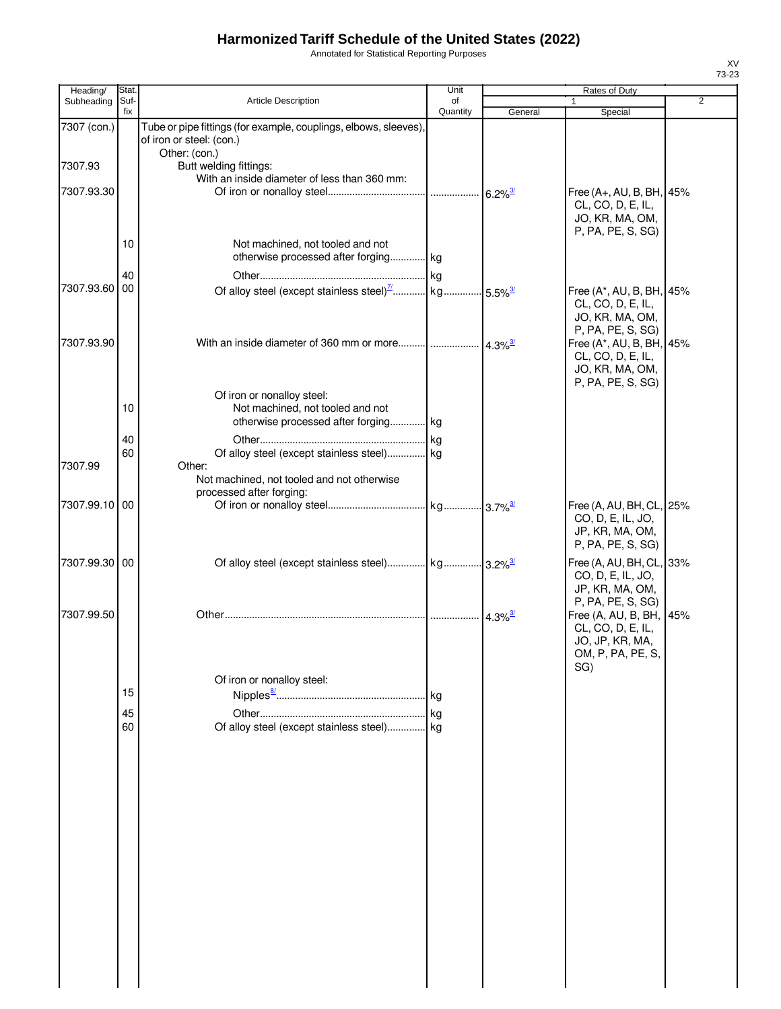Annotated for Statistical Reporting Purposes

| Heading/              | Stat.       |                                                                                                        | Unit           | Rates of Duty         |                                                                                                            |                |
|-----------------------|-------------|--------------------------------------------------------------------------------------------------------|----------------|-----------------------|------------------------------------------------------------------------------------------------------------|----------------|
| Subheading            | Suf-<br>fix | <b>Article Description</b>                                                                             | οf<br>Quantity | General               | 1<br>Special                                                                                               | $\overline{2}$ |
| 7307 (con.)           |             | Tube or pipe fittings (for example, couplings, elbows, sleeves),<br>of iron or steel: (con.)           |                |                       |                                                                                                            |                |
| 7307.93<br>7307.93.30 |             | Other: (con.)<br>Butt welding fittings:<br>With an inside diameter of less than 360 mm:                |                |                       | Free (A+, AU, B, BH, 45%<br>CL, CO, D, E, IL,<br>JO, KR, MA, OM,                                           |                |
|                       | 10          | Not machined, not tooled and not<br>otherwise processed after forging kg                               |                |                       | P, PA, PE, S, SG)                                                                                          |                |
| 7307.93.60            | 40<br>00    | Of alloy steel (except stainless steel) <sup>7</sup> kg 5.5% <sup>3/</sup>                             |                |                       | Free (A*, AU, B, BH, 45%<br>CL, CO, D, E, IL,<br>JO, KR, MA, OM,                                           |                |
| 7307.93.90            |             | With an inside diameter of 360 mm or more $\frac{1}{4.3\%^{3/2}}$                                      |                |                       | P, PA, PE, S, SG)<br>Free (A*, AU, B, BH, 45%<br>CL, CO, D, E, IL,<br>JO, KR, MA, OM,<br>P, PA, PE, S, SG) |                |
|                       | 10          | Of iron or nonalloy steel:<br>Not machined, not tooled and not<br>otherwise processed after forging kg |                |                       |                                                                                                            |                |
| 7307.99               | 40<br>60    | Of alloy steel (except stainless steel) kg<br>Other:<br>Not machined, not tooled and not otherwise     |                |                       |                                                                                                            |                |
| 7307.99.10 00         |             | processed after forging:                                                                               |                |                       | Free (A, AU, BH, CL, 25%<br>CO, D, E, IL, JO,<br>JP, KR, MA, OM,                                           |                |
| 7307.99.30 00         |             | Of alloy steel (except stainless steel) kg 3.2% <sup>3/</sup>                                          |                |                       | P, PA, PE, S, SG)<br>Free (A, AU, BH, CL, 33%<br>CO, D, E, IL, JO,<br>JP, KR, MA, OM,                      |                |
| 7307.99.50            |             |                                                                                                        |                | $4.3\%$ <sup>3/</sup> | P, PA, PE, S, SG)<br>Free (A, AU, B, BH, 45%<br>CL, CO, D, E, IL,<br>JO, JP, KR, MA,<br>OM, P, PA, PE, S,  |                |
|                       | 15          | Of iron or nonalloy steel:                                                                             |                |                       | SG)                                                                                                        |                |
|                       | 45<br>60    | Of alloy steel (except stainless steel) kg                                                             |                |                       |                                                                                                            |                |
|                       |             |                                                                                                        |                |                       |                                                                                                            |                |
|                       |             |                                                                                                        |                |                       |                                                                                                            |                |
|                       |             |                                                                                                        |                |                       |                                                                                                            |                |
|                       |             |                                                                                                        |                |                       |                                                                                                            |                |
|                       |             |                                                                                                        |                |                       |                                                                                                            |                |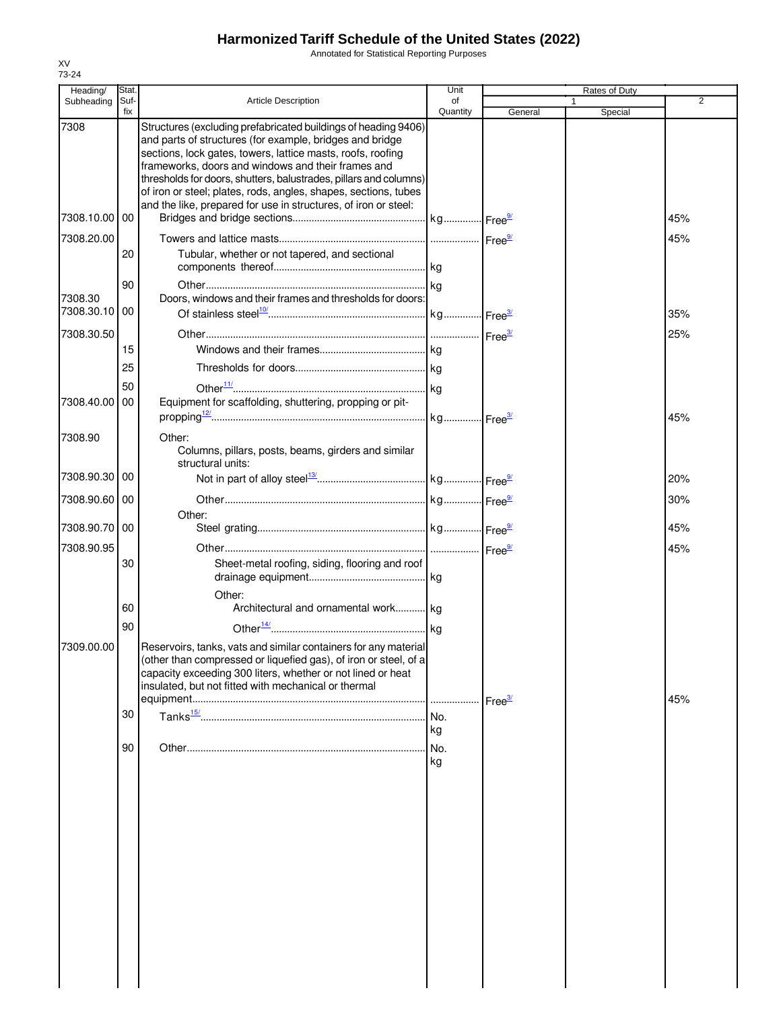Annotated for Statistical Reporting Purposes

| Heading/              | Stat. |                                                                                                                                                                                                                                                                                                                                                                                         | Unit     |                    | Rates of Duty |                |
|-----------------------|-------|-----------------------------------------------------------------------------------------------------------------------------------------------------------------------------------------------------------------------------------------------------------------------------------------------------------------------------------------------------------------------------------------|----------|--------------------|---------------|----------------|
| Subheading            | Suf-  | <b>Article Description</b>                                                                                                                                                                                                                                                                                                                                                              | οf       |                    |               | $\overline{2}$ |
| 7308                  | fix   | Structures (excluding prefabricated buildings of heading 9406)<br>and parts of structures (for example, bridges and bridge<br>sections, lock gates, towers, lattice masts, roofs, roofing<br>frameworks, doors and windows and their frames and<br>thresholds for doors, shutters, balustrades, pillars and columns)<br>of iron or steel; plates, rods, angles, shapes, sections, tubes | Quantity | General            | Special       |                |
| 7308.10.00 00         |       | and the like, prepared for use in structures, of iron or steel:                                                                                                                                                                                                                                                                                                                         |          |                    |               | 45%            |
| 7308.20.00            |       |                                                                                                                                                                                                                                                                                                                                                                                         |          |                    |               | 45%            |
|                       | 20    | Tubular, whether or not tapered, and sectional                                                                                                                                                                                                                                                                                                                                          |          |                    |               |                |
|                       | 90    |                                                                                                                                                                                                                                                                                                                                                                                         |          |                    |               |                |
| 7308.30<br>7308.30.10 | 00    | Doors, windows and their frames and thresholds for doors:                                                                                                                                                                                                                                                                                                                               |          |                    |               | 35%            |
|                       |       |                                                                                                                                                                                                                                                                                                                                                                                         |          |                    |               |                |
| 7308.30.50            |       |                                                                                                                                                                                                                                                                                                                                                                                         |          |                    |               | 25%            |
|                       | 15    |                                                                                                                                                                                                                                                                                                                                                                                         |          |                    |               |                |
|                       | 25    |                                                                                                                                                                                                                                                                                                                                                                                         |          |                    |               |                |
|                       | 50    |                                                                                                                                                                                                                                                                                                                                                                                         |          |                    |               |                |
| 7308.40.00            | 00    | Equipment for scaffolding, shuttering, propping or pit-                                                                                                                                                                                                                                                                                                                                 |          |                    |               | 45%            |
| 7308.90               |       | Other:                                                                                                                                                                                                                                                                                                                                                                                  |          |                    |               |                |
|                       |       | Columns, pillars, posts, beams, girders and similar<br>structural units:                                                                                                                                                                                                                                                                                                                |          |                    |               |                |
| 7308.90.30 00         |       |                                                                                                                                                                                                                                                                                                                                                                                         |          |                    |               | 20%            |
| 7308.90.60 00         |       |                                                                                                                                                                                                                                                                                                                                                                                         |          |                    |               | 30%            |
| 7308.90.70 00         |       | Other:                                                                                                                                                                                                                                                                                                                                                                                  |          |                    |               | 45%            |
| 7308.90.95            |       |                                                                                                                                                                                                                                                                                                                                                                                         |          |                    |               | 45%            |
|                       | 30    | Sheet-metal roofing, siding, flooring and roof                                                                                                                                                                                                                                                                                                                                          |          |                    |               |                |
|                       | 60    | Other:<br>Architectural and ornamental work kg                                                                                                                                                                                                                                                                                                                                          |          |                    |               |                |
|                       | 90    |                                                                                                                                                                                                                                                                                                                                                                                         |          |                    |               |                |
| 7309.00.00            |       | Reservoirs, tanks, vats and similar containers for any material<br>(other than compressed or liquefied gas), of iron or steel, of a<br>capacity exceeding 300 liters, whether or not lined or heat<br>insulated, but not fitted with mechanical or thermal                                                                                                                              |          | Free <sup>3/</sup> |               | 45%            |
|                       | 30    |                                                                                                                                                                                                                                                                                                                                                                                         |          |                    |               |                |
|                       |       |                                                                                                                                                                                                                                                                                                                                                                                         | kg       |                    |               |                |
|                       |       |                                                                                                                                                                                                                                                                                                                                                                                         |          |                    |               |                |
|                       | 90    |                                                                                                                                                                                                                                                                                                                                                                                         | No.      |                    |               |                |
|                       |       |                                                                                                                                                                                                                                                                                                                                                                                         | kg       |                    |               |                |
|                       |       |                                                                                                                                                                                                                                                                                                                                                                                         |          |                    |               |                |
|                       |       |                                                                                                                                                                                                                                                                                                                                                                                         |          |                    |               |                |
|                       |       |                                                                                                                                                                                                                                                                                                                                                                                         |          |                    |               |                |
|                       |       |                                                                                                                                                                                                                                                                                                                                                                                         |          |                    |               |                |
|                       |       |                                                                                                                                                                                                                                                                                                                                                                                         |          |                    |               |                |
|                       |       |                                                                                                                                                                                                                                                                                                                                                                                         |          |                    |               |                |
|                       |       |                                                                                                                                                                                                                                                                                                                                                                                         |          |                    |               |                |
|                       |       |                                                                                                                                                                                                                                                                                                                                                                                         |          |                    |               |                |
|                       |       |                                                                                                                                                                                                                                                                                                                                                                                         |          |                    |               |                |
|                       |       |                                                                                                                                                                                                                                                                                                                                                                                         |          |                    |               |                |
|                       |       |                                                                                                                                                                                                                                                                                                                                                                                         |          |                    |               |                |
|                       |       |                                                                                                                                                                                                                                                                                                                                                                                         |          |                    |               |                |
|                       |       |                                                                                                                                                                                                                                                                                                                                                                                         |          |                    |               |                |
|                       |       |                                                                                                                                                                                                                                                                                                                                                                                         |          |                    |               |                |
|                       |       |                                                                                                                                                                                                                                                                                                                                                                                         |          |                    |               |                |
|                       |       |                                                                                                                                                                                                                                                                                                                                                                                         |          |                    |               |                |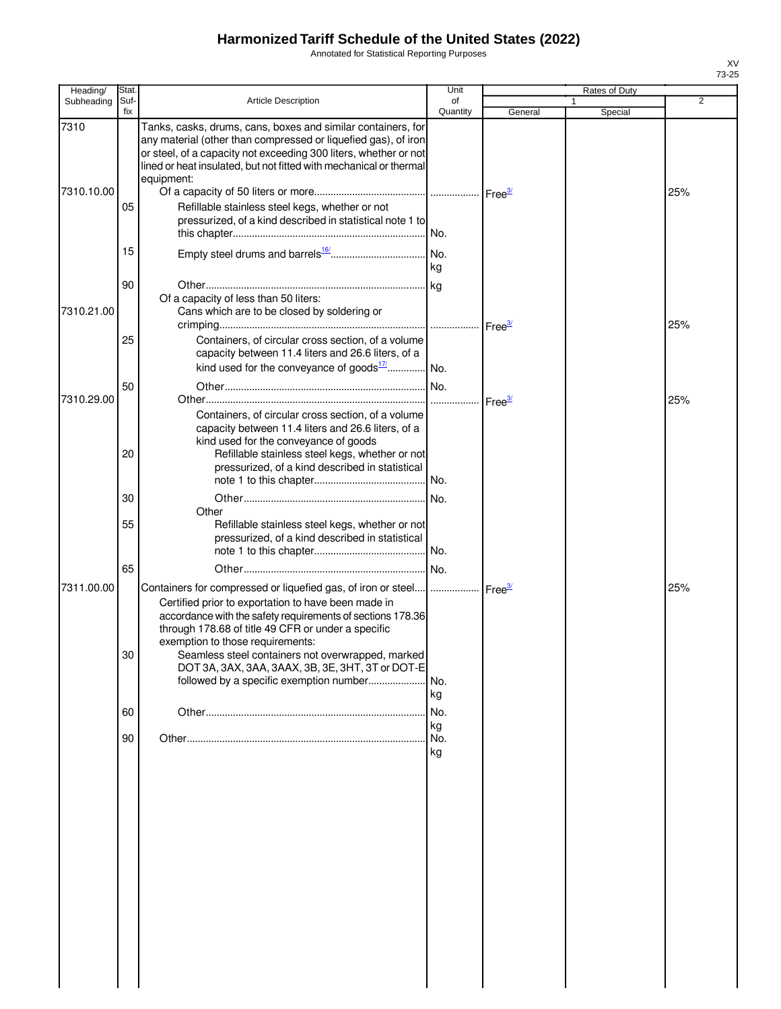Annotated for Statistical Reporting Purposes

| Heading/   | Stat |                                                                                                                                        | Unit      |                    | Rates of Duty |                |
|------------|------|----------------------------------------------------------------------------------------------------------------------------------------|-----------|--------------------|---------------|----------------|
| Subheading | Suf- | <b>Article Description</b>                                                                                                             | of        |                    |               | $\overline{2}$ |
| 7310       | fix  | Tanks, casks, drums, cans, boxes and similar containers, for                                                                           | Quantity  | General            | Special       |                |
|            |      | any material (other than compressed or liquefied gas), of iron                                                                         |           |                    |               |                |
|            |      | or steel, of a capacity not exceeding 300 liters, whether or not<br>lined or heat insulated, but not fitted with mechanical or thermal |           |                    |               |                |
|            |      | equipment:                                                                                                                             |           |                    |               |                |
| 7310.10.00 |      |                                                                                                                                        |           |                    |               | 25%            |
|            | 05   | Refillable stainless steel kegs, whether or not                                                                                        |           |                    |               |                |
|            |      | pressurized, of a kind described in statistical note 1 to                                                                              |           |                    |               |                |
|            |      |                                                                                                                                        |           |                    |               |                |
|            | 15   |                                                                                                                                        | kg        |                    |               |                |
|            |      |                                                                                                                                        |           |                    |               |                |
|            | 90   | Of a capacity of less than 50 liters:                                                                                                  |           |                    |               |                |
| 7310.21.00 |      | Cans which are to be closed by soldering or                                                                                            |           |                    |               |                |
|            |      |                                                                                                                                        |           | Free <sup>3/</sup> |               | 25%            |
|            | 25   | Containers, of circular cross section, of a volume                                                                                     |           |                    |               |                |
|            |      | capacity between 11.4 liters and 26.6 liters, of a<br>kind used for the conveyance of goods $\frac{17}{11}$ No.                        |           |                    |               |                |
|            |      |                                                                                                                                        |           |                    |               |                |
| 7310.29.00 | 50   |                                                                                                                                        |           |                    |               | 25%            |
|            |      | Containers, of circular cross section, of a volume                                                                                     |           | Free <sup>37</sup> |               |                |
|            |      | capacity between 11.4 liters and 26.6 liters, of a                                                                                     |           |                    |               |                |
|            |      | kind used for the conveyance of goods                                                                                                  |           |                    |               |                |
|            | 20   | Refillable stainless steel kegs, whether or not<br>pressurized, of a kind described in statistical                                     |           |                    |               |                |
|            |      |                                                                                                                                        |           |                    |               |                |
|            | 30   |                                                                                                                                        |           |                    |               |                |
|            |      | Other                                                                                                                                  |           |                    |               |                |
|            | 55   | Refillable stainless steel kegs, whether or not                                                                                        |           |                    |               |                |
|            |      | pressurized, of a kind described in statistical                                                                                        |           |                    |               |                |
|            | 65   |                                                                                                                                        | No.       |                    |               |                |
| 7311.00.00 |      | Containers for compressed or liquefied gas, of iron or steel      Free <sup>3/</sup>                                                   |           |                    |               | 25%            |
|            |      | Certified prior to exportation to have been made in                                                                                    |           |                    |               |                |
|            |      | accordance with the safety requirements of sections 178.36                                                                             |           |                    |               |                |
|            |      | through 178.68 of title 49 CFR or under a specific                                                                                     |           |                    |               |                |
|            | 30   | exemption to those requirements:<br>Seamless steel containers not overwrapped, marked                                                  |           |                    |               |                |
|            |      | DOT 3A, 3AX, 3AA, 3AAX, 3B, 3E, 3HT, 3T or DOT-E                                                                                       |           |                    |               |                |
|            |      | followed by a specific exemption number                                                                                                | No.       |                    |               |                |
|            |      |                                                                                                                                        | kg        |                    |               |                |
|            | 60   |                                                                                                                                        | No.       |                    |               |                |
|            | 90   |                                                                                                                                        | kg<br>No. |                    |               |                |
|            |      |                                                                                                                                        | kg        |                    |               |                |
|            |      |                                                                                                                                        |           |                    |               |                |
|            |      |                                                                                                                                        |           |                    |               |                |
|            |      |                                                                                                                                        |           |                    |               |                |
|            |      |                                                                                                                                        |           |                    |               |                |
|            |      |                                                                                                                                        |           |                    |               |                |
|            |      |                                                                                                                                        |           |                    |               |                |
|            |      |                                                                                                                                        |           |                    |               |                |
|            |      |                                                                                                                                        |           |                    |               |                |
|            |      |                                                                                                                                        |           |                    |               |                |
|            |      |                                                                                                                                        |           |                    |               |                |
|            |      |                                                                                                                                        |           |                    |               |                |
|            |      |                                                                                                                                        |           |                    |               |                |
|            |      |                                                                                                                                        |           |                    |               |                |
|            |      |                                                                                                                                        |           |                    |               |                |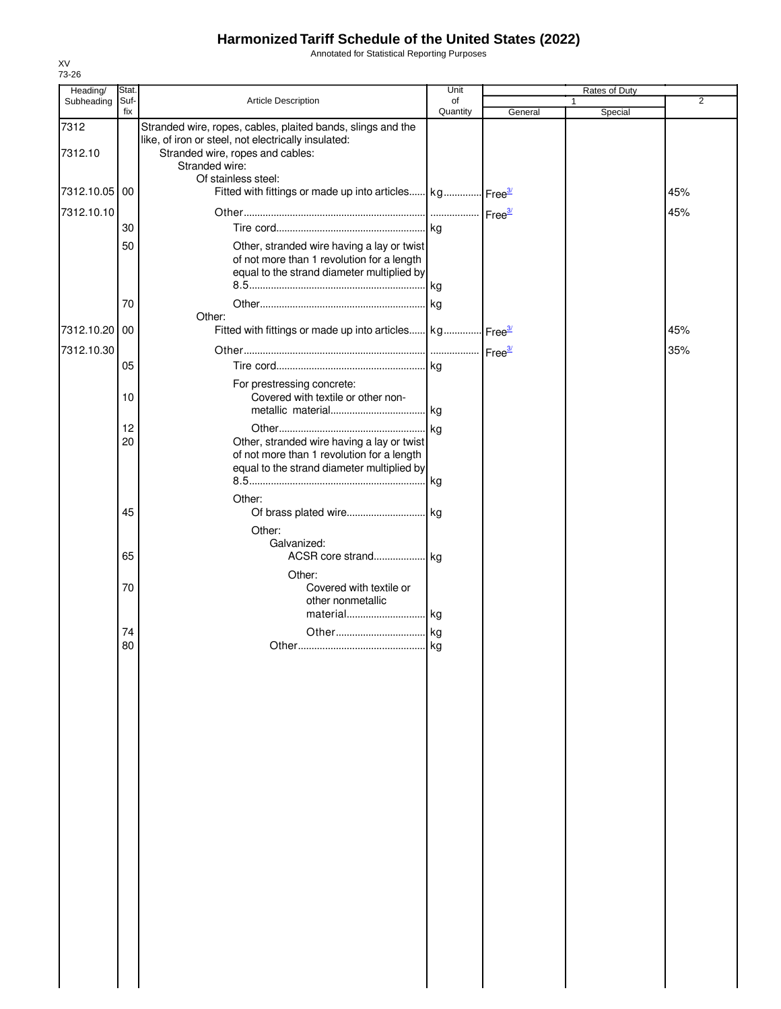Annotated for Statistical Reporting Purposes

| Heading/        | Stat.       |                                                                                                                                                        | Unit           |         | Rates of Duty |                |
|-----------------|-------------|--------------------------------------------------------------------------------------------------------------------------------------------------------|----------------|---------|---------------|----------------|
| Subheading      | Suf-<br>fix | Article Description                                                                                                                                    | of<br>Quantity | General | 1<br>Special  | $\overline{2}$ |
| 7312<br>7312.10 |             | Stranded wire, ropes, cables, plaited bands, slings and the<br>like, of iron or steel, not electrically insulated:<br>Stranded wire, ropes and cables: |                |         |               |                |
| 7312.10.05 00   |             | Stranded wire:<br>Of stainless steel:<br>Fitted with fittings or made up into articles kg Free <sup>3/</sup>                                           |                |         |               | 45%            |
| 7312.10.10      |             |                                                                                                                                                        |                |         |               | 45%            |
|                 | 30          |                                                                                                                                                        |                |         |               |                |
|                 | 50          | Other, stranded wire having a lay or twist<br>of not more than 1 revolution for a length<br>equal to the strand diameter multiplied by                 |                |         |               |                |
|                 | 70          |                                                                                                                                                        |                |         |               |                |
| 7312.10.20 00   |             | Other:<br>Fitted with fittings or made up into articles kg Free <sup>3/</sup>                                                                          |                |         |               | 45%            |
|                 |             |                                                                                                                                                        |                |         |               |                |
| 7312.10.30      | 05          |                                                                                                                                                        |                |         |               | 35%            |
|                 |             |                                                                                                                                                        |                |         |               |                |
|                 | 10          | For prestressing concrete:<br>Covered with textile or other non-                                                                                       |                |         |               |                |
|                 |             |                                                                                                                                                        | kg             |         |               |                |
|                 | 12          |                                                                                                                                                        |                |         |               |                |
|                 | 20          | Other, stranded wire having a lay or twist                                                                                                             |                |         |               |                |
|                 |             | of not more than 1 revolution for a length<br>equal to the strand diameter multiplied by                                                               |                |         |               |                |
|                 |             |                                                                                                                                                        |                |         |               |                |
|                 |             | Other:                                                                                                                                                 |                |         |               |                |
|                 | 45          |                                                                                                                                                        |                |         |               |                |
|                 |             | Other:                                                                                                                                                 |                |         |               |                |
|                 |             | Galvanized:                                                                                                                                            |                |         |               |                |
|                 | 65          |                                                                                                                                                        |                |         |               |                |
|                 |             | Other:                                                                                                                                                 |                |         |               |                |
|                 | 70          | Covered with textile or<br>other nonmetallic                                                                                                           |                |         |               |                |
|                 |             | material kg                                                                                                                                            |                |         |               |                |
|                 | 74          |                                                                                                                                                        |                |         |               |                |
|                 | 80          |                                                                                                                                                        |                |         |               |                |
|                 |             |                                                                                                                                                        |                |         |               |                |
|                 |             |                                                                                                                                                        |                |         |               |                |
|                 |             |                                                                                                                                                        |                |         |               |                |
|                 |             |                                                                                                                                                        |                |         |               |                |
|                 |             |                                                                                                                                                        |                |         |               |                |
|                 |             |                                                                                                                                                        |                |         |               |                |
|                 |             |                                                                                                                                                        |                |         |               |                |
|                 |             |                                                                                                                                                        |                |         |               |                |
|                 |             |                                                                                                                                                        |                |         |               |                |
|                 |             |                                                                                                                                                        |                |         |               |                |
|                 |             |                                                                                                                                                        |                |         |               |                |
|                 |             |                                                                                                                                                        |                |         |               |                |
|                 |             |                                                                                                                                                        |                |         |               |                |
|                 |             |                                                                                                                                                        |                |         |               |                |
|                 |             |                                                                                                                                                        |                |         |               |                |
|                 |             |                                                                                                                                                        |                |         |               |                |
|                 |             |                                                                                                                                                        |                |         |               |                |
|                 |             |                                                                                                                                                        |                |         |               |                |
|                 |             |                                                                                                                                                        |                |         |               |                |
|                 |             |                                                                                                                                                        |                |         |               |                |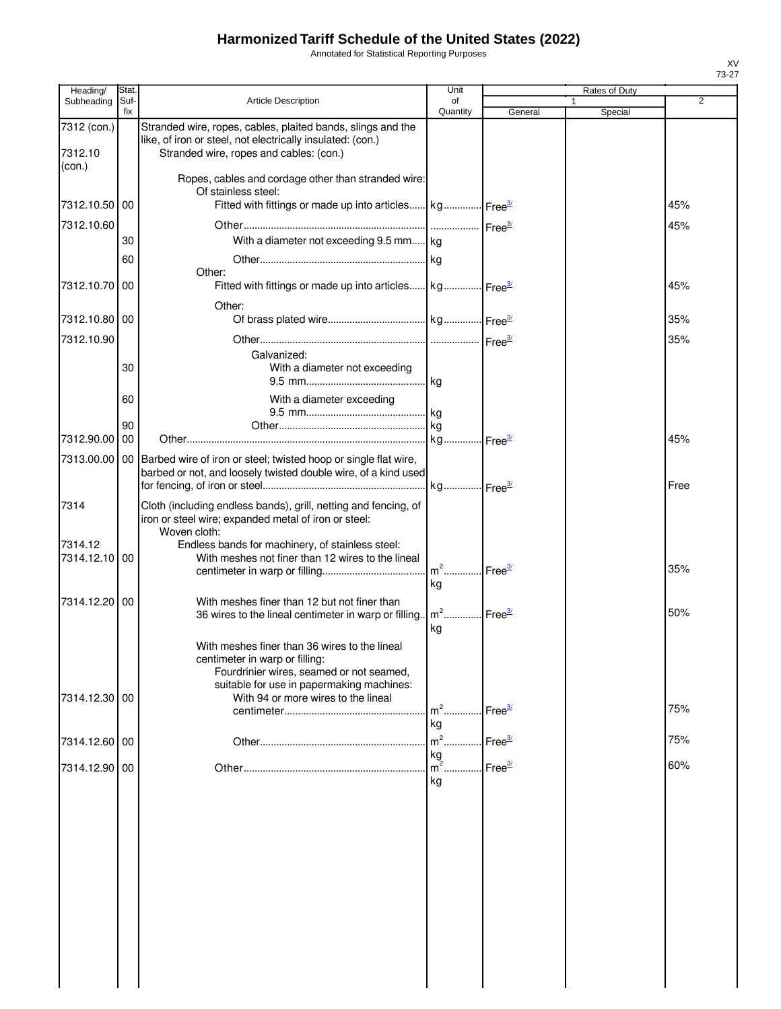Annotated for Statistical Reporting Purposes

| Heading/          | <b>Stat</b> |                                                                                                                                                     | Unit               |                    | Rates of Duty |      |
|-------------------|-------------|-----------------------------------------------------------------------------------------------------------------------------------------------------|--------------------|--------------------|---------------|------|
| Subheading        | Suf-<br>fix | <b>Article Description</b>                                                                                                                          | of<br>Quantity     | General            | 1<br>Special  | 2    |
| 7312 (con.)       |             | Stranded wire, ropes, cables, plaited bands, slings and the                                                                                         |                    |                    |               |      |
|                   |             | like, of iron or steel, not electrically insulated: (con.)                                                                                          |                    |                    |               |      |
| 7312.10<br>(con.) |             | Stranded wire, ropes and cables: (con.)                                                                                                             |                    |                    |               |      |
|                   |             | Ropes, cables and cordage other than stranded wire:<br>Of stainless steel:                                                                          |                    |                    |               |      |
| 7312.10.50        | 00          | Fitted with fittings or made up into articles kg Free <sup>34</sup>                                                                                 |                    |                    |               | 45%  |
| 7312.10.60        |             |                                                                                                                                                     |                    |                    |               | 45%  |
|                   | 30          | With a diameter not exceeding 9.5 mm kg                                                                                                             |                    |                    |               |      |
|                   | 60          |                                                                                                                                                     |                    |                    |               |      |
|                   |             | Other:                                                                                                                                              |                    |                    |               |      |
| 7312.10.70 00     |             | Fitted with fittings or made up into articles kg Free <sup>34</sup>                                                                                 |                    |                    |               | 45%  |
|                   |             | Other:                                                                                                                                              |                    |                    |               |      |
| 7312.10.80   00   |             |                                                                                                                                                     |                    |                    |               | 35%  |
| 7312.10.90        |             |                                                                                                                                                     |                    |                    |               | 35%  |
|                   | 30          | Galvanized:<br>With a diameter not exceeding                                                                                                        |                    |                    |               |      |
|                   |             |                                                                                                                                                     |                    |                    |               |      |
|                   | 60          | With a diameter exceeding                                                                                                                           |                    |                    |               |      |
|                   |             |                                                                                                                                                     |                    |                    |               |      |
| 7312.90.00        | 90<br>00    |                                                                                                                                                     |                    |                    |               | 45%  |
|                   |             |                                                                                                                                                     |                    |                    |               |      |
|                   |             | 7313.00.00   00   Barbed wire of iron or steel; twisted hoop or single flat wire,<br>barbed or not, and loosely twisted double wire, of a kind used |                    |                    |               |      |
|                   |             |                                                                                                                                                     |                    |                    |               | Free |
| 7314              |             | Cloth (including endless bands), grill, netting and fencing, of                                                                                     |                    |                    |               |      |
|                   |             | iron or steel wire; expanded metal of iron or steel:                                                                                                |                    |                    |               |      |
| 7314.12           |             | Woven cloth:                                                                                                                                        |                    |                    |               |      |
| 7314.12.10 00     |             | Endless bands for machinery, of stainless steel:<br>With meshes not finer than 12 wires to the lineal                                               |                    |                    |               |      |
|                   |             |                                                                                                                                                     | $m2$               | Free <sup>3/</sup> |               | 35%  |
|                   |             |                                                                                                                                                     | kg                 |                    |               |      |
| 7314.12.20        | 00          | With meshes finer than 12 but not finer than<br>36 wires to the lineal centimeter in warp or filling. $\left[m^2$ Free <sup>3/</sup>                |                    |                    |               | 50%  |
|                   |             |                                                                                                                                                     | kg                 |                    |               |      |
|                   |             | With meshes finer than 36 wires to the lineal                                                                                                       |                    |                    |               |      |
|                   |             | centimeter in warp or filling:                                                                                                                      |                    |                    |               |      |
|                   |             | Fourdrinier wires, seamed or not seamed,                                                                                                            |                    |                    |               |      |
| 7314.12.30 00     |             | suitable for use in papermaking machines:<br>With 94 or more wires to the lineal                                                                    |                    |                    |               |      |
|                   |             |                                                                                                                                                     | $m2$               | Free $\frac{3}{2}$ |               | 75%  |
|                   |             |                                                                                                                                                     | kg                 |                    |               |      |
| 7314.12.60 00     |             |                                                                                                                                                     | $m2$               | Free <sup>3/</sup> |               | 75%  |
| 7314.12.90 00     |             |                                                                                                                                                     | $\frac{kg}{m^2}$ . | Free <sup>3/</sup> |               | 60%  |
|                   |             |                                                                                                                                                     | kg                 |                    |               |      |
|                   |             |                                                                                                                                                     |                    |                    |               |      |
|                   |             |                                                                                                                                                     |                    |                    |               |      |
|                   |             |                                                                                                                                                     |                    |                    |               |      |
|                   |             |                                                                                                                                                     |                    |                    |               |      |
|                   |             |                                                                                                                                                     |                    |                    |               |      |
|                   |             |                                                                                                                                                     |                    |                    |               |      |
|                   |             |                                                                                                                                                     |                    |                    |               |      |
|                   |             |                                                                                                                                                     |                    |                    |               |      |
|                   |             |                                                                                                                                                     |                    |                    |               |      |
|                   |             |                                                                                                                                                     |                    |                    |               |      |
|                   |             |                                                                                                                                                     |                    |                    |               |      |
|                   |             |                                                                                                                                                     |                    |                    |               |      |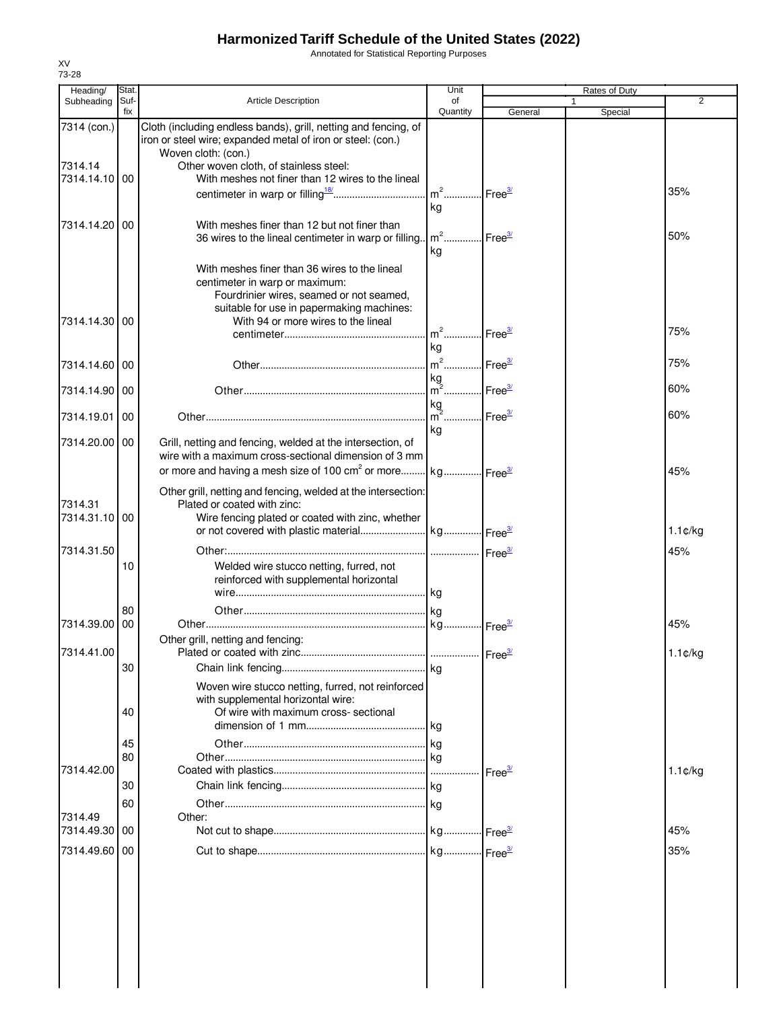Annotated for Statistical Reporting Purposes

| Heading/              | Stat.       |                                                                                                                                                  | Unit               |                         | Rates of Duty |                   |
|-----------------------|-------------|--------------------------------------------------------------------------------------------------------------------------------------------------|--------------------|-------------------------|---------------|-------------------|
| Subheading            | Suf-<br>fix | <b>Article Description</b>                                                                                                                       | of<br>Quantity     |                         |               | $\overline{2}$    |
| 7314 (con.)           |             | Cloth (including endless bands), grill, netting and fencing, of<br>iron or steel wire; expanded metal of iron or steel: (con.)                   |                    | General                 | Special       |                   |
| 7314.14               |             | Woven cloth: (con.)                                                                                                                              |                    |                         |               |                   |
| 7314.14.10            | 00          | Other woven cloth, of stainless steel:<br>With meshes not finer than 12 wires to the lineal                                                      |                    |                         |               |                   |
|                       |             |                                                                                                                                                  | $m2$               | Free <sup>3/</sup>      |               | 35%               |
|                       |             |                                                                                                                                                  | kg                 |                         |               |                   |
|                       |             |                                                                                                                                                  |                    |                         |               |                   |
| 7314.14.20            | 00          | With meshes finer than 12 but not finer than<br>36 wires to the lineal centimeter in warp or filling.                                            | $m2$ .<br>kg       | Free <sup>3/</sup>      |               | 50%               |
|                       |             | With meshes finer than 36 wires to the lineal<br>centimeter in warp or maximum:<br>Fourdrinier wires, seamed or not seamed,                      |                    |                         |               |                   |
| 7314.14.30            | 00          | suitable for use in papermaking machines:<br>With 94 or more wires to the lineal                                                                 |                    |                         |               |                   |
|                       |             |                                                                                                                                                  | $m2$               | Free <sup>3/</sup>      |               | 75%               |
|                       |             |                                                                                                                                                  | kg                 |                         |               |                   |
| 7314.14.60            | 00          |                                                                                                                                                  | $m2$               | $l$ Free $\frac{3l}{2}$ |               | 75%               |
|                       |             |                                                                                                                                                  | kg                 |                         |               |                   |
| 7314.14.90            | 00          |                                                                                                                                                  | $m^2$              | Free $\frac{3}{2}$      |               | 60%               |
|                       |             |                                                                                                                                                  | kg                 |                         |               | 60%               |
| 7314.19.01            | 00          |                                                                                                                                                  | $m^2$              | Free <sup>3/</sup>      |               |                   |
| 7314.20.00            | 00          | Grill, netting and fencing, welded at the intersection, of<br>wire with a maximum cross-sectional dimension of 3 mm                              | kg                 |                         |               |                   |
|                       |             | or more and having a mesh size of 100 cm <sup>2</sup> or more kg Free <sup>34</sup>                                                              |                    |                         |               | 45%               |
| 7314.31<br>7314.31.10 | 00          | Other grill, netting and fencing, welded at the intersection:<br>Plated or coated with zinc:<br>Wire fencing plated or coated with zinc, whether |                    |                         |               |                   |
|                       |             |                                                                                                                                                  |                    |                         |               | $1.1$ ¢/kg        |
|                       |             |                                                                                                                                                  |                    |                         |               |                   |
| 7314.31.50            |             |                                                                                                                                                  | Free <sup>3/</sup> |                         |               | 45%               |
|                       | 10          | Welded wire stucco netting, furred, not<br>reinforced with supplemental horizontal                                                               | kg                 |                         |               |                   |
|                       | 80          |                                                                                                                                                  |                    |                         |               |                   |
| 7314.39.00            | 00          |                                                                                                                                                  |                    |                         |               | 45%               |
|                       |             | Other grill, netting and fencing:                                                                                                                |                    |                         |               |                   |
| 7314.41.00            |             | Plated or coated with zinc.                                                                                                                      |                    | Free <sup>3/</sup>      |               | $1.1 \text{C/kg}$ |
|                       | 30          |                                                                                                                                                  |                    |                         |               |                   |
|                       |             |                                                                                                                                                  |                    |                         |               |                   |
|                       | 40          | Woven wire stucco netting, furred, not reinforced<br>with supplemental horizontal wire:<br>Of wire with maximum cross- sectional                 |                    |                         |               |                   |
|                       |             |                                                                                                                                                  |                    |                         |               |                   |
|                       | 45          |                                                                                                                                                  |                    |                         |               |                   |
|                       | 80          |                                                                                                                                                  |                    |                         |               |                   |
| 7314.42.00            |             |                                                                                                                                                  |                    | $I$ Free $\frac{3}{2}$  |               | $1.1 \text{C/kg}$ |
|                       | 30          |                                                                                                                                                  |                    |                         |               |                   |
|                       | 60          |                                                                                                                                                  |                    |                         |               |                   |
| 7314.49               |             | Other:                                                                                                                                           |                    |                         |               |                   |
| 7314.49.30            | 00          |                                                                                                                                                  |                    |                         |               | 45%               |
| 7314.49.60            | 00          |                                                                                                                                                  |                    |                         |               | 35%               |
|                       |             |                                                                                                                                                  |                    |                         |               |                   |
|                       |             |                                                                                                                                                  |                    |                         |               |                   |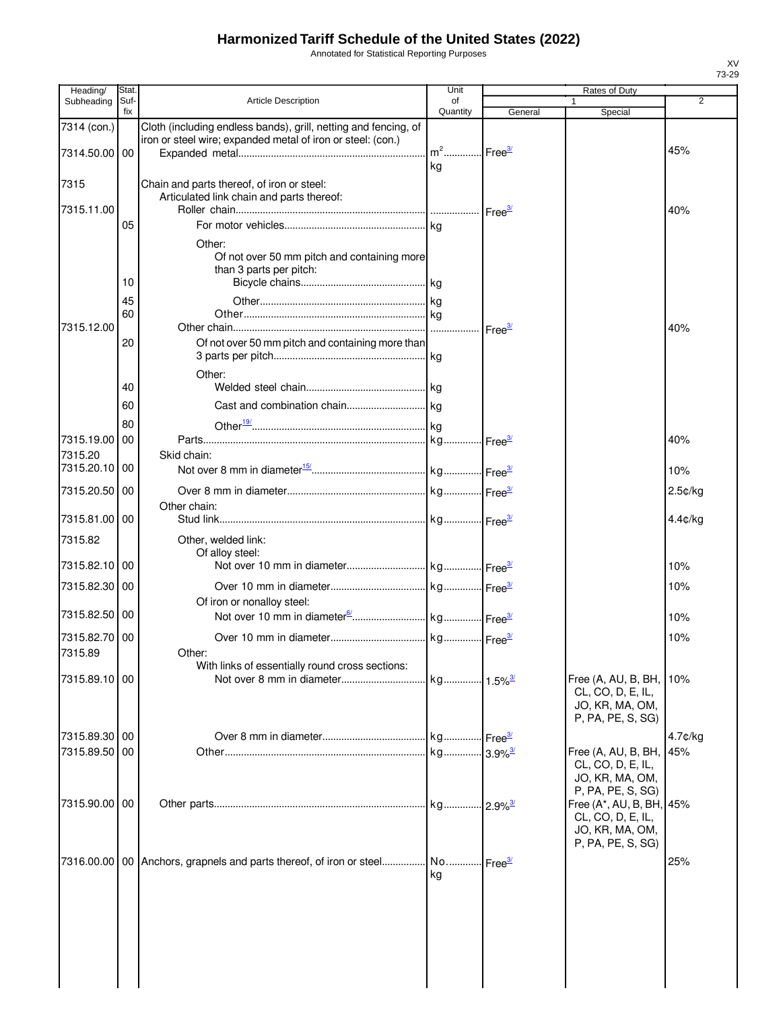Annotated for Statistical Reporting Purposes

| Heading/                     | Stat.       |                                                                                                                                | Unit                                    |                    | Rates of Duty                                                                         |            |
|------------------------------|-------------|--------------------------------------------------------------------------------------------------------------------------------|-----------------------------------------|--------------------|---------------------------------------------------------------------------------------|------------|
| Subheading                   | Suf-<br>fix | <b>Article Description</b>                                                                                                     | of<br>Quantity                          | General            | 1<br>Special                                                                          | 2          |
| 7314 (con.)<br>7314.50.00 00 |             | Cloth (including endless bands), grill, netting and fencing, of<br>iron or steel wire; expanded metal of iron or steel: (con.) | m <sup>2</sup> Free <sup>3/</sup><br>kg |                    |                                                                                       | 45%        |
| 7315                         |             | Chain and parts thereof, of iron or steel:                                                                                     |                                         |                    |                                                                                       |            |
| 7315.11.00                   |             | Articulated link chain and parts thereof:                                                                                      |                                         |                    |                                                                                       | 40%        |
|                              | 05<br>10    | Other:<br>Of not over 50 mm pitch and containing more<br>than 3 parts per pitch:                                               | kg                                      |                    |                                                                                       |            |
| 7315.12.00                   | 45<br>60    |                                                                                                                                |                                         | Free <sup>3/</sup> |                                                                                       | 40%        |
|                              | 20          | Of not over 50 mm pitch and containing more than<br>Other:                                                                     |                                         |                    |                                                                                       |            |
|                              | 40<br>60    |                                                                                                                                |                                         |                    |                                                                                       |            |
| 7315.19.00<br>7315.20        | 80<br>00    | Skid chain:                                                                                                                    |                                         |                    |                                                                                       | 40%        |
| 7315.20.10                   | 00          |                                                                                                                                |                                         |                    |                                                                                       | 10%        |
| 7315.20.50 00                |             |                                                                                                                                |                                         |                    |                                                                                       | $2.5$ ¢/kg |
| 7315.81.00 00                |             | Other chain:                                                                                                                   |                                         |                    |                                                                                       | $4.4$ ¢/kg |
| 7315.82                      |             | Other, welded link:<br>Of alloy steel:                                                                                         |                                         |                    |                                                                                       |            |
| 7315.82.10 00                |             |                                                                                                                                |                                         |                    |                                                                                       | 10%        |
| 7315.82.30 00                |             | Of iron or nonalloy steel:                                                                                                     |                                         |                    |                                                                                       | 10%        |
| 7315.82.50 00                |             |                                                                                                                                |                                         |                    |                                                                                       | 10%        |
| 7315.82.70 00<br>7315.89     |             | Other:<br>With links of essentially round cross sections:                                                                      |                                         |                    |                                                                                       | 10%        |
| 7315.89.10 00                |             |                                                                                                                                |                                         |                    | Free (A, AU, B, BH,<br>CL, CO, D, E, IL,<br>JO, KR, MA, OM,<br>P, PA, PE, S, SG)      | 10%        |
| 7315.89.30 00                |             |                                                                                                                                |                                         |                    |                                                                                       | 4.7¢/kg    |
| 7315.89.50                   | 00          |                                                                                                                                |                                         |                    | Free (A, AU, B, BH,<br>CL, CO, D, E, IL,<br>JO, KR, MA, OM,<br>P, PA, PE, S, SG)      | 45%        |
| 7315.90.00 00                |             |                                                                                                                                |                                         |                    | Free (A*, AU, B, BH, 45%<br>CL, CO, D, E, IL,<br>JO, KR, MA, OM,<br>P, PA, PE, S, SG) |            |
|                              |             | 7316.00.00   00   Anchors, grapnels and parts thereof, of iron or steel No Free <sup>31</sup>                                  | kg                                      |                    |                                                                                       | 25%        |
|                              |             |                                                                                                                                |                                         |                    |                                                                                       |            |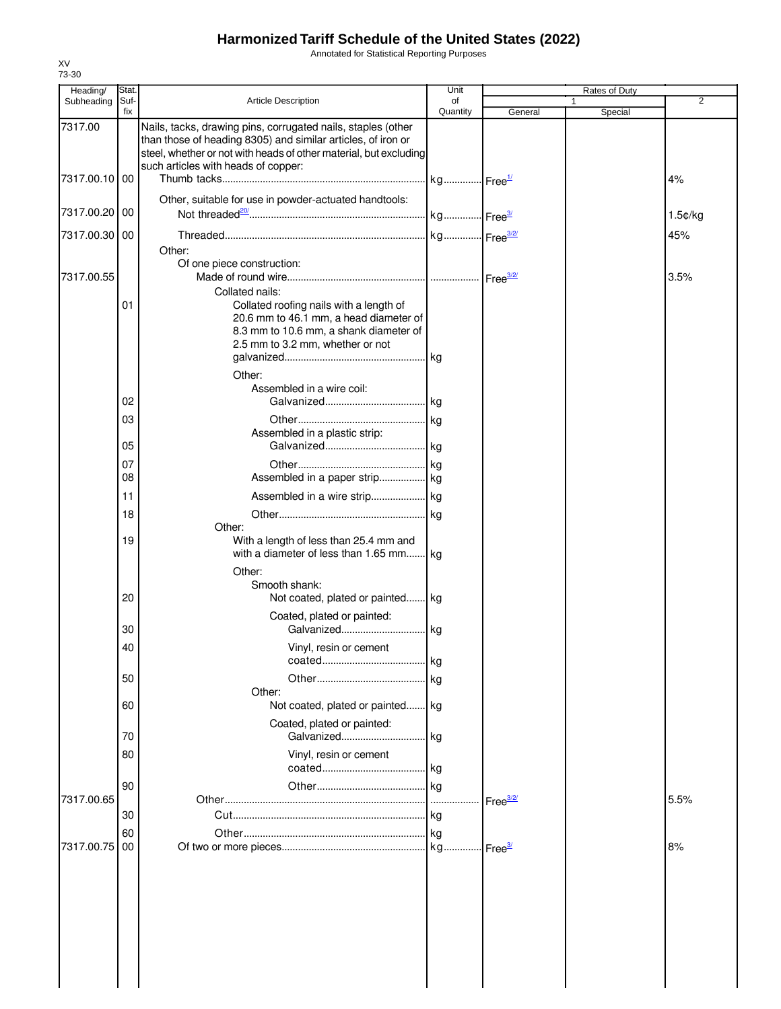Annotated for Statistical Reporting Purposes

| Heading/      | Stat. |                                                                                                                                   | Unit     |                    | Rates of Duty |         |
|---------------|-------|-----------------------------------------------------------------------------------------------------------------------------------|----------|--------------------|---------------|---------|
| Subheading    | Suf-  | <b>Article Description</b>                                                                                                        | of       |                    |               | 2       |
|               | fix   |                                                                                                                                   | Quantity | General            | Special       |         |
| 7317.00       |       | Nails, tacks, drawing pins, corrugated nails, staples (other                                                                      |          |                    |               |         |
|               |       | than those of heading 8305) and similar articles, of iron or<br>steel, whether or not with heads of other material, but excluding |          |                    |               |         |
|               |       | such articles with heads of copper:                                                                                               |          |                    |               |         |
| 7317.00.10    | 00    |                                                                                                                                   |          |                    |               | 4%      |
|               |       |                                                                                                                                   |          |                    |               |         |
|               |       | Other, suitable for use in powder-actuated handtools:                                                                             |          |                    |               |         |
| 7317.00.20    | 00    |                                                                                                                                   |          |                    |               | 1.5¢/kg |
| 7317.00.30 00 |       |                                                                                                                                   |          |                    |               | 45%     |
|               |       | Other:                                                                                                                            |          |                    |               |         |
|               |       | Of one piece construction:                                                                                                        |          |                    |               |         |
| 7317.00.55    |       |                                                                                                                                   |          |                    |               | 3.5%    |
|               |       | Collated nails:                                                                                                                   |          |                    |               |         |
|               | 01    | Collated roofing nails with a length of                                                                                           |          |                    |               |         |
|               |       | 20.6 mm to 46.1 mm, a head diameter of                                                                                            |          |                    |               |         |
|               |       | 8.3 mm to 10.6 mm, a shank diameter of                                                                                            |          |                    |               |         |
|               |       | 2.5 mm to 3.2 mm, whether or not                                                                                                  |          |                    |               |         |
|               |       |                                                                                                                                   |          |                    |               |         |
|               |       | Other:                                                                                                                            |          |                    |               |         |
|               |       | Assembled in a wire coil:                                                                                                         |          |                    |               |         |
|               | 02    |                                                                                                                                   |          |                    |               |         |
|               |       |                                                                                                                                   |          |                    |               |         |
|               | 03    | Assembled in a plastic strip:                                                                                                     |          |                    |               |         |
|               | 05    |                                                                                                                                   |          |                    |               |         |
|               |       |                                                                                                                                   |          |                    |               |         |
|               | 07    |                                                                                                                                   |          |                    |               |         |
|               | 08    | Assembled in a paper strip kg                                                                                                     |          |                    |               |         |
|               | 11    |                                                                                                                                   |          |                    |               |         |
|               | 18    |                                                                                                                                   |          |                    |               |         |
|               |       | Other:                                                                                                                            |          |                    |               |         |
|               | 19    | With a length of less than 25.4 mm and                                                                                            |          |                    |               |         |
|               |       | with a diameter of less than 1.65 mm kg                                                                                           |          |                    |               |         |
|               |       | Other:                                                                                                                            |          |                    |               |         |
|               |       | Smooth shank:                                                                                                                     |          |                    |               |         |
|               | 20    | Not coated, plated or painted kg                                                                                                  |          |                    |               |         |
|               |       | Coated, plated or painted:                                                                                                        |          |                    |               |         |
|               | 30    |                                                                                                                                   |          |                    |               |         |
|               |       |                                                                                                                                   |          |                    |               |         |
|               | 40    | Vinyl, resin or cement                                                                                                            | kg       |                    |               |         |
|               |       |                                                                                                                                   |          |                    |               |         |
|               | 50    |                                                                                                                                   |          |                    |               |         |
|               |       | Other:                                                                                                                            |          |                    |               |         |
|               | 60    | Not coated, plated or painted kg                                                                                                  |          |                    |               |         |
|               |       | Coated, plated or painted:                                                                                                        |          |                    |               |         |
|               | 70    | Galvanized kg                                                                                                                     |          |                    |               |         |
|               | 80    | Vinyl, resin or cement                                                                                                            |          |                    |               |         |
|               |       |                                                                                                                                   |          |                    |               |         |
|               | 90    |                                                                                                                                   |          |                    |               |         |
| 7317.00.65    |       |                                                                                                                                   |          | Free $\frac{3}{2}$ |               | 5.5%    |
|               | 30    |                                                                                                                                   |          |                    |               |         |
|               | 60    |                                                                                                                                   |          |                    |               |         |
| 7317.00.75    | 00    |                                                                                                                                   |          |                    |               | 8%      |
|               |       |                                                                                                                                   |          | Free <sup>37</sup> |               |         |
|               |       |                                                                                                                                   |          |                    |               |         |
|               |       |                                                                                                                                   |          |                    |               |         |
|               |       |                                                                                                                                   |          |                    |               |         |
|               |       |                                                                                                                                   |          |                    |               |         |
|               |       |                                                                                                                                   |          |                    |               |         |
|               |       |                                                                                                                                   |          |                    |               |         |
|               |       |                                                                                                                                   |          |                    |               |         |
|               |       |                                                                                                                                   |          |                    |               |         |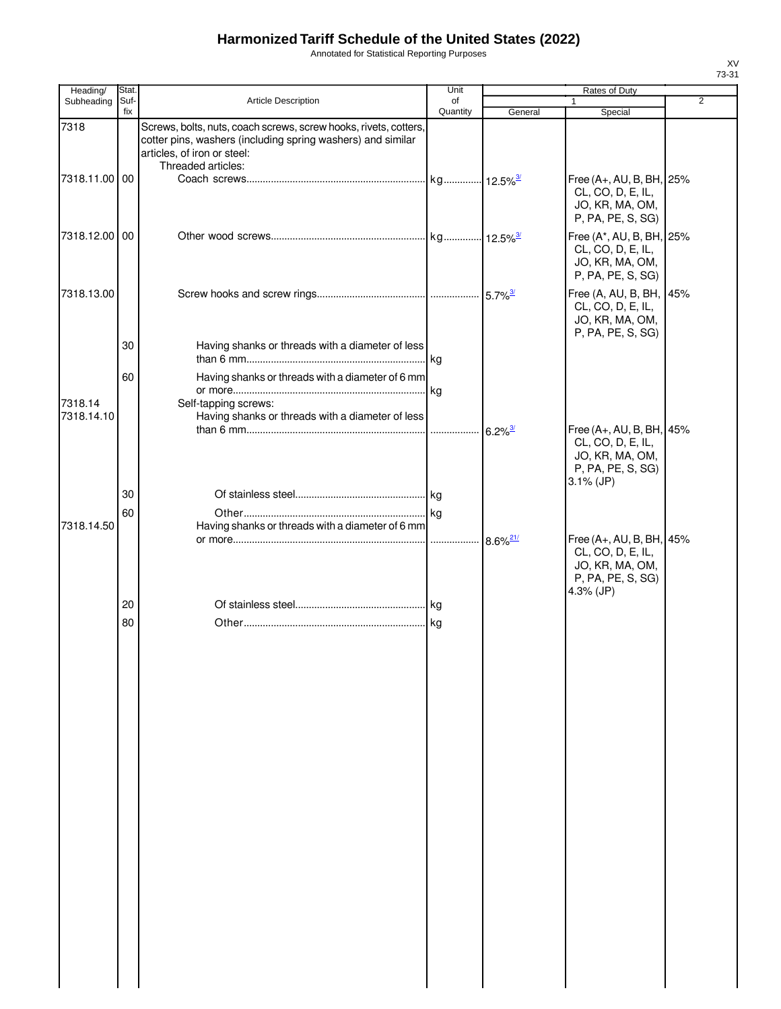Annotated for Statistical Reporting Purposes

| Suf-<br><b>Article Description</b><br>Subheading<br>of<br>$\mathbf{1}$<br>fix<br>Quantity<br>General<br>Special<br>7318<br>Screws, bolts, nuts, coach screws, screw hooks, rivets, cotters,<br>cotter pins, washers (including spring washers) and similar<br>articles, of iron or steel:<br>Threaded articles:<br>7318.11.00 00<br>Free (A+, AU, B, BH, 25%<br>CL, CO, D, E, IL,<br>JO, KR, MA, OM,<br>P, PA, PE, S, SG)<br>7318.12.00 00<br>Free (A*, AU, B, BH, 25%<br>CL, CO, D, E, IL,<br>JO, KR, MA, OM,<br>P, PA, PE, S, SG)<br>Free (A, AU, B, BH, 45%<br>7318.13.00<br>CL, CO, D, E, IL,<br>JO, KR, MA, OM,<br>P, PA, PE, S, SG)<br>30<br>Having shanks or threads with a diameter of less<br>60<br>Having shanks or threads with a diameter of 6 mm<br>7318.14<br>Self-tapping screws:<br>Having shanks or threads with a diameter of less<br>7318.14.10<br>Free (A+, AU, B, BH, 45%<br>$6.2\%$ <sup>3/</sup><br>CL, CO, D, E, IL,<br>JO, KR, MA, OM,<br>P, PA, PE, S, SG)<br>$3.1\%$ (JP)<br>30 |                |
|------------------------------------------------------------------------------------------------------------------------------------------------------------------------------------------------------------------------------------------------------------------------------------------------------------------------------------------------------------------------------------------------------------------------------------------------------------------------------------------------------------------------------------------------------------------------------------------------------------------------------------------------------------------------------------------------------------------------------------------------------------------------------------------------------------------------------------------------------------------------------------------------------------------------------------------------------------------------------------------------------------|----------------|
|                                                                                                                                                                                                                                                                                                                                                                                                                                                                                                                                                                                                                                                                                                                                                                                                                                                                                                                                                                                                            | $\overline{2}$ |
|                                                                                                                                                                                                                                                                                                                                                                                                                                                                                                                                                                                                                                                                                                                                                                                                                                                                                                                                                                                                            |                |
|                                                                                                                                                                                                                                                                                                                                                                                                                                                                                                                                                                                                                                                                                                                                                                                                                                                                                                                                                                                                            |                |
|                                                                                                                                                                                                                                                                                                                                                                                                                                                                                                                                                                                                                                                                                                                                                                                                                                                                                                                                                                                                            |                |
|                                                                                                                                                                                                                                                                                                                                                                                                                                                                                                                                                                                                                                                                                                                                                                                                                                                                                                                                                                                                            |                |
|                                                                                                                                                                                                                                                                                                                                                                                                                                                                                                                                                                                                                                                                                                                                                                                                                                                                                                                                                                                                            |                |
|                                                                                                                                                                                                                                                                                                                                                                                                                                                                                                                                                                                                                                                                                                                                                                                                                                                                                                                                                                                                            |                |
|                                                                                                                                                                                                                                                                                                                                                                                                                                                                                                                                                                                                                                                                                                                                                                                                                                                                                                                                                                                                            |                |
|                                                                                                                                                                                                                                                                                                                                                                                                                                                                                                                                                                                                                                                                                                                                                                                                                                                                                                                                                                                                            |                |
| 60                                                                                                                                                                                                                                                                                                                                                                                                                                                                                                                                                                                                                                                                                                                                                                                                                                                                                                                                                                                                         |                |
| 7318.14.50<br>Having shanks or threads with a diameter of 6 mm<br>Free (A+, AU, B, BH, 45%<br>$8.6\%$ <sup>21/</sup><br>CL, CO, D, E, IL,<br>JO, KR, MA, OM,<br>P, PA, PE, S, SG)<br>4.3% (JP)                                                                                                                                                                                                                                                                                                                                                                                                                                                                                                                                                                                                                                                                                                                                                                                                             |                |
| 20                                                                                                                                                                                                                                                                                                                                                                                                                                                                                                                                                                                                                                                                                                                                                                                                                                                                                                                                                                                                         |                |
| 80                                                                                                                                                                                                                                                                                                                                                                                                                                                                                                                                                                                                                                                                                                                                                                                                                                                                                                                                                                                                         |                |
|                                                                                                                                                                                                                                                                                                                                                                                                                                                                                                                                                                                                                                                                                                                                                                                                                                                                                                                                                                                                            |                |
|                                                                                                                                                                                                                                                                                                                                                                                                                                                                                                                                                                                                                                                                                                                                                                                                                                                                                                                                                                                                            |                |
|                                                                                                                                                                                                                                                                                                                                                                                                                                                                                                                                                                                                                                                                                                                                                                                                                                                                                                                                                                                                            |                |
|                                                                                                                                                                                                                                                                                                                                                                                                                                                                                                                                                                                                                                                                                                                                                                                                                                                                                                                                                                                                            |                |
|                                                                                                                                                                                                                                                                                                                                                                                                                                                                                                                                                                                                                                                                                                                                                                                                                                                                                                                                                                                                            |                |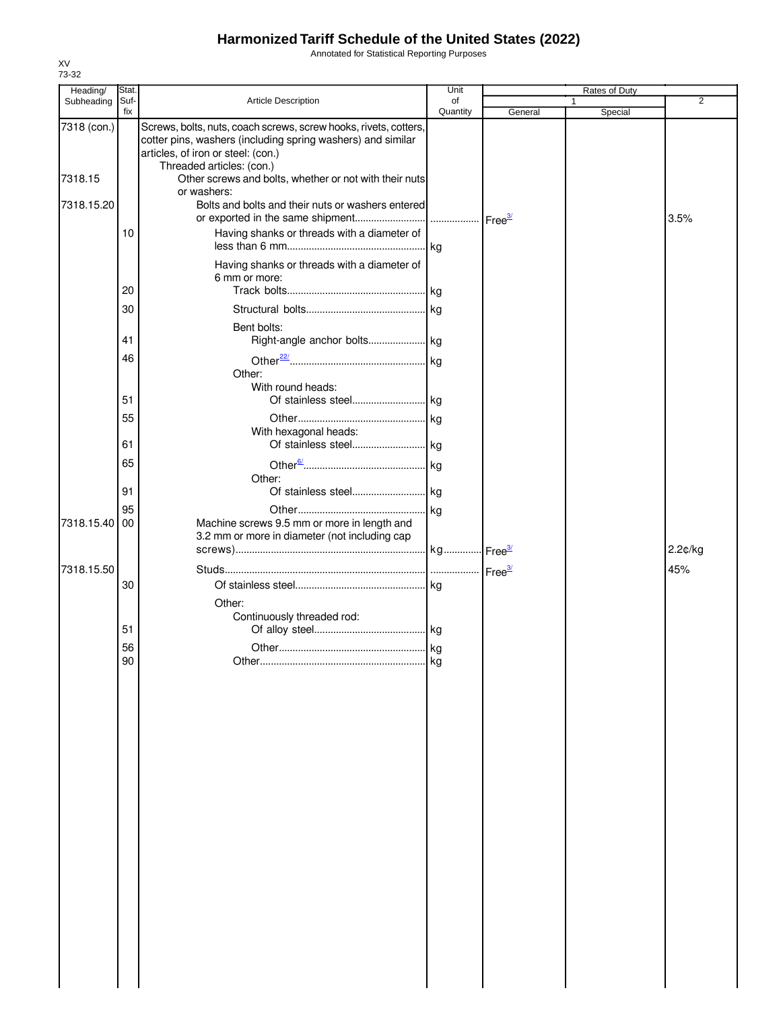Annotated for Statistical Reporting Purposes

| Heading/    | Stat.    |                                                                                                                                                                                                    | Unit     |         | Rates of Duty |         |
|-------------|----------|----------------------------------------------------------------------------------------------------------------------------------------------------------------------------------------------------|----------|---------|---------------|---------|
| Subheading  | Suf-     | Article Description                                                                                                                                                                                | of       |         | 1             | 2       |
|             | fix      |                                                                                                                                                                                                    | Quantity | General | Special       |         |
| 7318 (con.) |          | Screws, bolts, nuts, coach screws, screw hooks, rivets, cotters,<br>cotter pins, washers (including spring washers) and similar<br>articles, of iron or steel: (con.)<br>Threaded articles: (con.) |          |         |               |         |
| 7318.15     |          | Other screws and bolts, whether or not with their nuts<br>or washers:                                                                                                                              |          |         |               |         |
| 7318.15.20  |          | Bolts and bolts and their nuts or washers entered                                                                                                                                                  |          |         |               | 3.5%    |
|             | 10       | Having shanks or threads with a diameter of                                                                                                                                                        |          |         |               |         |
|             | 20       | Having shanks or threads with a diameter of<br>6 mm or more:                                                                                                                                       |          |         |               |         |
|             |          |                                                                                                                                                                                                    |          |         |               |         |
|             | 30       |                                                                                                                                                                                                    |          |         |               |         |
|             | 41       | Bent bolts:                                                                                                                                                                                        |          |         |               |         |
|             | 46       | Other:                                                                                                                                                                                             |          |         |               |         |
|             | 51       | With round heads:                                                                                                                                                                                  |          |         |               |         |
|             | 55       | With hexagonal heads:                                                                                                                                                                              |          |         |               |         |
|             | 61       | Of stainless steel  kg                                                                                                                                                                             |          |         |               |         |
|             | 65       | Other:                                                                                                                                                                                             |          |         |               |         |
|             | 91       |                                                                                                                                                                                                    |          |         |               |         |
| 7318.15.40  | 95<br>00 | Machine screws 9.5 mm or more in length and<br>3.2 mm or more in diameter (not including cap                                                                                                       |          |         |               | 2.2¢/kg |
|             |          |                                                                                                                                                                                                    |          |         |               |         |
| 7318.15.50  |          |                                                                                                                                                                                                    |          |         |               | 45%     |
|             | 30       |                                                                                                                                                                                                    |          |         |               |         |
|             |          | Other:                                                                                                                                                                                             |          |         |               |         |
|             |          | Continuously threaded rod:                                                                                                                                                                         |          |         |               |         |
|             | 51       |                                                                                                                                                                                                    |          |         |               |         |
|             | 56       |                                                                                                                                                                                                    |          |         |               |         |
|             | 90       |                                                                                                                                                                                                    | kg       |         |               |         |
|             |          |                                                                                                                                                                                                    |          |         |               |         |
|             |          |                                                                                                                                                                                                    |          |         |               |         |
|             |          |                                                                                                                                                                                                    |          |         |               |         |
|             |          |                                                                                                                                                                                                    |          |         |               |         |
|             |          |                                                                                                                                                                                                    |          |         |               |         |
|             |          |                                                                                                                                                                                                    |          |         |               |         |
|             |          |                                                                                                                                                                                                    |          |         |               |         |
|             |          |                                                                                                                                                                                                    |          |         |               |         |
|             |          |                                                                                                                                                                                                    |          |         |               |         |
|             |          |                                                                                                                                                                                                    |          |         |               |         |
|             |          |                                                                                                                                                                                                    |          |         |               |         |
|             |          |                                                                                                                                                                                                    |          |         |               |         |
|             |          |                                                                                                                                                                                                    |          |         |               |         |
|             |          |                                                                                                                                                                                                    |          |         |               |         |
|             |          |                                                                                                                                                                                                    |          |         |               |         |
|             |          |                                                                                                                                                                                                    |          |         |               |         |
|             |          |                                                                                                                                                                                                    |          |         |               |         |
|             |          |                                                                                                                                                                                                    |          |         |               |         |
|             |          |                                                                                                                                                                                                    |          |         |               |         |
|             |          |                                                                                                                                                                                                    |          |         |               |         |
|             |          |                                                                                                                                                                                                    |          |         |               |         |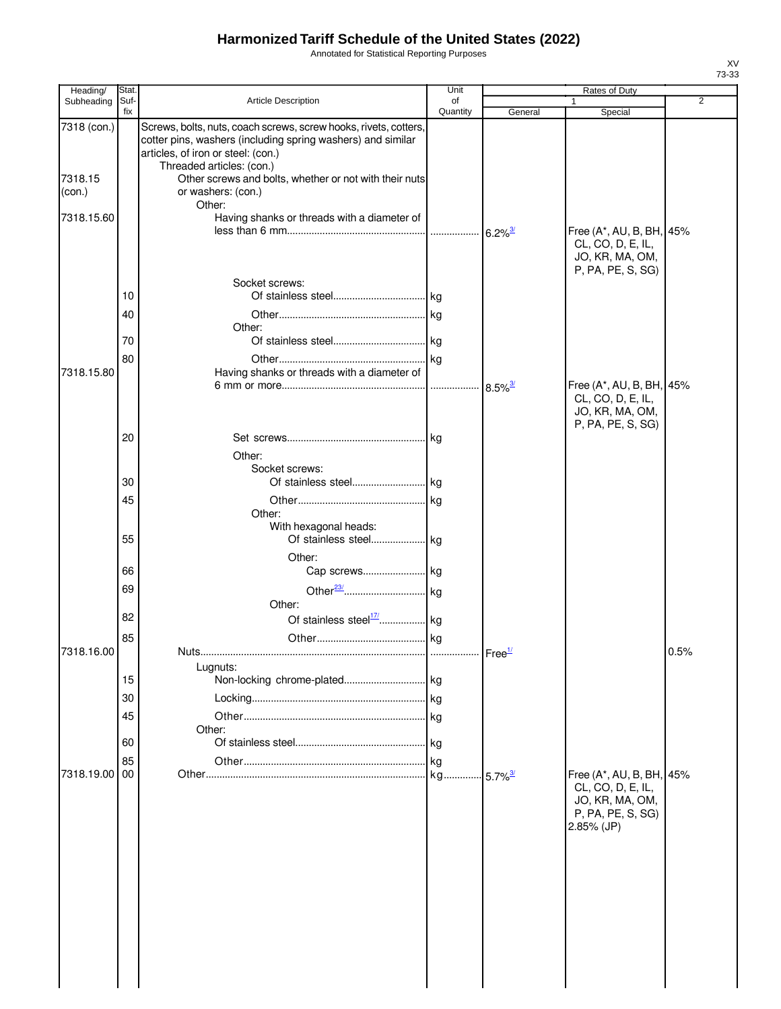Annotated for Statistical Reporting Purposes

| Heading/    | Stat.       |                                                                                                                                                                       | Unit           | Rates of Duty          |                                                                                       |                |
|-------------|-------------|-----------------------------------------------------------------------------------------------------------------------------------------------------------------------|----------------|------------------------|---------------------------------------------------------------------------------------|----------------|
| Subheading  | Suf-<br>fix | Article Description                                                                                                                                                   | of<br>Quantity | General                | 1<br>Special                                                                          | $\overline{2}$ |
| 7318 (con.) |             | Screws, bolts, nuts, coach screws, screw hooks, rivets, cotters,<br>cotter pins, washers (including spring washers) and similar<br>articles, of iron or steel: (con.) |                |                        |                                                                                       |                |
|             |             | Threaded articles: (con.)                                                                                                                                             |                |                        |                                                                                       |                |
| 7318.15     |             | Other screws and bolts, whether or not with their nuts                                                                                                                |                |                        |                                                                                       |                |
| (con.)      |             | or washers: (con.)<br>Other:                                                                                                                                          |                |                        |                                                                                       |                |
| 7318.15.60  |             | Having shanks or threads with a diameter of                                                                                                                           |                | $6.2\%$ <sup>3/</sup>  | Free (A*, AU, B, BH, 45%                                                              |                |
|             |             |                                                                                                                                                                       |                |                        | CL, CO, D, E, IL,<br>JO, KR, MA, OM,<br>P, PA, PE, S, SG)                             |                |
|             |             | Socket screws:                                                                                                                                                        |                |                        |                                                                                       |                |
|             | 10          |                                                                                                                                                                       |                |                        |                                                                                       |                |
|             | 40          | Other:                                                                                                                                                                |                |                        |                                                                                       |                |
|             | 70          |                                                                                                                                                                       |                |                        |                                                                                       |                |
|             | 80          |                                                                                                                                                                       |                |                        |                                                                                       |                |
| 7318.15.80  |             | Having shanks or threads with a diameter of                                                                                                                           |                |                        |                                                                                       |                |
|             |             |                                                                                                                                                                       |                | $8.5\%$ <sup>3/</sup>  | Free (A*, AU, B, BH, 45%<br>CL, CO, D, E, IL,<br>JO, KR, MA, OM,<br>P, PA, PE, S, SG) |                |
|             | 20          |                                                                                                                                                                       |                |                        |                                                                                       |                |
|             |             | Other:                                                                                                                                                                |                |                        |                                                                                       |                |
|             |             | Socket screws:                                                                                                                                                        |                |                        |                                                                                       |                |
|             | 30          |                                                                                                                                                                       |                |                        |                                                                                       |                |
|             | 45          |                                                                                                                                                                       |                |                        |                                                                                       |                |
|             |             | Other:<br>With hexagonal heads:                                                                                                                                       |                |                        |                                                                                       |                |
|             | 55          |                                                                                                                                                                       |                |                        |                                                                                       |                |
|             |             | Other:                                                                                                                                                                |                |                        |                                                                                       |                |
|             | 66          |                                                                                                                                                                       |                |                        |                                                                                       |                |
|             | 69          | Other:                                                                                                                                                                |                |                        |                                                                                       |                |
|             | 82          |                                                                                                                                                                       |                |                        |                                                                                       |                |
|             | 85          |                                                                                                                                                                       |                |                        |                                                                                       |                |
| 7318.16.00  |             | Nuts                                                                                                                                                                  |                |                        |                                                                                       | 0.5%           |
|             |             | Lugnuts:                                                                                                                                                              |                |                        |                                                                                       |                |
|             | 15          |                                                                                                                                                                       |                |                        |                                                                                       |                |
|             | 30          |                                                                                                                                                                       |                |                        |                                                                                       |                |
|             | 45          |                                                                                                                                                                       |                |                        |                                                                                       |                |
|             |             | Other:                                                                                                                                                                |                |                        |                                                                                       |                |
|             | 60          |                                                                                                                                                                       |                |                        |                                                                                       |                |
|             | 85          |                                                                                                                                                                       | kg             |                        |                                                                                       |                |
| 7318.19.00  | 00          |                                                                                                                                                                       |                | $-5.7\%$ <sup>3/</sup> | Free (A*, AU, B, BH, 45%<br>CL, CO, D, E, IL,                                         |                |
|             |             |                                                                                                                                                                       |                |                        | JO, KR, MA, OM,                                                                       |                |
|             |             |                                                                                                                                                                       |                |                        | P, PA, PE, S, SG)                                                                     |                |
|             |             |                                                                                                                                                                       |                |                        | 2.85% (JP)                                                                            |                |
|             |             |                                                                                                                                                                       |                |                        |                                                                                       |                |
|             |             |                                                                                                                                                                       |                |                        |                                                                                       |                |
|             |             |                                                                                                                                                                       |                |                        |                                                                                       |                |
|             |             |                                                                                                                                                                       |                |                        |                                                                                       |                |
|             |             |                                                                                                                                                                       |                |                        |                                                                                       |                |
|             |             |                                                                                                                                                                       |                |                        |                                                                                       |                |
|             |             |                                                                                                                                                                       |                |                        |                                                                                       |                |
|             |             |                                                                                                                                                                       |                |                        |                                                                                       |                |
|             |             |                                                                                                                                                                       |                |                        |                                                                                       |                |
|             |             |                                                                                                                                                                       |                |                        |                                                                                       |                |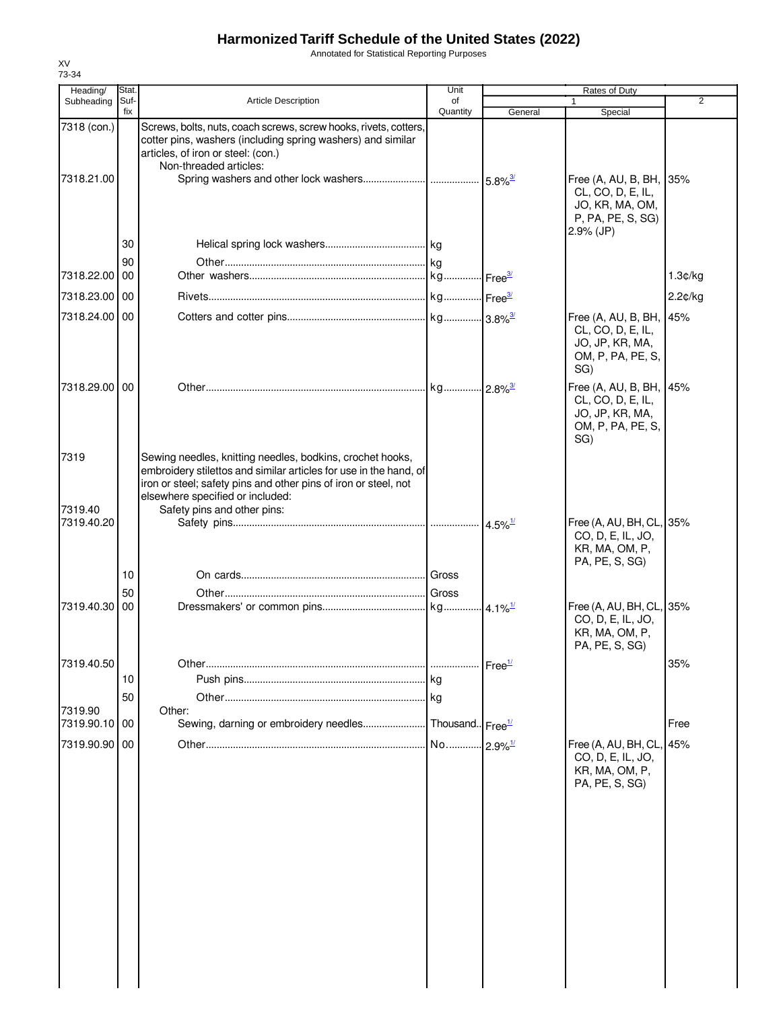Annotated for Statistical Reporting Purposes

| Heading/                  | Stat.       |                                                                                                                                                                                                                                       | Unit                  | <b>Rates of Duty</b>  |                                                                                             |                |
|---------------------------|-------------|---------------------------------------------------------------------------------------------------------------------------------------------------------------------------------------------------------------------------------------|-----------------------|-----------------------|---------------------------------------------------------------------------------------------|----------------|
| Subheading                | Suf-<br>fix | <b>Article Description</b>                                                                                                                                                                                                            | of<br>Quantity        | General               | 1<br>Special                                                                                | $\overline{2}$ |
| 7318 (con.)<br>7318.21.00 |             | Screws, bolts, nuts, coach screws, screw hooks, rivets, cotters,<br>cotter pins, washers (including spring washers) and similar<br>articles, of iron or steel: (con.)<br>Non-threaded articles:                                       |                       |                       | Free (A, AU, B, BH, 35%                                                                     |                |
|                           |             |                                                                                                                                                                                                                                       |                       |                       | CL, CO, D, E, IL,<br>JO, KR, MA, OM,<br>P, PA, PE, S, SG)<br>$2.9\%$ (JP)                   |                |
|                           | 30          |                                                                                                                                                                                                                                       |                       |                       |                                                                                             |                |
| 7318.22.00 00             | 90          |                                                                                                                                                                                                                                       |                       |                       |                                                                                             | 1.3¢/kg        |
|                           |             |                                                                                                                                                                                                                                       |                       |                       |                                                                                             |                |
| 7318.23.00 00             |             |                                                                                                                                                                                                                                       |                       |                       |                                                                                             | 2.2¢/kg        |
| 7318.24.00 00             |             |                                                                                                                                                                                                                                       |                       |                       | Free (A, AU, B, BH, 45%<br>CL, CO, D, E, IL,<br>JO, JP, KR, MA,<br>OM, P, PA, PE, S,<br>SG) |                |
| 7318.29.00 00             |             |                                                                                                                                                                                                                                       |                       |                       | Free (A, AU, B, BH, 45%<br>CL, CO, D, E, IL,<br>JO, JP, KR, MA,<br>OM, P, PA, PE, S,<br>SG) |                |
| 7319                      |             | Sewing needles, knitting needles, bodkins, crochet hooks,<br>embroidery stilettos and similar articles for use in the hand, of<br>iron or steel; safety pins and other pins of iron or steel, not<br>elsewhere specified or included: |                       |                       |                                                                                             |                |
| 7319.40                   |             | Safety pins and other pins:                                                                                                                                                                                                           |                       |                       |                                                                                             |                |
| 7319.40.20                |             |                                                                                                                                                                                                                                       |                       | $4.5\%$ <sup>1/</sup> | Free (A, AU, BH, CL, 35%<br>CO, D, E, IL, JO,<br>KR, MA, OM, P,<br>PA, PE, S, SG)           |                |
|                           | 10          |                                                                                                                                                                                                                                       |                       |                       |                                                                                             |                |
| 7319.40.30                | 50<br>00    |                                                                                                                                                                                                                                       |                       |                       | Free (A, AU, BH, CL, 35%                                                                    |                |
|                           |             |                                                                                                                                                                                                                                       |                       |                       | CO, D, E, IL, JO,<br>KR, MA, OM, P,<br>PA, PE, S, SG)                                       |                |
| 7319.40.50                |             |                                                                                                                                                                                                                                       |                       | Free <sup>1/</sup>    |                                                                                             | 35%            |
|                           | 10          |                                                                                                                                                                                                                                       |                       |                       |                                                                                             |                |
|                           | 50          |                                                                                                                                                                                                                                       |                       |                       |                                                                                             |                |
| 7319.90<br>7319.90.10 00  |             | Other:                                                                                                                                                                                                                                |                       |                       |                                                                                             | Free           |
| 7319.90.90 00             |             |                                                                                                                                                                                                                                       | No 2.9% <sup>1/</sup> |                       | Free (A, AU, BH, CL, 45%                                                                    |                |
|                           |             |                                                                                                                                                                                                                                       |                       |                       | CO, D, E, IL, JO,<br>KR, MA, OM, P,<br>PA, PE, S, SG)                                       |                |
|                           |             |                                                                                                                                                                                                                                       |                       |                       |                                                                                             |                |
|                           |             |                                                                                                                                                                                                                                       |                       |                       |                                                                                             |                |
|                           |             |                                                                                                                                                                                                                                       |                       |                       |                                                                                             |                |
|                           |             |                                                                                                                                                                                                                                       |                       |                       |                                                                                             |                |
|                           |             |                                                                                                                                                                                                                                       |                       |                       |                                                                                             |                |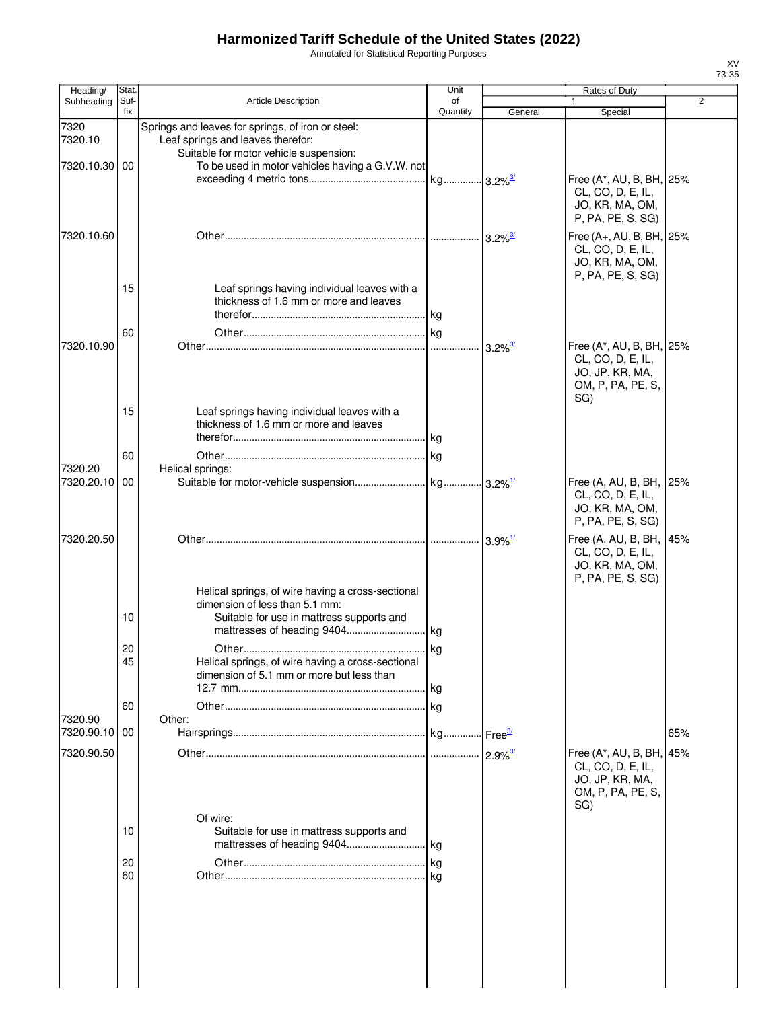Annotated for Statistical Reporting Purposes

| Heading/                 | Stat.          |                                                                                                                                  | Unit           | Rates of Duty         |                                                                                       | $\overline{2}$ |  |
|--------------------------|----------------|----------------------------------------------------------------------------------------------------------------------------------|----------------|-----------------------|---------------------------------------------------------------------------------------|----------------|--|
| Subheading               | Suf-<br>fix    | <b>Article Description</b>                                                                                                       | of<br>Quantity | General               | Special                                                                               |                |  |
| 7320<br>7320.10          |                | Springs and leaves for springs, of iron or steel:<br>Leaf springs and leaves therefor:<br>Suitable for motor vehicle suspension: |                |                       |                                                                                       |                |  |
| 7320.10.30 00            |                | To be used in motor vehicles having a G.V.W. not                                                                                 |                |                       | Free (A*, AU, B, BH, 25%<br>CL, CO, D, E, IL,<br>JO, KR, MA, OM,                      |                |  |
| 7320.10.60               |                |                                                                                                                                  |                | $3.2\%$ <sup>3/</sup> | P, PA, PE, S, SG)<br>Free (A+, AU, B, BH, 25%<br>CL, CO, D, E, IL,<br>JO, KR, MA, OM, |                |  |
|                          | 15             | Leaf springs having individual leaves with a<br>thickness of 1.6 mm or more and leaves                                           | . kg           |                       | P, PA, PE, S, SG)                                                                     |                |  |
| 7320.10.90               | 60             |                                                                                                                                  |                | $3.2\%$ <sup>3/</sup> | Free (A*, AU, B, BH, 25%<br>CL, CO, D, E, IL,<br>JO, JP, KR, MA,                      |                |  |
|                          | 15             | Leaf springs having individual leaves with a<br>thickness of 1.6 mm or more and leaves                                           | lkg.           |                       | OM, P, PA, PE, S,<br>SG)                                                              |                |  |
| 7320.20                  | 60             | Helical springs:                                                                                                                 |                |                       |                                                                                       |                |  |
| 7320.20.10               | 00             |                                                                                                                                  |                |                       | Free (A, AU, B, BH,<br>CL, CO, D, E, IL,<br>JO, KR, MA, OM,<br>P, PA, PE, S, SG)      | 25%            |  |
| 7320.20.50               |                |                                                                                                                                  |                | $3.9\%$ <sup>1/</sup> | Free (A, AU, B, BH,<br>CL, CO, D, E, IL,<br>JO, KR, MA, OM,<br>P, PA, PE, S, SG)      | 45%            |  |
|                          | 10             | Helical springs, of wire having a cross-sectional<br>dimension of less than 5.1 mm:<br>Suitable for use in mattress supports and |                |                       |                                                                                       |                |  |
|                          | 20<br>45       | Helical springs, of wire having a cross-sectional<br>dimension of 5.1 mm or more but less than                                   | . kg<br>.lkg   |                       |                                                                                       |                |  |
| 7320.90                  | 60             | Other:                                                                                                                           | . kg           |                       |                                                                                       |                |  |
| 7320.90.10<br>7320.90.50 | 00             |                                                                                                                                  |                |                       | Free (A*, AU, B, BH,<br>CL, CO, D, E, IL,<br>JO, JP, KR, MA,                          | 65%<br>45%     |  |
|                          | 10<br>20<br>60 | Of wire:<br>Suitable for use in mattress supports and                                                                            | kg<br>. kg     |                       | OM, P, PA, PE, S,<br>SG)                                                              |                |  |
|                          |                |                                                                                                                                  |                |                       |                                                                                       |                |  |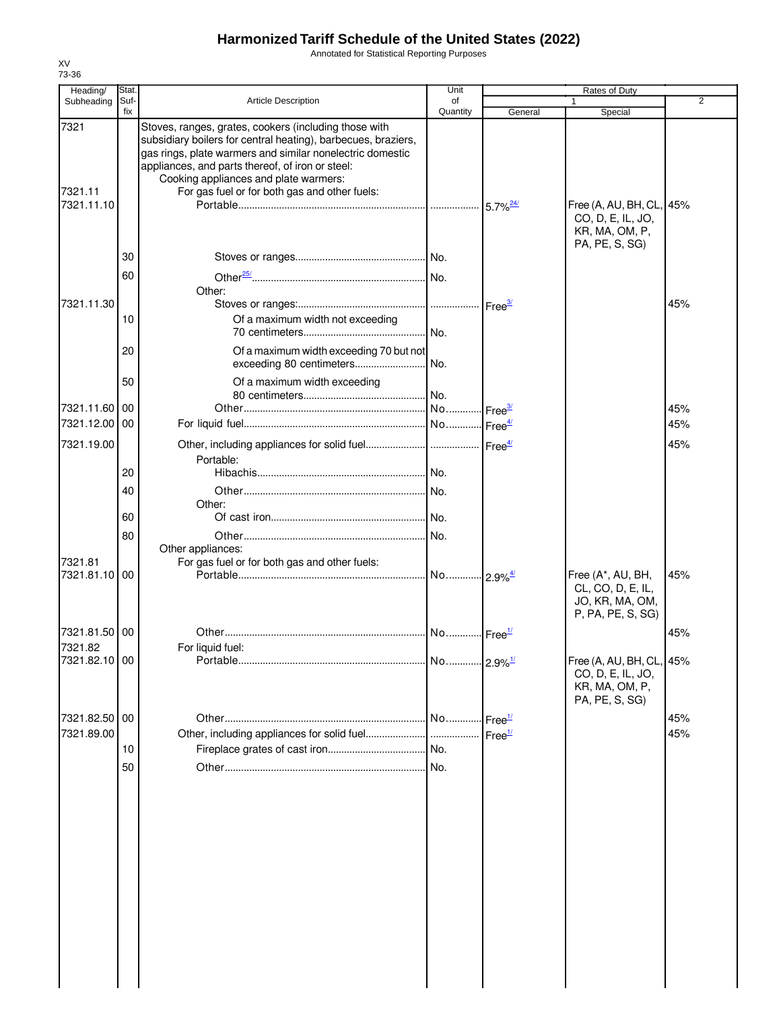Annotated for Statistical Reporting Purposes

| Heading/                      | Stat.       |                                                                                                                                                                                                                                                                                                                                   | Unit                  | Rates of Duty      |                                                                                   |                |
|-------------------------------|-------------|-----------------------------------------------------------------------------------------------------------------------------------------------------------------------------------------------------------------------------------------------------------------------------------------------------------------------------------|-----------------------|--------------------|-----------------------------------------------------------------------------------|----------------|
| Subheading                    | Suf-<br>fix | <b>Article Description</b>                                                                                                                                                                                                                                                                                                        | of<br>Quantity        | General            |                                                                                   | $\overline{2}$ |
| 7321<br>7321.11<br>7321.11.10 |             | Stoves, ranges, grates, cookers (including those with<br>subsidiary boilers for central heating), barbecues, braziers,<br>gas rings, plate warmers and similar nonelectric domestic<br>appliances, and parts thereof, of iron or steel:<br>Cooking appliances and plate warmers:<br>For gas fuel or for both gas and other fuels: |                       |                    | Special<br>Free (A, AU, BH, CL, 45%                                               |                |
|                               | 30<br>60    |                                                                                                                                                                                                                                                                                                                                   |                       |                    | CO, D, E, IL, JO,<br>KR, MA, OM, P,<br>PA, PE, S, SG)                             |                |
| 7321.11.30                    |             | Other:                                                                                                                                                                                                                                                                                                                            |                       |                    |                                                                                   | 45%            |
|                               | 10          | Of a maximum width not exceeding                                                                                                                                                                                                                                                                                                  | No.                   |                    |                                                                                   |                |
|                               | 20          | Of a maximum width exceeding 70 but not<br>exceeding 80 centimeters                                                                                                                                                                                                                                                               | No.                   |                    |                                                                                   |                |
| 7321.11.60 00                 | 50          | Of a maximum width exceeding                                                                                                                                                                                                                                                                                                      | . No.                 |                    |                                                                                   | 45%            |
| 7321.12.00 00                 |             |                                                                                                                                                                                                                                                                                                                                   |                       |                    |                                                                                   | 45%            |
| 7321.19.00                    |             | Portable:                                                                                                                                                                                                                                                                                                                         |                       |                    |                                                                                   | 45%            |
|                               | 20          |                                                                                                                                                                                                                                                                                                                                   |                       |                    |                                                                                   |                |
|                               | 40          | Other:                                                                                                                                                                                                                                                                                                                            |                       |                    |                                                                                   |                |
|                               | 60          |                                                                                                                                                                                                                                                                                                                                   |                       |                    |                                                                                   |                |
| 7321.81                       | 80          | Other appliances:<br>For gas fuel or for both gas and other fuels:                                                                                                                                                                                                                                                                | No.                   |                    |                                                                                   |                |
| 7321.81.10 00                 |             |                                                                                                                                                                                                                                                                                                                                   |                       |                    | Free (A*, AU, BH,<br>CL, CO, D, E, IL,<br>JO, KR, MA, OM,<br>P, PA, PE, S, SG)    | 45%            |
| 7321.81.50 00                 |             |                                                                                                                                                                                                                                                                                                                                   | No Free <sup>1/</sup> |                    |                                                                                   | 45%            |
| 7321.82                       |             | For liquid fuel:                                                                                                                                                                                                                                                                                                                  |                       |                    |                                                                                   |                |
| 7321.82.10 00                 |             |                                                                                                                                                                                                                                                                                                                                   | No 2.9% <sup>1/</sup> |                    | Free (A, AU, BH, CL, 45%<br>CO, D, E, IL, JO,<br>KR, MA, OM, P,<br>PA, PE, S, SG) |                |
| 7321.82.50 00                 |             |                                                                                                                                                                                                                                                                                                                                   | No                    | Free <sup>1/</sup> |                                                                                   | 45%            |
| 7321.89.00                    |             | Other, including appliances for solid fuel                                                                                                                                                                                                                                                                                        |                       | Free <sup>1/</sup> |                                                                                   | 45%            |
|                               | 10          |                                                                                                                                                                                                                                                                                                                                   | No.                   |                    |                                                                                   |                |
|                               | 50          |                                                                                                                                                                                                                                                                                                                                   | No.                   |                    |                                                                                   |                |
|                               |             |                                                                                                                                                                                                                                                                                                                                   |                       |                    |                                                                                   |                |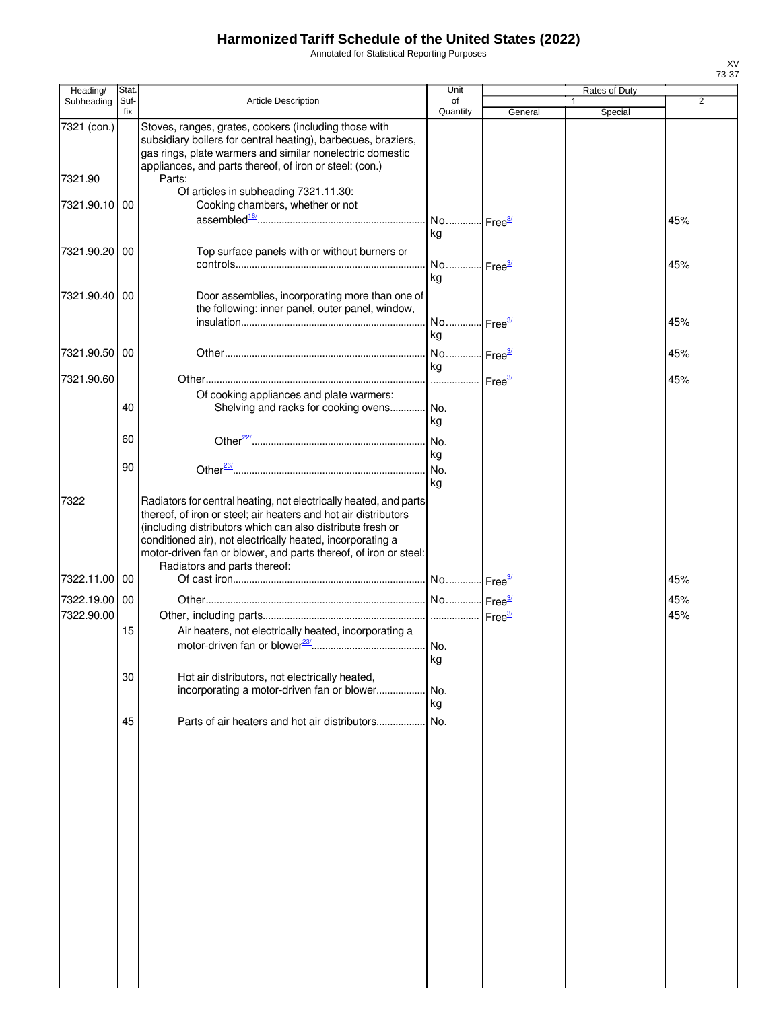Annotated for Statistical Reporting Purposes

| Heading/      | Stat.       |                                                                                                                                                                                                                                                                                                                                                                      | Unit                        |         | Rates of Duty |                |
|---------------|-------------|----------------------------------------------------------------------------------------------------------------------------------------------------------------------------------------------------------------------------------------------------------------------------------------------------------------------------------------------------------------------|-----------------------------|---------|---------------|----------------|
| Subheading    | Suf-<br>fix | Article Description                                                                                                                                                                                                                                                                                                                                                  | of<br>Quantity              | General |               | $\overline{2}$ |
| 7321 (con.)   |             | Stoves, ranges, grates, cookers (including those with<br>subsidiary boilers for central heating), barbecues, braziers,<br>gas rings, plate warmers and similar nonelectric domestic                                                                                                                                                                                  |                             |         | Special       |                |
| 7321.90       |             | appliances, and parts thereof, of iron or steel: (con.)<br>Parts:                                                                                                                                                                                                                                                                                                    |                             |         |               |                |
| 7321.90.10 00 |             | Of articles in subheading 7321.11.30:<br>Cooking chambers, whether or not                                                                                                                                                                                                                                                                                            |                             |         |               |                |
|               |             |                                                                                                                                                                                                                                                                                                                                                                      | kg                          |         |               | 45%            |
| 7321.90.20    | 00          | Top surface panels with or without burners or                                                                                                                                                                                                                                                                                                                        | No Free <sup>3/</sup><br>kg |         |               | 45%            |
| 7321.90.40    | 00          | Door assemblies, incorporating more than one of<br>the following: inner panel, outer panel, window,                                                                                                                                                                                                                                                                  | No Free <sup>3/</sup>       |         |               | 45%            |
|               |             |                                                                                                                                                                                                                                                                                                                                                                      | kg                          |         |               |                |
| 7321.90.50 00 |             |                                                                                                                                                                                                                                                                                                                                                                      | No Free <sup>3/</sup><br>kg |         |               | 45%            |
| 7321.90.60    |             | Of cooking appliances and plate warmers:                                                                                                                                                                                                                                                                                                                             | Free <sup>3/</sup>          |         |               | 45%            |
|               | 40          | Shelving and racks for cooking ovens                                                                                                                                                                                                                                                                                                                                 | No.<br>kg                   |         |               |                |
|               | 60          |                                                                                                                                                                                                                                                                                                                                                                      | No.<br>kg                   |         |               |                |
|               | 90          |                                                                                                                                                                                                                                                                                                                                                                      | No.<br>kg                   |         |               |                |
| 7322          |             | Radiators for central heating, not electrically heated, and parts<br>thereof, of iron or steel; air heaters and hot air distributors<br>(including distributors which can also distribute fresh or<br>conditioned air), not electrically heated, incorporating a<br>motor-driven fan or blower, and parts thereof, of iron or steel:<br>Radiators and parts thereof: |                             |         |               |                |
| 7322.11.00 00 |             |                                                                                                                                                                                                                                                                                                                                                                      |                             |         |               | 45%            |
| 7322.19.00 00 |             |                                                                                                                                                                                                                                                                                                                                                                      |                             |         |               | 45%            |
| 7322.90.00    |             |                                                                                                                                                                                                                                                                                                                                                                      |                             |         |               | 45%            |
|               | 15          | Air heaters, not electrically heated, incorporating a                                                                                                                                                                                                                                                                                                                |                             |         |               |                |
|               |             |                                                                                                                                                                                                                                                                                                                                                                      | kg                          |         |               |                |
|               | 30          | Hot air distributors, not electrically heated,                                                                                                                                                                                                                                                                                                                       |                             |         |               |                |
|               |             | incorporating a motor-driven fan or blower                                                                                                                                                                                                                                                                                                                           | No.<br>kg                   |         |               |                |
|               | 45          | Parts of air heaters and hot air distributors                                                                                                                                                                                                                                                                                                                        | No.                         |         |               |                |
|               |             |                                                                                                                                                                                                                                                                                                                                                                      |                             |         |               |                |
|               |             |                                                                                                                                                                                                                                                                                                                                                                      |                             |         |               |                |
|               |             |                                                                                                                                                                                                                                                                                                                                                                      |                             |         |               |                |
|               |             |                                                                                                                                                                                                                                                                                                                                                                      |                             |         |               |                |
|               |             |                                                                                                                                                                                                                                                                                                                                                                      |                             |         |               |                |
|               |             |                                                                                                                                                                                                                                                                                                                                                                      |                             |         |               |                |
|               |             |                                                                                                                                                                                                                                                                                                                                                                      |                             |         |               |                |
|               |             |                                                                                                                                                                                                                                                                                                                                                                      |                             |         |               |                |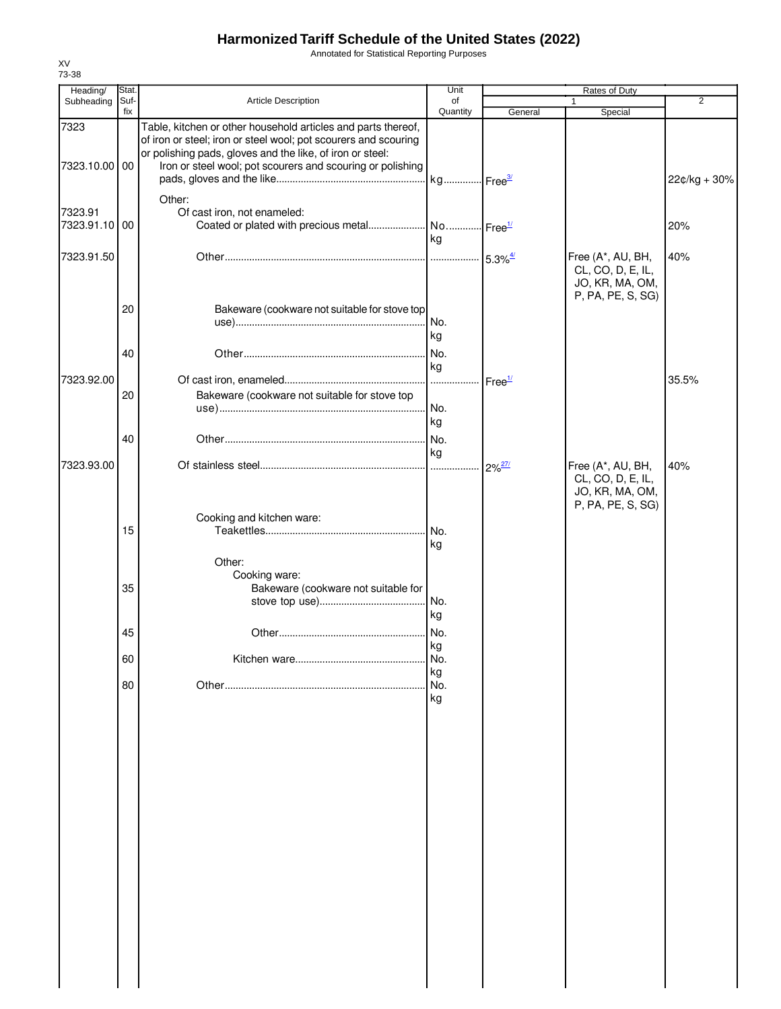Annotated for Statistical Reporting Purposes

| Heading/                 | Stat.       |                                                                                                                                  | Unit             |                     | Rates of Duty                                                                  |                |
|--------------------------|-------------|----------------------------------------------------------------------------------------------------------------------------------|------------------|---------------------|--------------------------------------------------------------------------------|----------------|
| Subheading               | Suf-<br>fix | Article Description                                                                                                              | of<br>Quantity   | General             | $\mathbf{1}$<br>Special                                                        | $\overline{2}$ |
| 7323                     |             | Table, kitchen or other household articles and parts thereof,<br>of iron or steel; iron or steel wool; pot scourers and scouring |                  |                     |                                                                                |                |
| 7323.10.00 00            |             | or polishing pads, gloves and the like, of iron or steel:<br>Iron or steel wool; pot scourers and scouring or polishing          |                  |                     |                                                                                | 22¢/kg + 30%   |
| 7323.91<br>7323.91.10 00 |             | Other:<br>Of cast iron, not enameled:<br>Coated or plated with precious metal No Free <sup>1/</sup>                              |                  |                     |                                                                                | 20%            |
| 7323.91.50               |             |                                                                                                                                  | ka               |                     | Free (A*, AU, BH,                                                              | 40%            |
|                          |             |                                                                                                                                  |                  |                     | CL, CO, D, E, IL,<br>JO, KR, MA, OM,<br>P, PA, PE, S, SG)                      |                |
|                          | 20          | Bakeware (cookware not suitable for stove top                                                                                    | No.<br>kg        |                     |                                                                                |                |
|                          | 40          |                                                                                                                                  | No.<br>kg        |                     |                                                                                |                |
| 7323.92.00               | 20          | Bakeware (cookware not suitable for stove top                                                                                    | .<br>No.         | Free <sup>1/</sup>  |                                                                                | 35.5%          |
|                          | 40          |                                                                                                                                  | kg<br>kg         |                     |                                                                                |                |
| 7323.93.00               |             |                                                                                                                                  |                  | $2\%^{\frac{27}{}}$ | Free (A*, AU, BH,<br>CL, CO, D, E, IL,<br>JO, KR, MA, OM,<br>P, PA, PE, S, SG) | 40%            |
|                          | 15          | Cooking and kitchen ware:                                                                                                        | kg               |                     |                                                                                |                |
|                          | 35          | Other:<br>Cooking ware:<br>Bakeware (cookware not suitable for                                                                   |                  |                     |                                                                                |                |
|                          |             |                                                                                                                                  | kg               |                     |                                                                                |                |
|                          | 45          |                                                                                                                                  | No.<br>kg        |                     |                                                                                |                |
|                          | 60<br>80    |                                                                                                                                  | No.<br>kg<br>No. |                     |                                                                                |                |
|                          |             |                                                                                                                                  | kg               |                     |                                                                                |                |
|                          |             |                                                                                                                                  |                  |                     |                                                                                |                |
|                          |             |                                                                                                                                  |                  |                     |                                                                                |                |
|                          |             |                                                                                                                                  |                  |                     |                                                                                |                |
|                          |             |                                                                                                                                  |                  |                     |                                                                                |                |
|                          |             |                                                                                                                                  |                  |                     |                                                                                |                |
|                          |             |                                                                                                                                  |                  |                     |                                                                                |                |
|                          |             |                                                                                                                                  |                  |                     |                                                                                |                |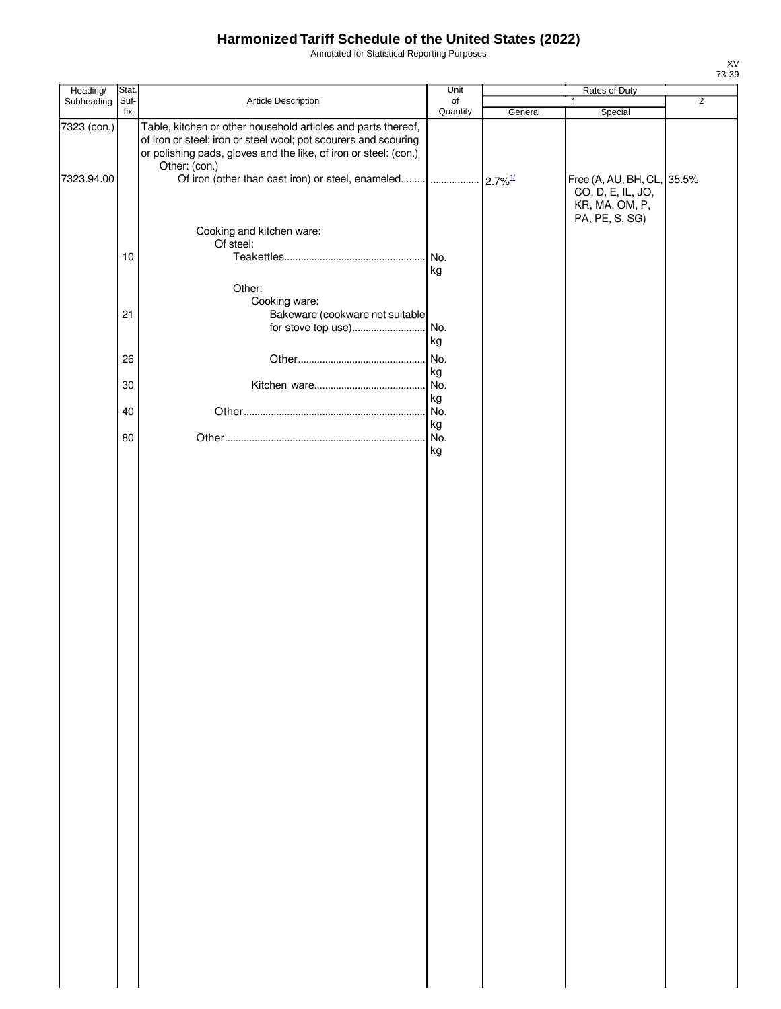Annotated for Statistical Reporting Purposes

| Heading/    | Stat. |                                                                                                                                                                                                                       | Unit            |         | Rates of Duty                                                                       |                |
|-------------|-------|-----------------------------------------------------------------------------------------------------------------------------------------------------------------------------------------------------------------------|-----------------|---------|-------------------------------------------------------------------------------------|----------------|
| Subheading  | Suf-  | Article Description                                                                                                                                                                                                   | of              |         | 1                                                                                   | $\overline{2}$ |
| 7323 (con.) | fix   | Table, kitchen or other household articles and parts thereof,<br>of iron or steel; iron or steel wool; pot scourers and scouring<br>or polishing pads, gloves and the like, of iron or steel: (con.)<br>Other: (con.) | Quantity        | General | Special                                                                             |                |
| 7323.94.00  |       |                                                                                                                                                                                                                       |                 |         | Free (A, AU, BH, CL, 35.5%<br>CO, D, E, IL, JO,<br>KR, MA, OM, P,<br>PA, PE, S, SG) |                |
|             | 10    | Cooking and kitchen ware:<br>Of steel:                                                                                                                                                                                | No.             |         |                                                                                     |                |
|             |       | Other:                                                                                                                                                                                                                | kg              |         |                                                                                     |                |
|             | 21    | Cooking ware:<br>Bakeware (cookware not suitable                                                                                                                                                                      |                 |         |                                                                                     |                |
|             | 26    |                                                                                                                                                                                                                       | kg<br>No.       |         |                                                                                     |                |
|             | 30    |                                                                                                                                                                                                                       | kg<br>No.       |         |                                                                                     |                |
|             | 40    |                                                                                                                                                                                                                       | kg<br>No.<br>kg |         |                                                                                     |                |
|             | 80    |                                                                                                                                                                                                                       | No.<br>kg       |         |                                                                                     |                |
|             |       |                                                                                                                                                                                                                       |                 |         |                                                                                     |                |
|             |       |                                                                                                                                                                                                                       |                 |         |                                                                                     |                |
|             |       |                                                                                                                                                                                                                       |                 |         |                                                                                     |                |
|             |       |                                                                                                                                                                                                                       |                 |         |                                                                                     |                |
|             |       |                                                                                                                                                                                                                       |                 |         |                                                                                     |                |
|             |       |                                                                                                                                                                                                                       |                 |         |                                                                                     |                |
|             |       |                                                                                                                                                                                                                       |                 |         |                                                                                     |                |
|             |       |                                                                                                                                                                                                                       |                 |         |                                                                                     |                |
|             |       |                                                                                                                                                                                                                       |                 |         |                                                                                     |                |
|             |       |                                                                                                                                                                                                                       |                 |         |                                                                                     |                |
|             |       |                                                                                                                                                                                                                       |                 |         |                                                                                     |                |
|             |       |                                                                                                                                                                                                                       |                 |         |                                                                                     |                |
|             |       |                                                                                                                                                                                                                       |                 |         |                                                                                     |                |
|             |       |                                                                                                                                                                                                                       |                 |         |                                                                                     |                |
|             |       |                                                                                                                                                                                                                       |                 |         |                                                                                     |                |
|             |       |                                                                                                                                                                                                                       |                 |         |                                                                                     |                |
|             |       |                                                                                                                                                                                                                       |                 |         |                                                                                     |                |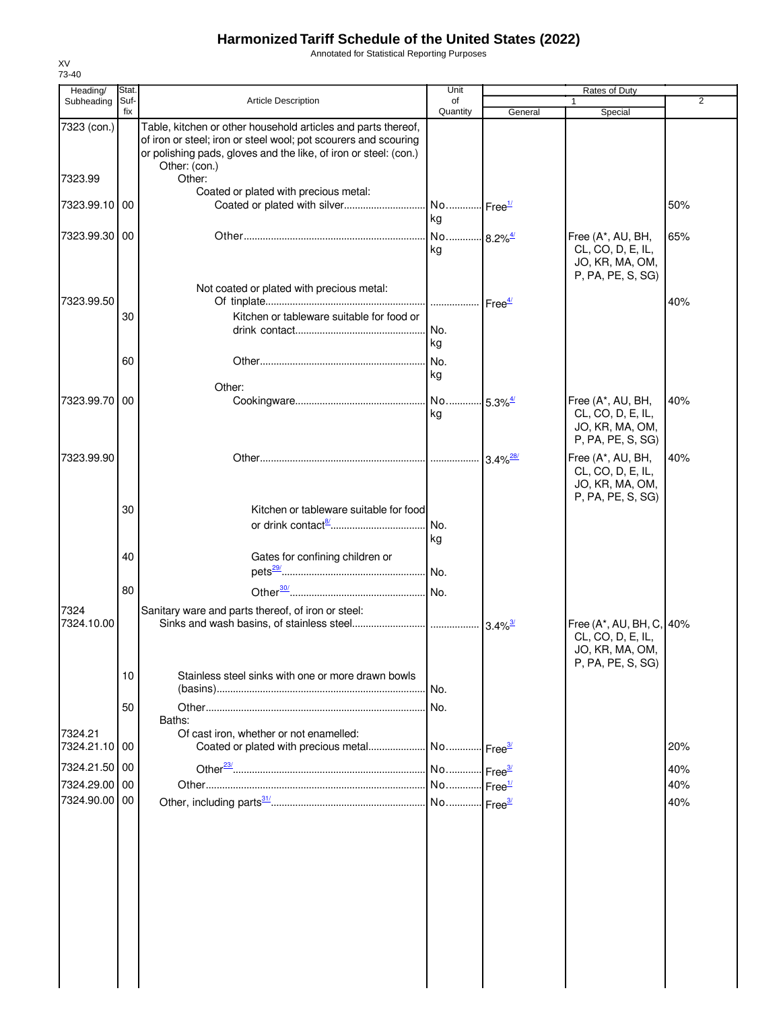Annotated for Statistical Reporting Purposes

| Heading/                 | Stat.       |                                                                                                                                                                                                                       | Unit                        | Rates of Duty          |                                                                                       |                |
|--------------------------|-------------|-----------------------------------------------------------------------------------------------------------------------------------------------------------------------------------------------------------------------|-----------------------------|------------------------|---------------------------------------------------------------------------------------|----------------|
| Subheading               | Suf-<br>fix | Article Description                                                                                                                                                                                                   | of<br>Quantity              | General                | 1<br>Special                                                                          | $\overline{2}$ |
| 7323 (con.)              |             | Table, kitchen or other household articles and parts thereof,<br>of iron or steel; iron or steel wool; pot scourers and scouring<br>or polishing pads, gloves and the like, of iron or steel: (con.)<br>Other: (con.) |                             |                        |                                                                                       |                |
| 7323.99                  |             | Other:<br>Coated or plated with precious metal:                                                                                                                                                                       |                             |                        |                                                                                       |                |
| 7323.99.10 00            |             |                                                                                                                                                                                                                       | kg                          |                        |                                                                                       | 50%            |
| 7323.99.30 00            |             |                                                                                                                                                                                                                       | No 8.2% <sup>4/</sup><br>kg |                        | Free (A*, AU, BH,<br>CL, CO, D, E, IL,<br>JO, KR, MA, OM,<br>P, PA, PE, S, SG)        | 65%            |
| 7323.99.50               |             | Not coated or plated with precious metal:                                                                                                                                                                             |                             |                        |                                                                                       | 40%            |
|                          | 30          | Kitchen or tableware suitable for food or                                                                                                                                                                             | No.<br>kg                   |                        |                                                                                       |                |
|                          | 60          | Other:                                                                                                                                                                                                                | kg                          |                        |                                                                                       |                |
| 7323.99.70 00            |             |                                                                                                                                                                                                                       | ka                          |                        | Free (A*, AU, BH,<br>CL, CO, D, E, IL,<br>JO, KR, MA, OM,<br>P, PA, PE, S, SG)        | 40%            |
| 7323.99.90               |             |                                                                                                                                                                                                                       |                             | $3.4\%$ <sup>28/</sup> | Free (A*, AU, BH,<br>CL, CO, D, E, IL,<br>JO, KR, MA, OM,<br>P, PA, PE, S, SG)        | 40%            |
|                          | 30          | Kitchen or tableware suitable for food                                                                                                                                                                                | kg                          |                        |                                                                                       |                |
|                          | 40          | Gates for confining children or                                                                                                                                                                                       |                             |                        |                                                                                       |                |
|                          | 80          |                                                                                                                                                                                                                       |                             |                        |                                                                                       |                |
| 7324<br>7324.10.00       |             | Sanitary ware and parts thereof, of iron or steel:                                                                                                                                                                    |                             |                        | Free (A*, AU, BH, C, 40%<br>CL, CO, D, E, IL,<br>JO, KR, MA, OM,<br>P, PA, PE, S, SG) |                |
|                          | 10          | Stainless steel sinks with one or more drawn bowls                                                                                                                                                                    |                             |                        |                                                                                       |                |
|                          | 50          | Baths:                                                                                                                                                                                                                |                             |                        |                                                                                       |                |
| 7324.21<br>7324.21.10 00 |             | Of cast iron, whether or not enamelled:                                                                                                                                                                               |                             |                        |                                                                                       | 20%            |
| 7324.21.50 00            |             |                                                                                                                                                                                                                       |                             |                        |                                                                                       | 40%            |
| 7324.29.00 00            |             |                                                                                                                                                                                                                       |                             |                        |                                                                                       | 40%            |
| 7324.90.00 00            |             |                                                                                                                                                                                                                       |                             |                        |                                                                                       | 40%            |
|                          |             |                                                                                                                                                                                                                       |                             |                        |                                                                                       |                |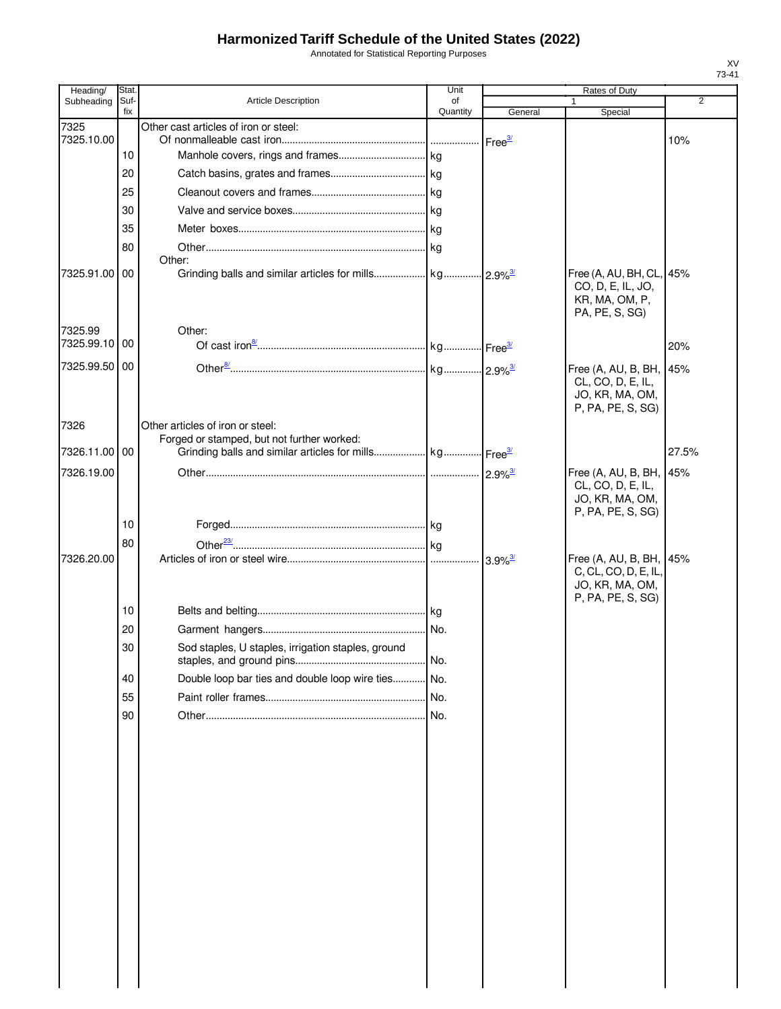Annotated for Statistical Reporting Purposes

| Heading/      | Stat.       |                                                                                | Unit           |                            | Rates of Duty                                                                           |                |
|---------------|-------------|--------------------------------------------------------------------------------|----------------|----------------------------|-----------------------------------------------------------------------------------------|----------------|
| Subheading    | Suf-<br>fix | <b>Article Description</b>                                                     | of<br>Quantity | General                    | Special                                                                                 | $\overline{2}$ |
| 7325          |             | Other cast articles of iron or steel:                                          |                |                            |                                                                                         |                |
| 7325.10.00    | 10          |                                                                                |                | Free <sup>3/</sup>         |                                                                                         | 10%            |
|               | 20          |                                                                                |                |                            |                                                                                         |                |
|               | 25          |                                                                                |                |                            |                                                                                         |                |
|               | 30          |                                                                                |                |                            |                                                                                         |                |
|               | 35          |                                                                                |                |                            |                                                                                         |                |
|               | 80          |                                                                                |                |                            |                                                                                         |                |
|               |             | Other:                                                                         |                |                            |                                                                                         |                |
| 7325.91.00 00 |             |                                                                                |                |                            | Free (A, AU, BH, CL, 45%<br>CO, D, E, IL, JO,<br>KR, MA, OM, P,<br>PA, PE, S, SG)       |                |
| 7325.99       |             | Other:                                                                         |                |                            |                                                                                         |                |
| 7325.99.10 00 |             |                                                                                |                |                            |                                                                                         | 20%            |
| 7325.99.50 00 |             |                                                                                |                |                            | Free (A, AU, B, BH, 45%                                                                 |                |
|               |             |                                                                                |                |                            | CL, CO, D, E, IL,<br>JO, KR, MA, OM,<br>P, PA, PE, S, SG)                               |                |
| 7326          |             | Other articles of iron or steel:<br>Forged or stamped, but not further worked: |                |                            |                                                                                         |                |
| 7326.11.00 00 |             |                                                                                |                |                            |                                                                                         | 27.5%          |
| 7326.19.00    |             |                                                                                |                |                            | Free (A, AU, B, BH, 45%                                                                 |                |
|               |             |                                                                                |                |                            | CL, CO, D, E, IL,<br>JO, KR, MA, OM,<br>P, PA, PE, S, SG)                               |                |
|               | 10          |                                                                                |                |                            |                                                                                         |                |
|               | 80          |                                                                                |                |                            |                                                                                         |                |
| 7326.20.00    |             |                                                                                |                | $\cdot$ 3.9% $\frac{3}{2}$ | Free (A, AU, B, BH, 45%<br>C, CL, CO, D, E, IL,<br>JO, KR, MA, OM,<br>P, PA, PE, S, SG) |                |
|               | 10          |                                                                                |                |                            |                                                                                         |                |
|               | 20          |                                                                                | No.            |                            |                                                                                         |                |
|               | 30          | Sod staples, U staples, irrigation staples, ground                             | No.            |                            |                                                                                         |                |
|               | 40          | Double loop bar ties and double loop wire ties                                 | No.            |                            |                                                                                         |                |
|               | 55          |                                                                                | No.            |                            |                                                                                         |                |
|               | 90          |                                                                                | No.            |                            |                                                                                         |                |
|               |             |                                                                                |                |                            |                                                                                         |                |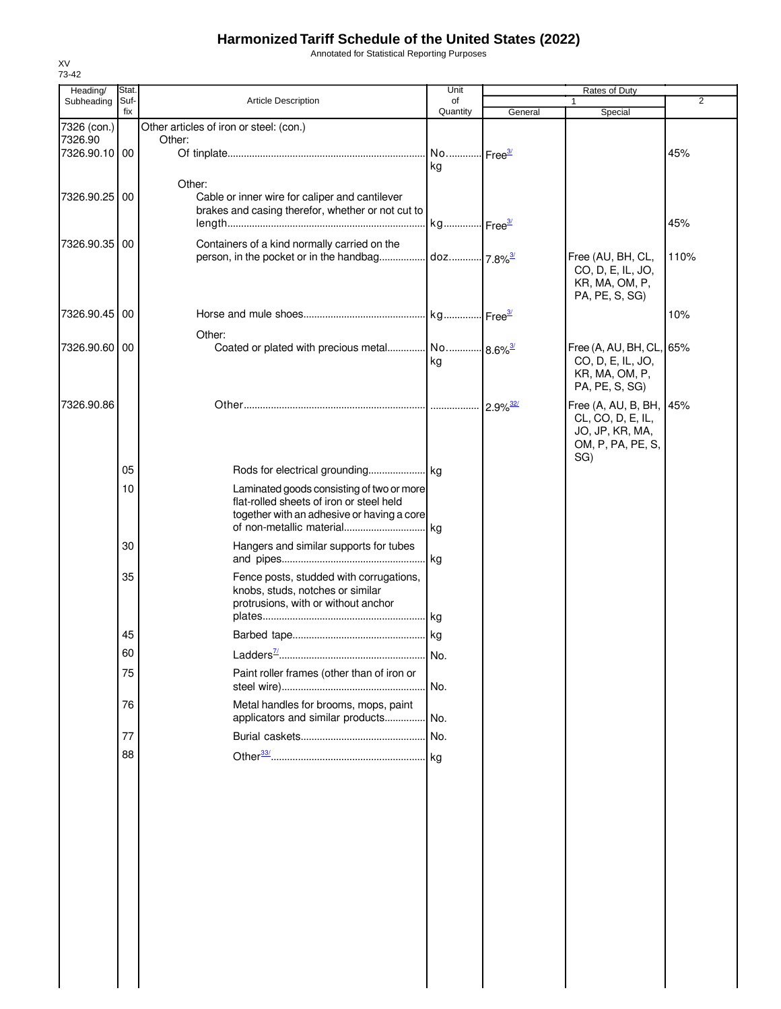Annotated for Statistical Reporting Purposes

| Heading/                 | Stat.       |                                                            | Unit                   |                        | Rates of Duty                        |                |
|--------------------------|-------------|------------------------------------------------------------|------------------------|------------------------|--------------------------------------|----------------|
| Subheading               | Suf-<br>fix | <b>Article Description</b>                                 | of<br>Quantity         | General                | 1<br>Special                         | $\overline{2}$ |
| 7326 (con.)              |             | Other articles of iron or steel: (con.)                    |                        |                        |                                      |                |
| 7326.90<br>7326.90.10 00 |             | Other:                                                     | No Free <sup>3/</sup>  |                        |                                      | 45%            |
|                          |             |                                                            | kg                     |                        |                                      |                |
|                          |             | Other:                                                     |                        |                        |                                      |                |
| 7326.90.25 00            |             | Cable or inner wire for caliper and cantilever             |                        |                        |                                      |                |
|                          |             | brakes and casing therefor, whether or not cut to          |                        |                        |                                      | 45%            |
| 7326.90.35 00            |             | Containers of a kind normally carried on the               |                        |                        |                                      |                |
|                          |             | person, in the pocket or in the handbag                    | doz 7.8% <sup>3/</sup> |                        | Free (AU, BH, CL,                    | 110%           |
|                          |             |                                                            |                        |                        | CO, D, E, IL, JO,<br>KR, MA, OM, P,  |                |
|                          |             |                                                            |                        |                        | PA, PE, S, SG)                       |                |
| 7326.90.45 00            |             |                                                            |                        |                        |                                      | 10%            |
|                          |             | Other:                                                     |                        |                        |                                      |                |
| 7326.90.60 00            |             | Coated or plated with precious metal No 8.6% <sup>3/</sup> |                        |                        | Free (A, AU, BH, CL, 65%             |                |
|                          |             |                                                            | kg                     |                        | CO, D, E, IL, JO,<br>KR, MA, OM, P,  |                |
|                          |             |                                                            |                        |                        | PA, PE, S, SG)                       |                |
| 7326.90.86               |             |                                                            |                        | $2.9\%$ <sup>32/</sup> | Free (A, AU, B, BH,                  | 45%            |
|                          |             |                                                            |                        |                        | CL, CO, D, E, IL,<br>JO, JP, KR, MA, |                |
|                          |             |                                                            |                        |                        | OM, P, PA, PE, S,                    |                |
|                          | 05          |                                                            |                        |                        | SG)                                  |                |
|                          |             | Laminated goods consisting of two or more                  |                        |                        |                                      |                |
|                          | 10          | flat-rolled sheets of iron or steel held                   |                        |                        |                                      |                |
|                          |             | together with an adhesive or having a core                 |                        |                        |                                      |                |
|                          |             |                                                            |                        |                        |                                      |                |
|                          | 30          | Hangers and similar supports for tubes                     |                        |                        |                                      |                |
|                          | 35          | Fence posts, studded with corrugations,                    |                        |                        |                                      |                |
|                          |             | knobs, studs, notches or similar                           |                        |                        |                                      |                |
|                          |             | protrusions, with or without anchor                        |                        |                        |                                      |                |
|                          | 45          |                                                            |                        |                        |                                      |                |
|                          | 60          |                                                            | I No.                  |                        |                                      |                |
|                          | 75          | Paint roller frames (other than of iron or                 |                        |                        |                                      |                |
|                          |             |                                                            |                        |                        |                                      |                |
|                          | 76          | Metal handles for brooms, mops, paint                      |                        |                        |                                      |                |
|                          |             | applicators and similar products No.                       |                        |                        |                                      |                |
|                          | 77          |                                                            |                        |                        |                                      |                |
|                          | 88          |                                                            |                        |                        |                                      |                |
|                          |             |                                                            |                        |                        |                                      |                |
|                          |             |                                                            |                        |                        |                                      |                |
|                          |             |                                                            |                        |                        |                                      |                |
|                          |             |                                                            |                        |                        |                                      |                |
|                          |             |                                                            |                        |                        |                                      |                |
|                          |             |                                                            |                        |                        |                                      |                |
|                          |             |                                                            |                        |                        |                                      |                |
|                          |             |                                                            |                        |                        |                                      |                |
|                          |             |                                                            |                        |                        |                                      |                |
|                          |             |                                                            |                        |                        |                                      |                |
|                          |             |                                                            |                        |                        |                                      |                |
|                          |             |                                                            |                        |                        |                                      |                |